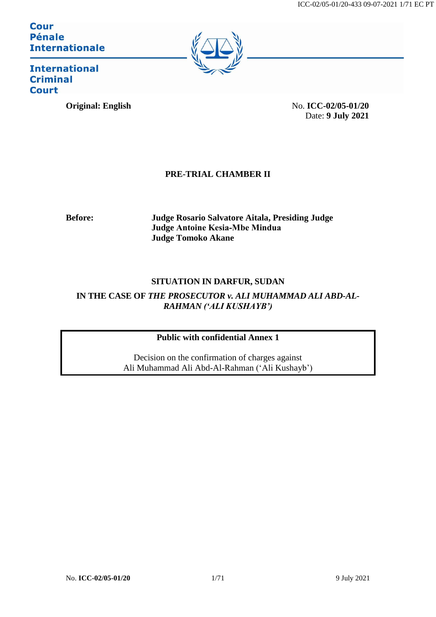**Cour Pénale Internationale** 



**International Criminal Court** 

**Original: English** No. **ICC-02/05-01/20** Date: **9 July 2021**

# **PRE-TRIAL CHAMBER II**

**Before: Judge Rosario Salvatore Aitala, Presiding Judge Judge Antoine Kesia‐Mbe Mindua Judge Tomoko Akane**

# **SITUATION IN DARFUR, SUDAN**

IN THE CASE OF *THE PROSECUTOR v. ALI MUHAMMAD ALI ABD-AL-RAHMAN ('ALI KUSHAYB')*

# **Public with confidential Annex 1**

Decision on the confirmation of charges against Ali Muhammad Ali Abd-Al-Rahman ('Ali Kushayb')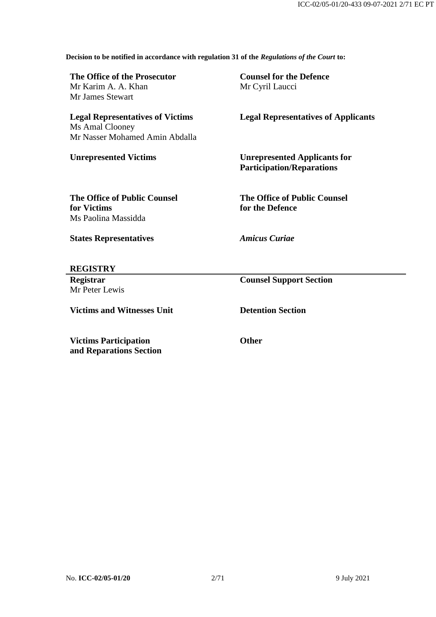**Decision to be notified in accordance with regulation 31 of the** *Regulations of the Court* **to:**

| The Office of the Prosecutor<br>Mr Karim A. A. Khan<br>Mr James Stewart                      | <b>Counsel for the Defence</b><br>Mr Cyril Laucci                       |  |
|----------------------------------------------------------------------------------------------|-------------------------------------------------------------------------|--|
| <b>Legal Representatives of Victims</b><br>Ms Amal Clooney<br>Mr Nasser Mohamed Amin Abdalla | <b>Legal Representatives of Applicants</b>                              |  |
| <b>Unrepresented Victims</b>                                                                 | <b>Unrepresented Applicants for</b><br><b>Participation/Reparations</b> |  |
| <b>The Office of Public Counsel</b><br>for Victims<br>Ms Paolina Massidda                    | <b>The Office of Public Counsel</b><br>for the Defence                  |  |
| <b>States Representatives</b>                                                                | <b>Amicus Curiae</b>                                                    |  |
| <b>REGISTRY</b>                                                                              |                                                                         |  |
| <b>Registrar</b><br>Mr Peter Lewis                                                           | <b>Counsel Support Section</b>                                          |  |

**Victims and Witnesses Unit Detention Section**

**Victims Participation and Reparations Section**

**Other**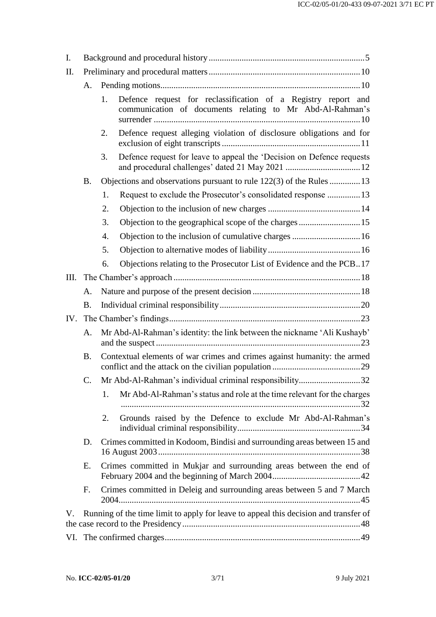| I.  |           |                                                                                                                                  |  |
|-----|-----------|----------------------------------------------------------------------------------------------------------------------------------|--|
| II. |           |                                                                                                                                  |  |
|     | A.        |                                                                                                                                  |  |
|     |           | Defence request for reclassification of a Registry report and<br>1.<br>communication of documents relating to Mr Abd-Al-Rahman's |  |
|     |           | Defence request alleging violation of disclosure obligations and for<br>2.                                                       |  |
|     |           | Defence request for leave to appeal the 'Decision on Defence requests<br>3.                                                      |  |
|     | <b>B.</b> | Objections and observations pursuant to rule 122(3) of the Rules 13                                                              |  |
|     |           | Request to exclude the Prosecutor's consolidated response 13<br>1.                                                               |  |
|     |           | 2.                                                                                                                               |  |
|     |           | Objection to the geographical scope of the charges  15<br>3.                                                                     |  |
|     |           | Objection to the inclusion of cumulative charges  16<br>4.                                                                       |  |
|     |           | 5.                                                                                                                               |  |
|     |           | Objections relating to the Prosecutor List of Evidence and the PCB17<br>6.                                                       |  |
| Ш.  |           |                                                                                                                                  |  |
|     | A.        |                                                                                                                                  |  |
|     | <b>B.</b> |                                                                                                                                  |  |
| IV. |           |                                                                                                                                  |  |
|     | A.        | Mr Abd-Al-Rahman's identity: the link between the nickname 'Ali Kushayb'                                                         |  |
|     | <b>B.</b> | Contextual elements of war crimes and crimes against humanity: the armed                                                         |  |
|     | C.        | Mr Abd-Al-Rahman's individual criminal responsibility32                                                                          |  |
|     |           | Mr Abd-Al-Rahman's status and role at the time relevant for the charges<br>1.                                                    |  |
|     |           | Grounds raised by the Defence to exclude Mr Abd-Al-Rahman's<br>2.                                                                |  |
|     | D.        | Crimes committed in Kodoom, Bindisi and surrounding areas between 15 and                                                         |  |
|     | E.        | Crimes committed in Mukjar and surrounding areas between the end of                                                              |  |
|     | F.        | Crimes committed in Deleig and surrounding areas between 5 and 7 March                                                           |  |
| V.  |           | Running of the time limit to apply for leave to appeal this decision and transfer of                                             |  |
|     |           |                                                                                                                                  |  |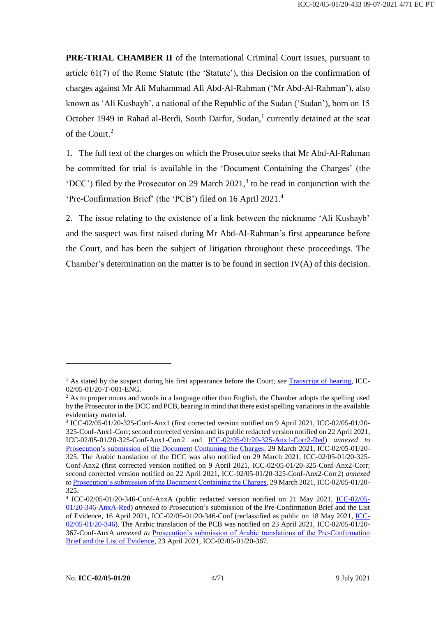**PRE-TRIAL CHAMBER II** of the International Criminal Court issues, pursuant to article 61(7) of the Rome Statute (the 'Statute'), this Decision on the confirmation of charges against Mr Ali Muhammad Ali Abd-Al-Rahman ('Mr Abd-Al-Rahman'), also known as 'Ali Kushayb', a national of the Republic of the Sudan ('Sudan'), born on 15 October 1949 in Rahad al-Berdi, South Darfur, Sudan,<sup>1</sup> currently detained at the seat of the Court.<sup>2</sup>

1. The full text of the charges on which the Prosecutor seeks that Mr Abd-Al-Rahman be committed for trial is available in the 'Document Containing the Charges' (the 'DCC') filed by the Prosecutor on 29 March 2021, 3 to be read in conjunction with the 'Pre-Confirmation Brief' (the 'PCB') filed on 16 April 2021.<sup>4</sup>

2. The issue relating to the existence of a link between the nickname 'Ali Kushayb' and the suspect was first raised during Mr Abd-Al-Rahman's first appearance before the Court, and has been the subject of litigation throughout these proceedings. The Chamber's determination on the matter is to be found in section  $IV(A)$  of this decision.

<sup>&</sup>lt;sup>1</sup> As stated by the suspect during his first appearance before the Court; *see* [Transcript of hearing,](https://www.icc-cpi.int/Transcripts/CR2020_02436.PDF) ICC-02/05-01/20-T-001-ENG.

<sup>&</sup>lt;sup>2</sup> As to proper nouns and words in a language other than English, the Chamber adopts the spelling used by the Prosecutor in the DCC and PCB, bearing in mind that there exist spelling variations in the available evidentiary material.

<sup>3</sup> ICC-02/05-01/20-325-Conf-Anx1 (first corrected version notified on 9 April 2021, ICC-02/05-01/20- 325-Conf-Anx1-Corr; second corrected version and its public redacted version notified on 22 April 2021, ICC-02/05-01/20-325-Conf-Anx1-Corr2 and [ICC-02/05-01/20-325-Anx1-Corr2-Red\)](https://www.icc-cpi.int/RelatedRecords/CR2021_03707.PDF) *annexed to* [Prosecution's submission of the Document Containing the Charges,](https://www.icc-cpi.int/CourtRecords/CR2021_02973.PDF) 29 March 2021, ICC-02/05-01/20- 325. The Arabic translation of the DCC was also notified on 29 March 2021, ICC-02/05-01/20-325- Conf-Anx2 (first corrected version notified on 9 April 2021, ICC-02/05-01/20-325-Conf-Anx2-Corr; second corrected version notified on 22 April 2021, ICC-02/05-01/20-325-Conf-Anx2-Corr2) *annexed to* [Prosecution's submission of the Document Containing the Charges,](https://www.icc-cpi.int/CourtRecords/CR2021_02973.PDF) 29 March 2021, ICC-02/05-01/20- 325.

<sup>&</sup>lt;sup>4</sup> [ICC-02/05-](https://www.icc-cpi.int/RelatedRecords/CR2021_04741.PDF)01/20-346-Conf-AnxA (public redacted version notified on 21 May 2021, ICC-02/05-[01/20-346-AnxA-Red\)](https://www.icc-cpi.int/RelatedRecords/CR2021_04741.PDF) *annexed to* Prosecution's submission of the Pre-Confirmation Brief and the List of Evidence, 16 April 2021, ICC-02/05-01/20-346-Conf (reclassified as public on 18 May 2021, [ICC-](https://www.icc-cpi.int/CourtRecords/CR2021_03519.PDF)[02/05-01/20-346\)](https://www.icc-cpi.int/CourtRecords/CR2021_03519.PDF). The Arabic translation of the PCB was notified on 23 April 2021, ICC-02/05-01/20- 367-Conf-AnxA *annexed to* [Prosecution's submission of Arabic translations of the Pre-Confirmation](https://www.icc-cpi.int/CourtRecords/CR2021_03730.PDF)  [Brief and the List of Evidence,](https://www.icc-cpi.int/CourtRecords/CR2021_03730.PDF) 23 April 2021, ICC-02/05-01/20-367.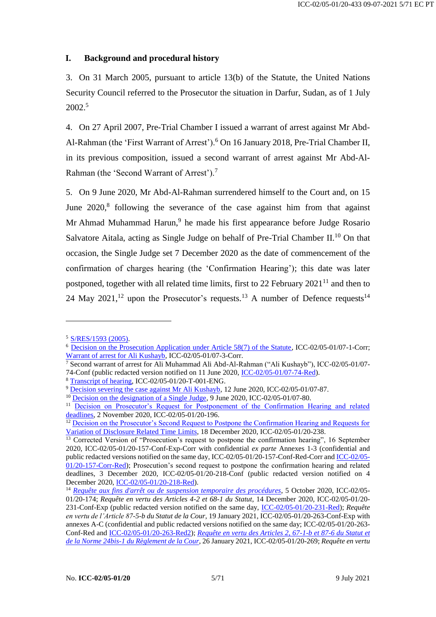# <span id="page-4-0"></span>**I. Background and procedural history**

3. On 31 March 2005, pursuant to article 13(b) of the Statute, the United Nations Security Council referred to the Prosecutor the situation in Darfur, Sudan, as of 1 July 2002.<sup>5</sup>

4. On 27 April 2007, Pre-Trial Chamber I issued a warrant of arrest against Mr Abd-Al-Rahman (the 'First Warrant of Arrest').<sup>6</sup> On 16 January 2018, Pre-Trial Chamber II, in its previous composition, issued a second warrant of arrest against Mr Abd-Al-Rahman (the 'Second Warrant of Arrest').<sup>7</sup>

5. On 9 June 2020, Mr Abd-Al-Rahman surrendered himself to the Court and, on 15 June 2020,<sup>8</sup> following the severance of the case against him from that against Mr Ahmad Muhammad Harun,<sup>9</sup> he made his first appearance before Judge Rosario Salvatore Aitala, acting as Single Judge on behalf of Pre-Trial Chamber II.<sup>10</sup> On that occasion, the Single Judge set 7 December 2020 as the date of commencement of the confirmation of charges hearing (the 'Confirmation Hearing'); this date was later postponed, together with all related time limits, first to 22 February  $2021^{11}$  and then to 24 May 2021,<sup>12</sup> upon the Prosecutor's requests.<sup>13</sup> A number of Defence requests.<sup>14</sup>

<sup>5</sup> [S/RES/1593 \(2005\).](https://undocs.org/S/RES/1593(2005))

<sup>6</sup> [Decision on the Prosecution Application under Article 58\(7\) of the Statute,](https://www.icc-cpi.int/CourtRecords/CR2007_02899.PDF) ICC-02/05-01/07-1-Corr; [Warrant of arrest for Ali Kushayb,](https://www.icc-cpi.int/CourtRecords/CR2007_02908.PDF) ICC-02/05-01/07-3-Corr.

<sup>7</sup> Second warrant of arrest for Ali Muhammad Ali Abd-Al-Rahman ("Ali Kushayb"), ICC-02/05-01/07- 74-Conf (public redacted version notified on 11 June 2020, [ICC-02/05-01/07-74-Red\)](https://www.icc-cpi.int/CourtRecords/CR2020_02363.PDF).

<sup>8</sup> [Transcript of hearing,](https://www.icc-cpi.int/Transcripts/CR2020_02436.PDF) ICC-02/05-01/20-T-001-ENG.

<sup>&</sup>lt;sup>9</sup> [Decision severing the case against Mr Ali Kushayb,](https://www.icc-cpi.int/CourtRecords/CR2020_02416.PDF) 12 June 2020, ICC-02/05-01/07-87.

<sup>&</sup>lt;sup>10</sup> [Decision on the designation of a Single Judge,](https://www.icc-cpi.int/CourtRecords/CR2020_02331.PDF) 9 June 2020, ICC-02/05-01/07-80.

<sup>&</sup>lt;sup>11</sup> Decision on Prosecutor's Request for Postponement of the Confirmation Hearing and related [deadlines,](https://www.icc-cpi.int/CourtRecords/CR2020_05941.PDF) 2 November 2020, ICC-02/05-01/20-196.

<sup>&</sup>lt;sup>12</sup> Decision on the Prosecutor's Second Request to Postpone the Confirmation Hearing and Requests for [Variation of Disclosure Related Time Limits,](https://www.icc-cpi.int/CourtRecords/CR2020_07476.PDF) 18 December 2020, ICC-02/05-01/20-238.

<sup>&</sup>lt;sup>13</sup> Corrected Version of "Prosecution's request to postpone the confirmation hearing", 16 September 2020, ICC-02/05-01/20-157-Conf-Exp-Corr with confidential *ex parte* Annexes 1-3 (confidential and public redacted versions notified on the same day, ICC-02/05-01/20-157-Conf-Red-Corr an[d ICC-02/05-](https://www.icc-cpi.int/CourtRecords/CR2020_05299.PDF) [01/20-157-Corr-Red\)](https://www.icc-cpi.int/CourtRecords/CR2020_05299.PDF); Prosecution's second request to postpone the confirmation hearing and related deadlines, 3 December 2020, ICC-02/05-01/20-218-Conf (public redacted version notified on 4 December 2020[, ICC-02/05-01/20-218-Red\)](https://www.icc-cpi.int/CourtRecords/CR2020_06829.PDF).

<sup>14</sup> *[Requête aux fins d'arrêt ou de suspension temporaire des procédures](https://www.icc-cpi.int/CourtRecords/CR2020_05547.PDF)*, 5 October 2020, ICC-02/05- 01/20-174; *Requête en vertu des Articles 4-2 et 68-1 du Statut*, 14 December 2020, ICC-02/05-01/20- 231-Conf-Exp (public redacted version notified on the same day, [ICC-02/05-01/20-231-Red\)](https://www.icc-cpi.int/CourtRecords/CR2020_06985.PDF); *Requête en vertu de l'Article 87-5-b du Statut de la Cour*, 19 January 2021, ICC-02/05-01/20-263-Conf-Exp with annexes A-C (confidential and public redacted versions notified on the same day; ICC-02/05-01/20-263- Conf-Red and [ICC-02/05-01/20-263-Red2\)](https://www.icc-cpi.int/CourtRecords/CR2021_00274.PDF); *[Requête en vertu des Articles 2, 67-1-b et 87-6 du Statut et](https://www.icc-cpi.int/CourtRecords/CR2021_00708.PDF)  [de la Norme 24bis-1 du Règlement de la Cour](https://www.icc-cpi.int/CourtRecords/CR2021_00708.PDF)*, 26 January 2021, ICC-02/05-01/20-269; *Requête en vertu*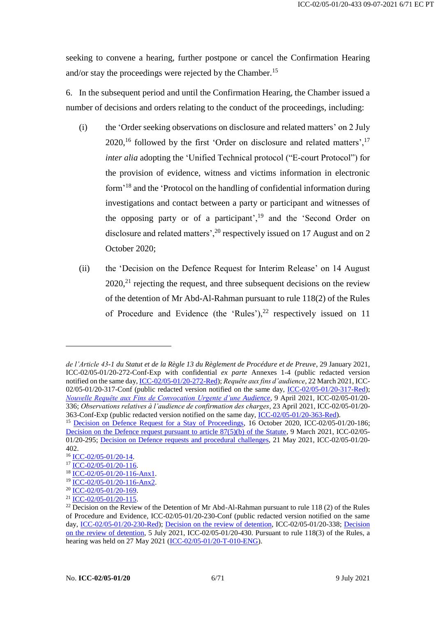seeking to convene a hearing, further postpone or cancel the Confirmation Hearing and/or stay the proceedings were rejected by the Chamber.<sup>15</sup>

6. In the subsequent period and until the Confirmation Hearing, the Chamber issued a number of decisions and orders relating to the conduct of the proceedings, including:

- (i) the 'Order seeking observations on disclosure and related matters' on 2 July  $2020$ ,<sup>16</sup> followed by the first 'Order on disclosure and related matters',<sup>17</sup> *inter alia* adopting the 'Unified Technical protocol ("E-court Protocol") for the provision of evidence, witness and victims information in electronic form'<sup>18</sup> and the 'Protocol on the handling of confidential information during investigations and contact between a party or participant and witnesses of the opposing party or of a participant', $19$  and the 'Second Order on disclosure and related matters',<sup>20</sup> respectively issued on 17 August and on 2 October 2020;
- (ii) the 'Decision on the Defence Request for Interim Release' on 14 August  $2020$ ,<sup>21</sup> rejecting the request, and three subsequent decisions on the review of the detention of Mr Abd-Al-Rahman pursuant to rule 118(2) of the Rules of Procedure and Evidence (the 'Rules'), $^{22}$  respectively issued on 11

*de l'Article 43-1 du Statut et de la Règle 13 du Règlement de Procédure et de Preuve*, 29 January 2021, ICC-02/05-01/20-272-Conf-Exp with confidential *ex parte* Annexes 1-4 (public redacted version notified on the same day[, ICC-02/05-01/20-272-Red\)](https://www.icc-cpi.int/CourtRecords/CR2021_00806.PDF); *Requête aux fins d'audience*, 22 March 2021, ICC-02/05-01/20-317-Conf (public redacted version notified on the same day, [ICC-02/05-01/20-317-Red\)](https://www.icc-cpi.int/CourtRecords/CR2021_02434.PDF); *[Nouvelle Requête aux Fins de Convocation Urgente d'une Audience](https://www.icc-cpi.int/CourtRecords/CR2021_03349.PDF)*, 9 April 2021, ICC-02/05-01/20- 336; *Observations relatives à l'audience de confirmation des charges*, 23 April 2021, ICC-02/05-01/20- 363-Conf-Exp (public redacted version notified on the same day, [ICC-02/05-01/20-363-Red\)](https://www.icc-cpi.int/CourtRecords/CR2021_03723.PDF).

<sup>&</sup>lt;sup>15</sup> [Decision on Defence Request for a Stay of Proceedings,](https://www.icc-cpi.int/CourtRecords/CR2020_05677.PDF) 16 October 2020, ICC-02/05-01/20-186; [Decision on the Defence request pursuant to article 87\(5\)\(b\) of the Statute,](https://www.icc-cpi.int/CourtRecords/CR2021_01935.PDF) 9 March 2021, ICC-02/05-01/20-295; [Decision on Defence requests and procedural challenges,](https://www.icc-cpi.int/CourtRecords/CR2021_04708.PDF) 21 May 2021, ICC-02/05-01/20- 402.

<sup>16</sup> [ICC-02/05-01/20-14.](https://www.icc-cpi.int/CourtRecords/CR2020_03983.PDF)

 $17 \overline{\text{ICC-02/05-01/20-116}}$ .

<sup>18</sup> [ICC-02/05-01/20-116-Anx1.](https://www.icc-cpi.int/RelatedRecords/CR2020_04864.PDF)

<sup>19</sup> [ICC-02/05-01/20-116-Anx2.](https://www.icc-cpi.int/RelatedRecords/CR2020_04863.PDF)

<sup>&</sup>lt;sup>20</sup> [ICC-02/05-01/20-169.](https://www.icc-cpi.int/CourtRecords/CR2020_05492.PDF)

<sup>21</sup> [ICC-02/05-01/20-115.](https://www.icc-cpi.int/CourtRecords/CR2020_04851.PDF)

 $22$  Decision on the Review of the Detention of Mr Abd-Al-Rahman pursuant to rule 118 (2) of the Rules of Procedure and Evidence, ICC-02/05-01/20-230-Conf (public redacted version notified on the same day, [ICC-02/05-01/20-230-Red\)](https://www.icc-cpi.int/CourtRecords/CR2020_06940.PDF); [Decision on the review of detention,](https://www.icc-cpi.int/CourtRecords/CR2021_03392.PDF) ICC-02/05-01/20-338; [Decision](https://www.icc-cpi.int/CourtRecords/CR2021_06054.PDF)  [on the review of detention,](https://www.icc-cpi.int/CourtRecords/CR2021_06054.PDF) 5 July 2021, ICC-02/05-01/20-430. Pursuant to rule 118(3) of the Rules, a hearing was held on 27 May 2021 [\(ICC-02/05-01/20-T-010-ENG\)](https://www.icc-cpi.int/Transcripts/CR2021_05523.PDF).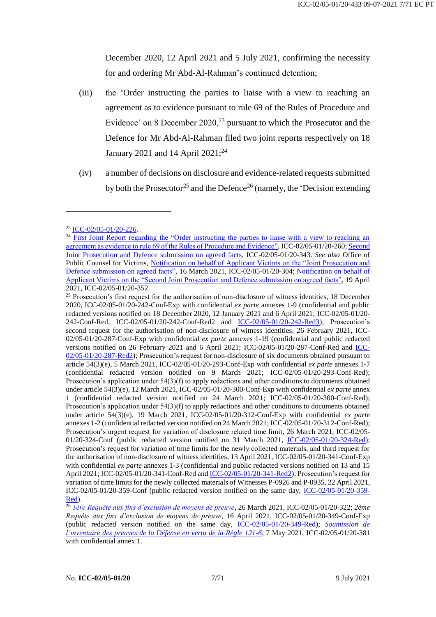December 2020, 12 April 2021 and 5 July 2021, confirming the necessity for and ordering Mr Abd-Al-Rahman's continued detention;

- (iii) the 'Order instructing the parties to liaise with a view to reaching an agreement as to evidence pursuant to rule 69 of the Rules of Procedure and Evidence' on 8 December  $2020<sub>1</sub><sup>23</sup>$  pursuant to which the Prosecutor and the Defence for Mr Abd-Al-Rahman filed two joint reports respectively on 18 January 2021 and 14 April  $2021$ ;<sup>24</sup>
- (iv) a number of decisions on disclosure and evidence-related requests submitted by both the Prosecutor<sup>25</sup> and the Defence<sup>26</sup> (namely, the 'Decision extending

<sup>23</sup> [ICC-02/05-01/20-226.](https://www.icc-cpi.int/CourtRecords/CR2020_06878.PDF)

<sup>&</sup>lt;sup>24</sup> First Joint Report regarding the "Order instructing the parties to liaise with a view to reaching an [agreement as evidence to rule 69 of the Rules of Procedure and Evidence",](https://www.icc-cpi.int/CourtRecords/CR2021_00224.PDF) ICC-02/05-01/20-260[; Second](https://www.icc-cpi.int/CourtRecords/CR2021_03486.PDF)  [Joint Prosecution and Defence submission on agreed facts,](https://www.icc-cpi.int/CourtRecords/CR2021_03486.PDF) ICC-02/05-01/20-343. *See also* Office of Public Counsel for Victims, Notification on behalf of Applicant Victims on the "Joint Prosecution and [Defence submission on agreed facts",](https://www.icc-cpi.int/CourtRecords/CR2021_02281.PDF) 16 March 2021, ICC-02/05-01/20-304; [Notification on behalf of](https://www.icc-cpi.int/CourtRecords/CR2021_03574.PDF)  [Applicant Victims on the "Second Joint Prosecution](https://www.icc-cpi.int/CourtRecords/CR2021_03574.PDF) and Defence submission on agreed facts", 19 April 2021, ICC-02/05-01/20-352.

<sup>&</sup>lt;sup>25</sup> Prosecution's first request for the authorisation of non-disclosure of witness identities, 18 December 2020, ICC-02/05-01/20-242-Conf-Exp with confidential *ex parte* annexes 1-9 (confidential and public redacted versions notified on 18 December 2020, 12 January 2021 and 6 April 2021; ICC-02/05-01/20- 242-Conf-Red, ICC-02/05-01/20-242-Conf-Red2 and [ICC-02/05-01/20-242-Red3\)](https://www.icc-cpi.int/CourtRecords/CR2021_03290.PDF); Prosecution's second request for the authorisation of non-disclosure of witness identities, 26 February 2021, ICC-02/05-01/20-287-Conf-Exp with confidential *ex parte* annexes 1-19 (confidential and public redacted versions notified on 26 February 2021 and 6 April 2021; ICC-02/05-01/20-287-Conf-Red and [ICC-](https://www.icc-cpi.int/CourtRecords/CR2021_03291.PDF)[02/05-01/20-287-Red2\)](https://www.icc-cpi.int/CourtRecords/CR2021_03291.PDF); Prosecution's request for non-disclosure of six documents obtained pursuant to article 54(3)(e), 5 March 2021, ICC-02/05-01/20-293-Conf-Exp with confidential *ex parte* annexes 1-7 (confidential redacted version notified on 9 March 2021; ICC-02/05-01/20-293-Conf-Red); Prosecution's application under 54(3)(f) to apply redactions and other conditions to documents obtained under article 54(3)(e), 12 March 2021, ICC-02/05-01/20-300-Conf-Exp with confidential *ex parte* annex 1 (confidential redacted version notified on 24 March 2021; ICC-02/05-01/20-300-Conf-Red); Prosecution's application under 54(3)(f) to apply redactions and other conditions to documents obtained under article 54(3)(e), 19 March 2021, ICC-02/05-01/20-312-Conf-Exp with confidential *ex parte* annexes 1-2 (confidential redacted version notified on 24 March 2021; ICC-02/05-01/20-312-Conf-Red); Prosecution's urgent request for variation of disclosure related time limit, 26 March 2021, ICC-02/05- 01/20-324-Conf (public redacted version notified on 31 March 2021, [ICC-02/05-01/20-324-Red\)](https://www.icc-cpi.int/CourtRecords/CR2021_03117.PDF); Prosecution's request for variation of time limits for the newly collected materials, and third request for the authorisation of non-disclosure of witness identities, 13 April 2021, ICC-02/05-01/20-341-Conf-Exp with confidential *ex parte* annexes 1-3 (confidential and public redacted versions notified on 13 and 15 April 2021; ICC-02/05-01/20-341-Conf-Red an[d ICC-02/05-01/20-341-Red2\)](https://www.icc-cpi.int/CourtRecords/CR2021_03493.PDF); Prosecution's request for variation of time limits for the newly collected materials of Witnesses P-0926 and P-0935, 22 April 2021, ICC-02/05-01/20-359-Conf (public redacted version notified on the same day, [ICC-02/05-01/20-359-](https://www.icc-cpi.int/CourtRecords/CR2021_03695.PDF) [Red\)](https://www.icc-cpi.int/CourtRecords/CR2021_03695.PDF).

<sup>26</sup> *[1ère Requête aux fins d'exclusion de moyens de preuve](https://www.icc-cpi.int/CourtRecords/CR2021_02571.PDF)*, 26 March 2021, ICC-02/05-01/20-322; *2ème Requête aux fins d'exclusion de moyens de preuve*, 16 April 2021, ICC-02/05-01/20-349-Conf-Exp (public redacted version notified on the same day, [ICC-02/05-01/20-349-Red\)](https://www.icc-cpi.int/CourtRecords/CR2021_03565.PDF); *[Soumission de](https://www.icc-cpi.int/CourtRecords/CR2021_04272.PDF)  [l'inventaire des preuves de la Défense en vertu de la Règle 121-6](https://www.icc-cpi.int/CourtRecords/CR2021_04272.PDF)*, 7 May 2021, ICC-02/05-01/20-381 with confidential annex 1.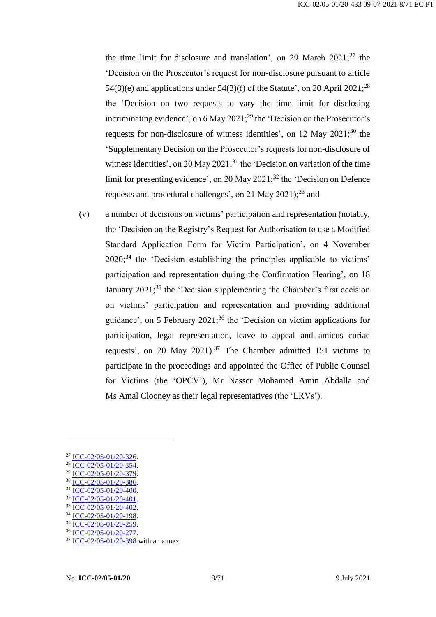the time limit for disclosure and translation', on 29 March  $2021$ ;<sup>27</sup> the 'Decision on the Prosecutor's request for non-disclosure pursuant to article 54(3)(e) and applications under 54(3)(f) of the Statute', on 20 April 2021;<sup>28</sup> the 'Decision on two requests to vary the time limit for disclosing incriminating evidence', on  $6$  May  $2021$ ;<sup>29</sup> the 'Decision on the Prosecutor's requests for non-disclosure of witness identities', on 12 May 2021;<sup>30</sup> the 'Supplementary Decision on the Prosecutor's requests for non-disclosure of witness identities', on 20 May 2021;<sup>31</sup> the 'Decision on variation of the time limit for presenting evidence', on 20 May 2021; $^{32}$  the 'Decision on Defence requests and procedural challenges', on 21 May 2021);<sup>33</sup> and

(v) a number of decisions on victims' participation and representation (notably, the 'Decision on the Registry's Request for Authorisation to use a Modified Standard Application Form for Victim Participation', on 4 November 2020;<sup>34</sup> the 'Decision establishing the principles applicable to victims' participation and representation during the Confirmation Hearing', on 18 January 2021;<sup>35</sup> the 'Decision supplementing the Chamber's first decision on victims' participation and representation and providing additional guidance', on 5 February 2021; <sup>36</sup> the 'Decision on victim applications for participation, legal representation, leave to appeal and amicus curiae requests', on 20 May 2021).<sup>37</sup> The Chamber admitted 151 victims to participate in the proceedings and appointed the Office of Public Counsel for Victims (the 'OPCV'), Mr Nasser Mohamed Amin Abdalla and Ms Amal Clooney as their legal representatives (the 'LRVs').

<sup>27</sup> [ICC-02/05-01/20-326.](https://www.icc-cpi.int/CourtRecords/CR2021_02985.PDF)

<sup>28</sup> [ICC-02/05-01/20-354.](https://www.icc-cpi.int/CourtRecords/CR2021_03593.PDF)

 $\frac{\text{29}}{20}\frac{\text{ICC}-02/05-01/20-379}{\text{ICC}-02/05-01/20-326}$ 

[ICC-02/05-01/20-386.](https://www.icc-cpi.int/CourtRecords/CR2021_04490.PDF)

<sup>31</sup> [ICC-02/05-01/20-400.](https://www.icc-cpi.int/CourtRecords/CR2021_04704.PDF)

 $32$  ICC-02/05-01/20-401 <sup>33</sup> [ICC-02/05-01/20-402.](https://www.icc-cpi.int/CourtRecords/CR2021_04708.PDF)

<sup>34</sup> [ICC-02/05-01/20-198.](https://www.icc-cpi.int/CourtRecords/CR2020_05983.PDF)

<sup>35</sup> [ICC-02/05-01/20-259.](https://www.icc-cpi.int/CourtRecords/CR2021_00222.PDF)

<sup>36</sup> [ICC-02/05-01/20-277.](https://www.icc-cpi.int/CourtRecords/CR2021_01102.PDF)

 $37 \overline{ICC - 02/05 - 01/20 - 398}$  with an annex.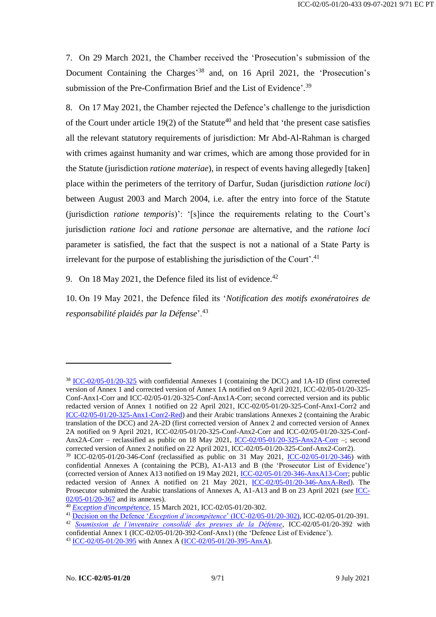7. On 29 March 2021, the Chamber received the 'Prosecution's submission of the Document Containing the Charges<sup>'38</sup> and, on 16 April 2021, the 'Prosecution's submission of the Pre-Confirmation Brief and the List of Evidence'.<sup>39</sup>

8. On 17 May 2021, the Chamber rejected the Defence's challenge to the jurisdiction of the Court under article 19(2) of the Statute<sup>40</sup> and held that 'the present case satisfies all the relevant statutory requirements of jurisdiction: Mr Abd-Al-Rahman is charged with crimes against humanity and war crimes, which are among those provided for in the Statute (jurisdiction *ratione materiae*), in respect of events having allegedly [taken] place within the perimeters of the territory of Darfur, Sudan (jurisdiction *ratione loci*) between August 2003 and March 2004, i.e. after the entry into force of the Statute (jurisdiction *ratione temporis*)': '[s]ince the requirements relating to the Court's jurisdiction *ratione loci* and *ratione personae* are alternative, and the *ratione loci* parameter is satisfied, the fact that the suspect is not a national of a State Party is irrelevant for the purpose of establishing the jurisdiction of the Court'.<sup>41</sup>

9. On 18 May 2021, the Defence filed its list of evidence.<sup>42</sup>

10. On 19 May 2021, the Defence filed its '*Notification des motifs exonératoires de responsabilité plaidés par la Défense*'.<sup>43</sup>

<sup>38</sup> [ICC-02/05-01/20-325](https://www.icc-cpi.int/CourtRecords/CR2021_02973.PDF) with confidential Annexes 1 (containing the DCC) and 1A-1D (first corrected version of Annex 1 and corrected version of Annex 1A notified on 9 April 2021, ICC-02/05-01/20-325- Conf-Anx1-Corr and ICC-02/05-01/20-325-Conf-Anx1A-Corr; second corrected version and its public redacted version of Annex 1 notified on 22 April 2021, ICC-02/05-01/20-325-Conf-Anx1-Corr2 and [ICC-02/05-01/20-325-Anx1-Corr2-Red\)](https://www.icc-cpi.int/RelatedRecords/CR2021_03707.PDF) and their Arabic translations Annexes 2 (containing the Arabic translation of the DCC) and 2A-2D (first corrected version of Annex 2 and corrected version of Annex 2A notified on 9 April 2021, ICC-02/05-01/20-325-Conf-Anx2-Corr and ICC-02/05-01/20-325-Conf-Anx2A-Corr – reclassified as public on 18 May 2021, [ICC-02/05-01/20-325-Anx2A-Corr](https://www.icc-cpi.int/RelatedRecords/CR2021_03374.PDF) –; second corrected version of Annex 2 notified on 22 April 2021, ICC-02/05-01/20-325-Conf-Anx2-Corr2).

<sup>39</sup> ICC-02/05-01/20-346-Conf (reclassified as public on 31 May 2021, [ICC-02/05-01/20-346\)](https://www.icc-cpi.int/CourtRecords/CR2021_03519.PDF) with confidential Annexes A (containing the PCB), A1-A13 and B (the 'Prosecutor List of Evidence') (corrected version of Annex A13 notified on 19 May 2021, [ICC-02/05-01/20-346-AnxA13-Corr;](https://www.icc-cpi.int/RelatedRecords/CR2021_04670.PDF) public redacted version of Annex A notified on 21 May 2021, [ICC-02/05-01/20-346-AnxA-Red\)](https://www.icc-cpi.int/RelatedRecords/CR2021_04741.PDF). The Prosecutor submitted the Arabic translations of Annexes A, A1-A13 and B on 23 April 2021 (*see* [ICC-](https://www.icc-cpi.int/CourtRecords/CR2021_03730.PDF)[02/05-01/20-367](https://www.icc-cpi.int/CourtRecords/CR2021_03730.PDF) and its annexes).

<sup>40</sup> *[Exception d'incompétence](https://www.icc-cpi.int/CourtRecords/CR2021_02251.PDF)*, 15 March 2021, ICC-02/05-01/20-302.

<sup>41</sup> Decision on the Defence '*[Exception d'incompétence](https://www.icc-cpi.int/CourtRecords/CR2021_04527.PDF)*' (ICC-02/05-01/20-302), ICC-02/05-01/20-391.

<sup>42</sup> *[Soumission de l'inventaire consolidé des preuves de la Défense](https://www.icc-cpi.int/CourtRecords/CR2021_04568.PDF)*, ICC-02/05-01/20-392 with confidential Annex 1 (ICC-02/05-01/20-392-Conf-Anx1) (the 'Defence List of Evidence').

<sup>43</sup> [ICC-02/05-01/20-395](https://www.icc-cpi.int/CourtRecords/CR2021_04591.PDF) with Annex A [\(ICC-02/05-01/20-395-AnxA\)](https://www.icc-cpi.int/RelatedRecords/CR2021_04593.PDF).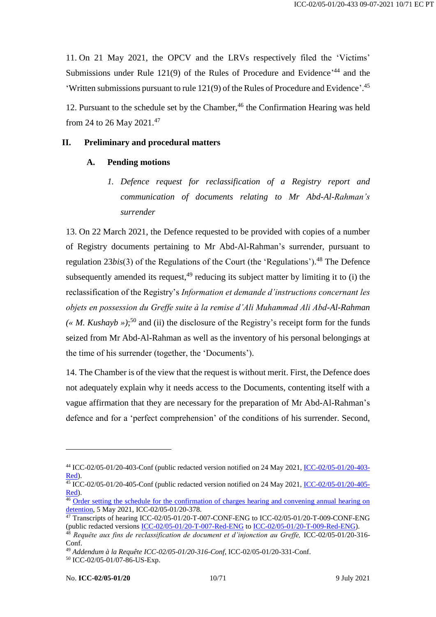11. On 21 May 2021, the OPCV and the LRVs respectively filed the 'Victims' Submissions under Rule 121(9) of the Rules of Procedure and Evidence<sup>,44</sup> and the 'Written submissions pursuant to rule 121(9) of the Rules of Procedure and Evidence'. 45

12. Pursuant to the schedule set by the Chamber,<sup>46</sup> the Confirmation Hearing was held from 24 to 26 May 2021. 47

#### <span id="page-9-1"></span><span id="page-9-0"></span>**II. Preliminary and procedural matters**

#### <span id="page-9-2"></span>**A. Pending motions**

*1. Defence request for reclassification of a Registry report and communication of documents relating to Mr Abd-Al-Rahman's surrender*

13. On 22 March 2021, the Defence requested to be provided with copies of a number of Registry documents pertaining to Mr Abd-Al-Rahman's surrender, pursuant to regulation 23*bis*(3) of the Regulations of the Court (the 'Regulations'). <sup>48</sup> The Defence subsequently amended its request,  $49$  reducing its subject matter by limiting it to (i) the reclassification of the Registry's *Information et demande d'instructions concernant les objets en possession du Greffe suite à la remise d'Ali Muhammad Ali Abd-Al-Rahman*   $(* M. Kushayb)$ <sup>50</sup> and (ii) the disclosure of the Registry's receipt form for the funds seized from Mr Abd-Al-Rahman as well as the inventory of his personal belongings at the time of his surrender (together, the 'Documents').

14. The Chamber is of the view that the request is without merit. First, the Defence does not adequately explain why it needs access to the Documents, contenting itself with a vague affirmation that they are necessary for the preparation of Mr Abd-Al-Rahman's defence and for a 'perfect comprehension' of the conditions of his surrender. Second,

<sup>44</sup> ICC-02/05-01/20-403-Conf (public redacted version notified on 24 May 2021[, ICC-02/05-01/20-403-](https://www.icc-cpi.int/CourtRecords/CR2021_04782.PDF) [Red\)](https://www.icc-cpi.int/CourtRecords/CR2021_04782.PDF).

 $\frac{45}{15}$  ICC-02/05-01/20-405-Conf (public redacted version notified on 24 May 2021, <u>ICC-02/05-01/20-405-</u> [Red\)](https://www.icc-cpi.int/CourtRecords/CR2021_04788.PDF).

<sup>&</sup>lt;sup>46</sup> Order setting the schedule for the confirmation of charges hearing and convening annual hearing on [detention,](https://www.icc-cpi.int/CourtRecords/CR2021_04215.PDF) 5 May 2021, ICC-02/05-01/20-378.

 $\frac{47}{47}$  Transcripts of hearing ICC-02/05-01/20-T-007-CONF-ENG to ICC-02/05-01/20-T-009-CONF-ENG (public redacted versions [ICC-02/05-01/20-T-007-Red-ENG](https://www.icc-cpi.int/Transcripts/CR2021_05494.PDF) to [ICC-02/05-01/20-T-009-Red-ENG\)](https://www.icc-cpi.int/Transcripts/CR2021_05669.PDF).

<sup>48</sup> *Requête aux fins de reclassification de document et d'injonction au Greffe,* ICC-02/05-01/20-316- Conf.

<sup>49</sup> *Addendum à la Requête ICC-02/05-01/20-316-Conf*, ICC-02/05-01/20-331-Conf.

<sup>50</sup> ICC-02/05-01/07-86-US-Exp.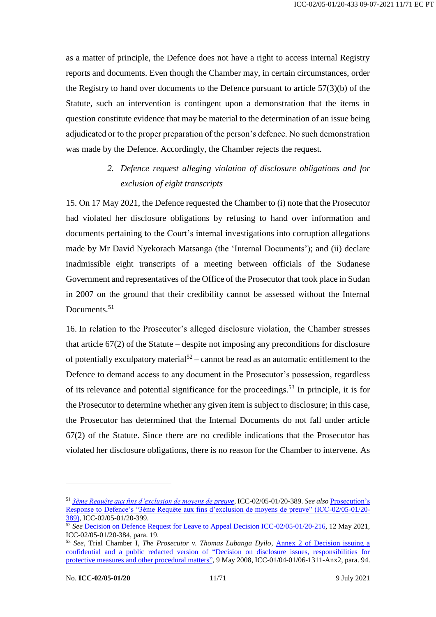as a matter of principle, the Defence does not have a right to access internal Registry reports and documents. Even though the Chamber may, in certain circumstances, order the Registry to hand over documents to the Defence pursuant to article 57(3)(b) of the Statute, such an intervention is contingent upon a demonstration that the items in question constitute evidence that may be material to the determination of an issue being adjudicated or to the proper preparation of the person's defence. No such demonstration was made by the Defence. Accordingly, the Chamber rejects the request.

# *2. Defence request alleging violation of disclosure obligations and for exclusion of eight transcripts*

<span id="page-10-0"></span>15. On 17 May 2021, the Defence requested the Chamber to (i) note that the Prosecutor had violated her disclosure obligations by refusing to hand over information and documents pertaining to the Court's internal investigations into corruption allegations made by Mr David Nyekorach Matsanga (the 'Internal Documents'); and (ii) declare inadmissible eight transcripts of a meeting between officials of the Sudanese Government and representatives of the Office of the Prosecutor that took place in Sudan in 2007 on the ground that their credibility cannot be assessed without the Internal Documents. 51

16. In relation to the Prosecutor's alleged disclosure violation, the Chamber stresses that article 67(2) of the Statute – despite not imposing any preconditions for disclosure of potentially exculpatory material<sup>52</sup> – cannot be read as an automatic entitlement to the Defence to demand access to any document in the Prosecutor's possession, regardless of its relevance and potential significance for the proceedings.<sup>53</sup> In principle, it is for the Prosecutor to determine whether any given item is subject to disclosure; in this case, the Prosecutor has determined that the Internal Documents do not fall under article 67(2) of the Statute. Since there are no credible indications that the Prosecutor has violated her disclosure obligations, there is no reason for the Chamber to intervene. As

<sup>51</sup> *[3ème Requête aux fins d'exclusion de moyens de preuve](https://www.icc-cpi.int/CourtRecords/CR2021_04518.PDF)*, ICC-02/05-01/20-389. *See also* [Prosecution's](https://www.icc-cpi.int/CourtRecords/CR2021_04701.PDF)  [Response to Defence's "3ème Requête aux fins d'exclusion de moyens de preuve" \(ICC-02/05-01/20-](https://www.icc-cpi.int/CourtRecords/CR2021_04701.PDF) [389\),](https://www.icc-cpi.int/CourtRecords/CR2021_04701.PDF) ICC-02/05-01/20-399.

<sup>&</sup>lt;sup>52</sup> See [Decision on Defence Request for Leave to Appeal Decision ICC-02/05-01/20-216,](https://www.icc-cpi.int/CourtRecords/CR2021_04477.PDF) 12 May 2021, ICC-02/05-01/20-384, para. 19.

<sup>&</sup>lt;sup>53</sup> See, Trial Chamber I, *The Prosecutor v. Thomas Lubanga Dyilo*, **Annex 2 of Decision issuing a** [confidential and a public redacted version of "Decision on disclosure issues, responsibilities for](https://www.icc-cpi.int/RelatedRecords/CR2008_02393.PDF)  [protective measures and other procedural matters"](https://www.icc-cpi.int/RelatedRecords/CR2008_02393.PDF), 9 May 2008, ICC-01/04-01/06-1311-Anx2, para. 94.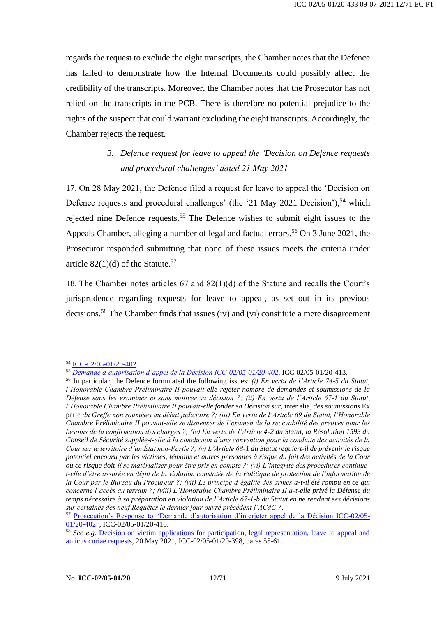regards the request to exclude the eight transcripts, the Chamber notes that the Defence has failed to demonstrate how the Internal Documents could possibly affect the credibility of the transcripts. Moreover, the Chamber notes that the Prosecutor has not relied on the transcripts in the PCB. There is therefore no potential prejudice to the rights of the suspect that could warrant excluding the eight transcripts. Accordingly, the Chamber rejects the request.

# *3. Defence request for leave to appeal the 'Decision on Defence requests and procedural challenges' dated 21 May 2021*

<span id="page-11-0"></span>17. On 28 May 2021, the Defence filed a request for leave to appeal the 'Decision on Defence requests and procedural challenges' (the '21 May 2021 Decision'),<sup>54</sup> which rejected nine Defence requests.<sup>55</sup> The Defence wishes to submit eight issues to the Appeals Chamber, alleging a number of legal and factual errors.<sup>56</sup> On 3 June 2021, the Prosecutor responded submitting that none of these issues meets the criteria under article  $82(1)(d)$  of the Statute.<sup>57</sup>

18. The Chamber notes articles 67 and 82(1)(d) of the Statute and recalls the Court's jurisprudence regarding requests for leave to appeal, as set out in its previous decisions.<sup>58</sup> The Chamber finds that issues (iv) and (vi) constitute a mere disagreement

<sup>54</sup> [ICC-02/05-01/20-402.](https://www.icc-cpi.int/CourtRecords/CR2021_04708.PDF)

<sup>55</sup> *[Demande d'autorisation d'appel de la Décision ICC-02/05-01/20-402](https://www.icc-cpi.int/CourtRecords/CR2021_04942.PDF)*, ICC-02/05-01/20-413.

<sup>56</sup> In particular, the Defence formulated the following issues: *(i) En vertu de l'Article 74-5 du Statut, l'Honorable Chambre Préliminaire II pouvait-elle rejeter nombre de demandes et soumissions de la Défense sans les examiner et sans motiver sa décision ?; (ii) En vertu de l'Article 67-1 du Statut, l'Honorable Chambre Préliminaire II pouvait-elle fonder sa Décision sur,* inter alia*, des soumissions* Ex parte *du Greffe non soumises au débat judiciaire ?; (iii) En vertu de l'Article 69 du Statut, l'Honorable Chambre Préliminaire II pouvait-elle se dispenser de l'examen de la recevabilité des preuves pour les besoins de la confirmation des charges ?; (iv) En vertu de l'Article 4-2 du Statut, la Résolution 1593 du Conseil de Sécurité supplée-t-elle à la conclusion d'une convention pour la conduite des activités de la Cour sur le territoire d'un État non-Partie ?; (v) L'Article 68-1 du Statut requiert-il de prévenir le risque potentiel encouru par les victimes, témoins et autres personnes à risque du fait des activités de la Cour ou ce risque doit-il se matérialiser pour être pris en compte ?; (vi) L'intégrité des procédures continuet-elle d'être assurée en dépit de la violation constatée de la Politique de protection de l'information de la Cour par le Bureau du Procureur ?; (vii) Le principe d'égalité des armes a-t-il été rompu en ce qui concerne l'accès au terrain ?; (viii) L'Honorable Chambre Préliminaire II a-t-elle privé la Défense du temps nécessaire à sa préparation en violation de l'Article 67-1-b du Statut en ne rendant ses décisions sur certaines des neuf Requêtes le dernier jour ouvré précédent l'ACdC ?*.

<sup>57</sup> [Prosecution's Response to "Demande d'autorisation d'interjeter appel de la Décision ICC-02/05-](https://www.icc-cpi.int/CourtRecords/CR2021_05030.PDF) [01/20-402",](https://www.icc-cpi.int/CourtRecords/CR2021_05030.PDF) ICC-02/05-01/20-416.

<sup>&</sup>lt;sup>58</sup> *See e.g.* Decision on victim applications for participation, legal representation, leave to appeal and [amicus curiae requests,](https://www.icc-cpi.int/CourtRecords/CR2021_04693.PDF) 20 May 2021, ICC-02/05-01/20-398, paras 55-61.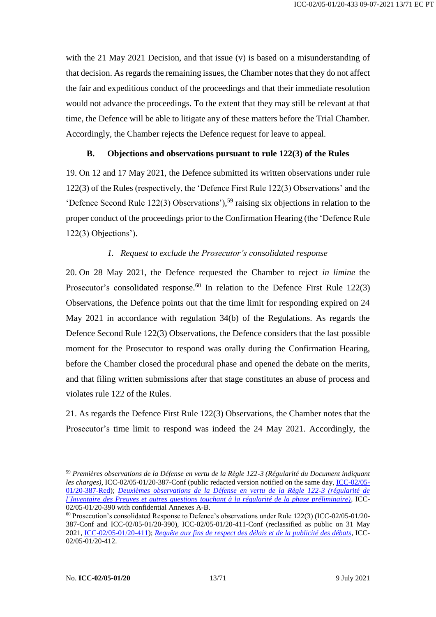with the 21 May 2021 Decision, and that issue (v) is based on a misunderstanding of that decision. As regards the remaining issues, the Chamber notes that they do not affect the fair and expeditious conduct of the proceedings and that their immediate resolution would not advance the proceedings. To the extent that they may still be relevant at that time, the Defence will be able to litigate any of these matters before the Trial Chamber. Accordingly, the Chamber rejects the Defence request for leave to appeal.

#### **B. Objections and observations pursuant to rule 122(3) of the Rules**

<span id="page-12-0"></span>19. On 12 and 17 May 2021, the Defence submitted its written observations under rule 122(3) of the Rules (respectively, the 'Defence First Rule 122(3) Observations' and the 'Defence Second Rule 122(3) Observations'), <sup>59</sup> raising six objections in relation to the proper conduct of the proceedings prior to the Confirmation Hearing (the 'Defence Rule 122(3) Objections').

# *1. Request to exclude the Prosecutor's consolidated response*

<span id="page-12-1"></span>20. On 28 May 2021, the Defence requested the Chamber to reject *in limine* the Prosecutor's consolidated response.<sup>60</sup> In relation to the Defence First Rule 122(3) Observations, the Defence points out that the time limit for responding expired on 24 May 2021 in accordance with regulation 34(b) of the Regulations. As regards the Defence Second Rule 122(3) Observations, the Defence considers that the last possible moment for the Prosecutor to respond was orally during the Confirmation Hearing, before the Chamber closed the procedural phase and opened the debate on the merits, and that filing written submissions after that stage constitutes an abuse of process and violates rule 122 of the Rules.

21. As regards the Defence First Rule 122(3) Observations, the Chamber notes that the Prosecutor's time limit to respond was indeed the 24 May 2021. Accordingly, the

<sup>59</sup> *Premières observations de la Défense en vertu de la Règle 122-3 (Régularité du Document indiquant les charges)*, ICC-02/05-01/20-387-Conf (public redacted version notified on the same day, [ICC-02/05-](https://www.icc-cpi.int/CourtRecords/CR2021_04500.PDF) [01/20-387-Red\)](https://www.icc-cpi.int/CourtRecords/CR2021_04500.PDF); *[Deuxièmes observations de la Défense en vertu de la Règle 122-3 \(régularité de](https://www.icc-cpi.int/CourtRecords/CR2021_04521.PDF)  [l'Inventaire des Preuves et autres questions touchant à la régularité de la phase préliminaire\)](https://www.icc-cpi.int/CourtRecords/CR2021_04521.PDF)*, ICC-02/05-01/20-390 with confidential Annexes A-B.

 $60$  Prosecution's consolidated Response to Defence's observations under Rule 122(3) (ICC-02/05-01/20-387-Conf and ICC-02/05-01/20-390), ICC-02/05-01/20-411-Conf (reclassified as public on 31 May 2021, [ICC-02/05-01/20-411\)](https://www.icc-cpi.int/CourtRecords/CR2021_04934.PDF); *[Requête aux fins de respect des délais et de la publicité des débats](https://www.icc-cpi.int/CourtRecords/CR2021_04940.PDF)*, ICC-02/05-01/20-412.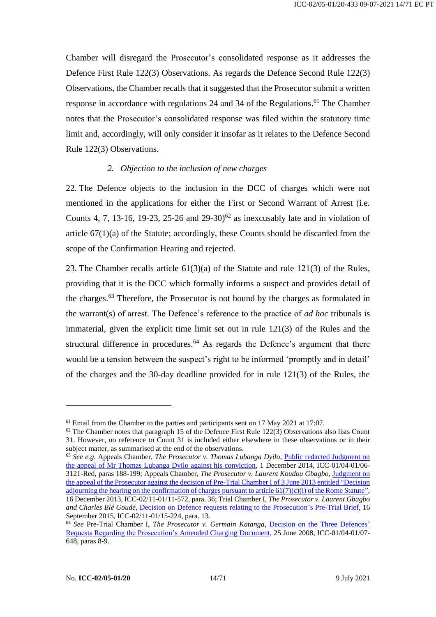Chamber will disregard the Prosecutor's consolidated response as it addresses the Defence First Rule 122(3) Observations. As regards the Defence Second Rule 122(3) Observations, the Chamber recalls that it suggested that the Prosecutor submit a written response in accordance with regulations 24 and 34 of the Regulations. <sup>61</sup> The Chamber notes that the Prosecutor's consolidated response was filed within the statutory time limit and, accordingly, will only consider it insofar as it relates to the Defence Second Rule 122(3) Observations.

#### *2. Objection to the inclusion of new charges*

<span id="page-13-0"></span>22. The Defence objects to the inclusion in the DCC of charges which were not mentioned in the applications for either the First or Second Warrant of Arrest (i.e*.* Counts 4, 7, 13-16, 19-23, 25-26 and 29-30)<sup>62</sup> as inexcusably late and in violation of article  $67(1)(a)$  of the Statute; accordingly, these Counts should be discarded from the scope of the Confirmation Hearing and rejected.

23. The Chamber recalls article 61(3)(a) of the Statute and rule 121(3) of the Rules, providing that it is the DCC which formally informs a suspect and provides detail of the charges.<sup>63</sup> Therefore, the Prosecutor is not bound by the charges as formulated in the warrant(s) of arrest. The Defence's reference to the practice of *ad hoc* tribunals is immaterial, given the explicit time limit set out in rule 121(3) of the Rules and the structural difference in procedures. $64$  As regards the Defence's argument that there would be a tension between the suspect's right to be informed 'promptly and in detail' of the charges and the 30-day deadline provided for in rule 121(3) of the Rules, the

<sup>&</sup>lt;sup>61</sup> Email from the Chamber to the parties and participants sent on 17 May 2021 at 17:07.

 $62$  The Chamber notes that paragraph 15 of the Defence First Rule 122(3) Observations also lists Count 31. However, no reference to Count 31 is included either elsewhere in these observations or in their subject matter, as summarised at the end of the observations.

<sup>63</sup> *See e.g.* Appeals Chamber, *The Prosecutor v. Thomas Lubanga Dyilo*, [Public redacted Judgment on](https://www.icc-cpi.int/CourtRecords/CR2014_09844.PDF)  [the appeal of Mr Thomas Lubanga Dyilo against his conviction,](https://www.icc-cpi.int/CourtRecords/CR2014_09844.PDF) 1 December 2014, ICC-01/04-01/06- 3121-Red, paras 188-199; Appeals Chamber, *The Prosecutor v. Laurent Koudou Gbagbo*, [Judgment on](https://www.icc-cpi.int/CourtRecords/CR2015_04671.PDF)  [the appeal of the Prosecutor against the decision of Pre-Trial Chamber I of 3 June 2013 entitled "Decision](https://www.icc-cpi.int/CourtRecords/CR2015_04671.PDF)  [adjourning the hearing on the confirmation of charges pursuant to article 61\(7\)\(c\)\(i\) of the Rome Statute"](https://www.icc-cpi.int/CourtRecords/CR2015_04671.PDF), 16 December 2013, ICC-02/11-01/11-572, para. 36; Trial Chamber I, *The Prosecutor v. Laurent Gbagbo and Charles Blé Goudé*, [Decision on Defence requests relating to the Prosecution's Pre-Trial Brief,](https://www.icc-cpi.int/CourtRecords/CR2015_17215.PDF) 16 September 2015, ICC-02/11-01/15-224, para. 13.

<sup>64</sup> *See* Pre-Trial Chamber I, *The Prosecutor v. Germain Katanga*, [Decision on the Three Defences'](https://www.icc-cpi.int/CourtRecords/CR2008_03686.PDF) [Requests Regarding the Prosecution's Amended Charging Document,](https://www.icc-cpi.int/CourtRecords/CR2008_03686.PDF) 25 June 2008, ICC-01/04-01/07- 648, paras 8-9.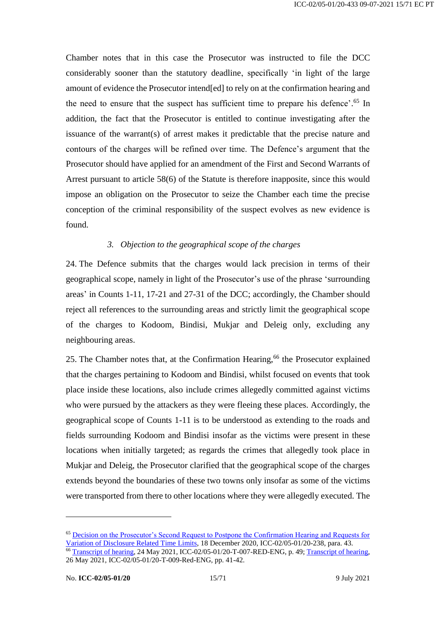Chamber notes that in this case the Prosecutor was instructed to file the DCC considerably sooner than the statutory deadline, specifically 'in light of the large amount of evidence the Prosecutor intend[ed] to rely on at the confirmation hearing and the need to ensure that the suspect has sufficient time to prepare his defence'.<sup>65</sup> In addition, the fact that the Prosecutor is entitled to continue investigating after the issuance of the warrant(s) of arrest makes it predictable that the precise nature and contours of the charges will be refined over time. The Defence's argument that the Prosecutor should have applied for an amendment of the First and Second Warrants of Arrest pursuant to article 58(6) of the Statute is therefore inapposite, since this would impose an obligation on the Prosecutor to seize the Chamber each time the precise conception of the criminal responsibility of the suspect evolves as new evidence is found.

#### *3. Objection to the geographical scope of the charges*

<span id="page-14-0"></span>24. The Defence submits that the charges would lack precision in terms of their geographical scope, namely in light of the Prosecutor's use of the phrase 'surrounding areas' in Counts 1-11, 17-21 and 27-31 of the DCC; accordingly, the Chamber should reject all references to the surrounding areas and strictly limit the geographical scope of the charges to Kodoom, Bindisi, Mukjar and Deleig only, excluding any neighbouring areas.

25. The Chamber notes that, at the Confirmation Hearing,<sup>66</sup> the Prosecutor explained that the charges pertaining to Kodoom and Bindisi, whilst focused on events that took place inside these locations, also include crimes allegedly committed against victims who were pursued by the attackers as they were fleeing these places. Accordingly, the geographical scope of Counts 1-11 is to be understood as extending to the roads and fields surrounding Kodoom and Bindisi insofar as the victims were present in these locations when initially targeted; as regards the crimes that allegedly took place in Mukjar and Deleig, the Prosecutor clarified that the geographical scope of the charges extends beyond the boundaries of these two towns only insofar as some of the victims were transported from there to other locations where they were allegedly executed. The

<sup>65</sup> Decision on [the Prosecutor's Second Request to Postpone the Confirmation Hearing and Requests for](https://www.icc-cpi.int/CourtRecords/CR2020_07476.PDF)  [Variation of Disclosure Related Time Limits,](https://www.icc-cpi.int/CourtRecords/CR2020_07476.PDF) 18 December 2020, ICC-02/05-01/20-238, para. 43.

<sup>&</sup>lt;sup>66</sup> [Transcript of hearing,](https://www.icc-cpi.int/Transcripts/CR2021_05494.PDF) 24 May 2021, ICC-02/05-01/20-T-007-RED-ENG, p. 49; [Transcript of hearing,](https://www.icc-cpi.int/Transcripts/CR2021_05669.PDF) 26 May 2021, ICC-02/05-01/20-T-009-Red-ENG, pp. 41-42.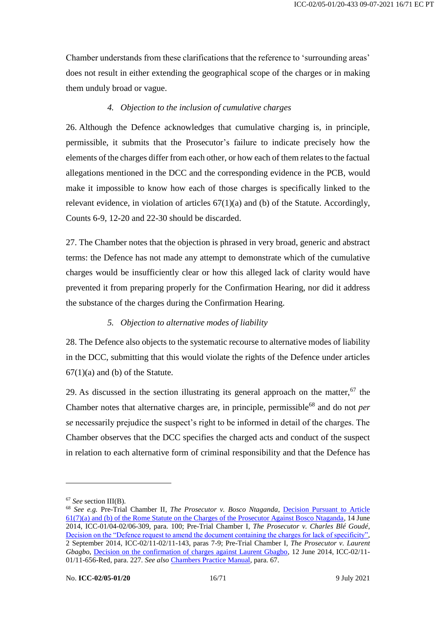Chamber understands from these clarifications that the reference to 'surrounding areas' does not result in either extending the geographical scope of the charges or in making them unduly broad or vague.

#### *4. Objection to the inclusion of cumulative charges*

<span id="page-15-0"></span>26. Although the Defence acknowledges that cumulative charging is, in principle, permissible, it submits that the Prosecutor's failure to indicate precisely how the elements of the charges differ from each other, or how each of them relates to the factual allegations mentioned in the DCC and the corresponding evidence in the PCB, would make it impossible to know how each of those charges is specifically linked to the relevant evidence, in violation of articles  $67(1)(a)$  and (b) of the Statute. Accordingly, Counts 6-9, 12-20 and 22-30 should be discarded.

27. The Chamber notes that the objection is phrased in very broad, generic and abstract terms: the Defence has not made any attempt to demonstrate which of the cumulative charges would be insufficiently clear or how this alleged lack of clarity would have prevented it from preparing properly for the Confirmation Hearing, nor did it address the substance of the charges during the Confirmation Hearing.

#### *5. Objection to alternative modes of liability*

<span id="page-15-1"></span>28. The Defence also objects to the systematic recourse to alternative modes of liability in the DCC, submitting that this would violate the rights of the Defence under articles  $67(1)(a)$  and (b) of the Statute.

29. As discussed in the section illustrating its general approach on the matter,  $67$  the Chamber notes that alternative charges are, in principle, permissible<sup>68</sup> and do not *per se* necessarily prejudice the suspect's right to be informed in detail of the charges. The Chamber observes that the DCC specifies the charged acts and conduct of the suspect in relation to each alternative form of criminal responsibility and that the Defence has

<sup>67</sup> *See* section III(B).

<sup>68</sup> *See e.g.* Pre-Trial Chamber II, *The Prosecutor v. Bosco Ntaganda*, [Decision Pursuant to Article](https://www.icc-cpi.int/CourtRecords/CR2014_04750.PDF)  [61\(7\)\(a\) and \(b\) of the Rome Statute on the Charges of the Prosecutor Against Bosco Ntaganda,](https://www.icc-cpi.int/CourtRecords/CR2014_04750.PDF) 14 June 2014, ICC-01/04-02/06-309, para. 100; Pre-Trial Chamber I, *The Prosecutor v. Charles Blé Goudé*, [Decision on the "Defence request to amend the document containing the charges for lack of specificity",](https://www.icc-cpi.int/CourtRecords/CR2015_05501.PDF) 2 September 2014, ICC-02/11-02/11-143, paras 7-9; Pre-Trial Chamber I, *The Prosecutor v. Laurent Gbagbo*, [Decision on the confirmation of charges against Laurent Gbagbo,](https://www.icc-cpi.int/CourtRecords/CR2015_04777.PDF) 12 June 2014, ICC-02/11- 01/11-656-Red, para. 227. *See also* [Chambers Practice Manual,](https://www.icc-cpi.int/iccdocs/other/191129-chamber-manual-eng.pdf) para. 67.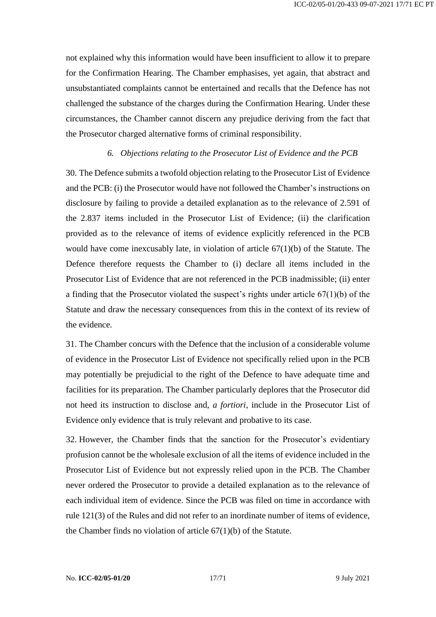not explained why this information would have been insufficient to allow it to prepare for the Confirmation Hearing. The Chamber emphasises, yet again, that abstract and unsubstantiated complaints cannot be entertained and recalls that the Defence has not challenged the substance of the charges during the Confirmation Hearing. Under these circumstances, the Chamber cannot discern any prejudice deriving from the fact that the Prosecutor charged alternative forms of criminal responsibility.

#### *6. Objections relating to the Prosecutor List of Evidence and the PCB*

<span id="page-16-0"></span>30. The Defence submits a twofold objection relating to the Prosecutor List of Evidence and the PCB: (i) the Prosecutor would have not followed the Chamber's instructions on disclosure by failing to provide a detailed explanation as to the relevance of 2.591 of the 2.837 items included in the Prosecutor List of Evidence; (ii) the clarification provided as to the relevance of items of evidence explicitly referenced in the PCB would have come inexcusably late, in violation of article  $67(1)(b)$  of the Statute. The Defence therefore requests the Chamber to (i) declare all items included in the Prosecutor List of Evidence that are not referenced in the PCB inadmissible; (ii) enter a finding that the Prosecutor violated the suspect's rights under article  $67(1)(b)$  of the Statute and draw the necessary consequences from this in the context of its review of the evidence.

31. The Chamber concurs with the Defence that the inclusion of a considerable volume of evidence in the Prosecutor List of Evidence not specifically relied upon in the PCB may potentially be prejudicial to the right of the Defence to have adequate time and facilities for its preparation. The Chamber particularly deplores that the Prosecutor did not heed its instruction to disclose and, *a fortiori*, include in the Prosecutor List of Evidence only evidence that is truly relevant and probative to its case.

32. However, the Chamber finds that the sanction for the Prosecutor's evidentiary profusion cannot be the wholesale exclusion of all the items of evidence included in the Prosecutor List of Evidence but not expressly relied upon in the PCB. The Chamber never ordered the Prosecutor to provide a detailed explanation as to the relevance of each individual item of evidence. Since the PCB was filed on time in accordance with rule 121(3) of the Rules and did not refer to an inordinate number of items of evidence, the Chamber finds no violation of article 67(1)(b) of the Statute.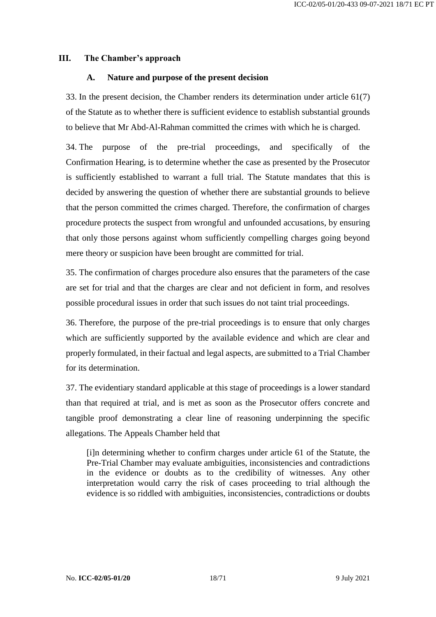#### <span id="page-17-1"></span><span id="page-17-0"></span>**III. The Chamber's approach**

#### **A. Nature and purpose of the present decision**

33. In the present decision, the Chamber renders its determination under article 61(7) of the Statute as to whether there is sufficient evidence to establish substantial grounds to believe that Mr Abd-Al-Rahman committed the crimes with which he is charged.

34. The purpose of the pre-trial proceedings, and specifically of the Confirmation Hearing, is to determine whether the case as presented by the Prosecutor is sufficiently established to warrant a full trial. The Statute mandates that this is decided by answering the question of whether there are substantial grounds to believe that the person committed the crimes charged. Therefore, the confirmation of charges procedure protects the suspect from wrongful and unfounded accusations, by ensuring that only those persons against whom sufficiently compelling charges going beyond mere theory or suspicion have been brought are committed for trial.

35. The confirmation of charges procedure also ensures that the parameters of the case are set for trial and that the charges are clear and not deficient in form, and resolves possible procedural issues in order that such issues do not taint trial proceedings.

36. Therefore, the purpose of the pre-trial proceedings is to ensure that only charges which are sufficiently supported by the available evidence and which are clear and properly formulated, in their factual and legal aspects, are submitted to a Trial Chamber for its determination.

37. The evidentiary standard applicable at this stage of proceedings is a lower standard than that required at trial, and is met as soon as the Prosecutor offers concrete and tangible proof demonstrating a clear line of reasoning underpinning the specific allegations. The Appeals Chamber held that

[i]n determining whether to confirm charges under article 61 of the Statute, the Pre-Trial Chamber may evaluate ambiguities, inconsistencies and contradictions in the evidence or doubts as to the credibility of witnesses. Any other interpretation would carry the risk of cases proceeding to trial although the evidence is so riddled with ambiguities, inconsistencies, contradictions or doubts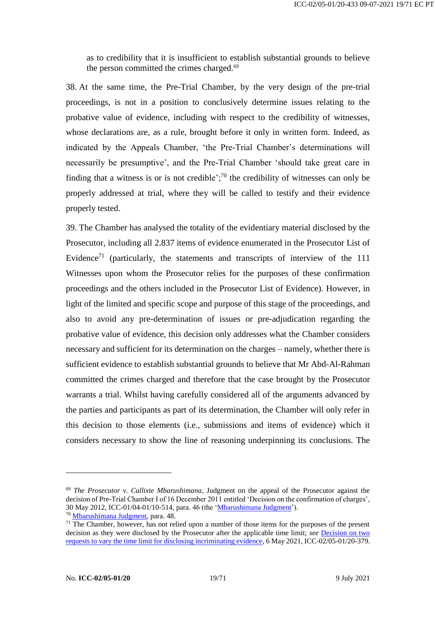as to credibility that it is insufficient to establish substantial grounds to believe the person committed the crimes charged.<sup>69</sup>

38. At the same time, the Pre-Trial Chamber, by the very design of the pre-trial proceedings, is not in a position to conclusively determine issues relating to the probative value of evidence, including with respect to the credibility of witnesses, whose declarations are, as a rule, brought before it only in written form. Indeed, as indicated by the Appeals Chamber, 'the Pre-Trial Chamber's determinations will necessarily be presumptive', and the Pre-Trial Chamber 'should take great care in finding that a witness is or is not credible'; $^{70}$  the credibility of witnesses can only be properly addressed at trial, where they will be called to testify and their evidence properly tested.

39. The Chamber has analysed the totality of the evidentiary material disclosed by the Prosecutor, including all 2.837 items of evidence enumerated in the Prosecutor List of Evidence<sup>71</sup> (particularly, the statements and transcripts of interview of the  $111$ Witnesses upon whom the Prosecutor relies for the purposes of these confirmation proceedings and the others included in the Prosecutor List of Evidence). However, in light of the limited and specific scope and purpose of this stage of the proceedings, and also to avoid any pre-determination of issues or pre-adjudication regarding the probative value of evidence, this decision only addresses what the Chamber considers necessary and sufficient for its determination on the charges – namely, whether there is sufficient evidence to establish substantial grounds to believe that Mr Abd-Al-Rahman committed the crimes charged and therefore that the case brought by the Prosecutor warrants a trial. Whilst having carefully considered all of the arguments advanced by the parties and participants as part of its determination, the Chamber will only refer in this decision to those elements (i.e., submissions and items of evidence) which it considers necessary to show the line of reasoning underpinning its conclusions. The

<sup>69</sup> *The Prosecutor v. Callixte Mbarushimana*, Judgment on the appeal of the Prosecutor against the decision of Pre-Trial Chamber I of 16 December 2011 entitled 'Decision on the confirmation of charges', 30 May 2012, ICC-01/04-01/10-514, para. 46 (the ['Mbarushimana Judgment'](https://www.icc-cpi.int/CourtRecords/CR2012_06457.PDF)).

<sup>70</sup> [Mbarushimana Judgment,](https://www.icc-cpi.int/CourtRecords/CR2012_06457.PDF) para. 48.

 $71$  The Chamber, however, has not relied upon a number of those items for the purposes of the present decision as they were disclosed by the Prosecutor after the applicable time limit; *see* [Decision on two](https://www.icc-cpi.int/CourtRecords/CR2021_04222.PDF)  [requests to vary the time limit for disclosing incriminating evidence,](https://www.icc-cpi.int/CourtRecords/CR2021_04222.PDF) 6 May 2021, ICC-02/05-01/20-379.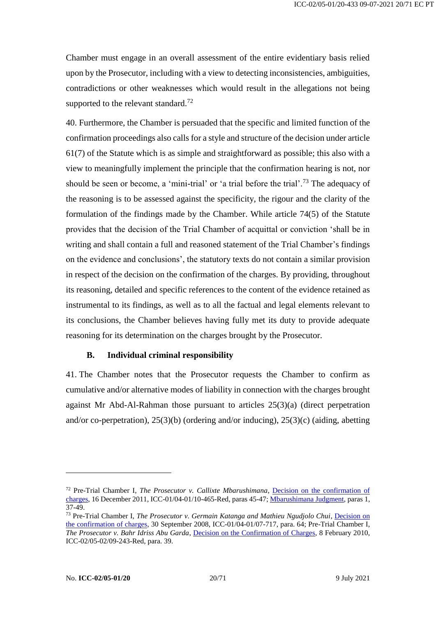Chamber must engage in an overall assessment of the entire evidentiary basis relied upon by the Prosecutor, including with a view to detecting inconsistencies, ambiguities, contradictions or other weaknesses which would result in the allegations not being supported to the relevant standard.<sup>72</sup>

40. Furthermore, the Chamber is persuaded that the specific and limited function of the confirmation proceedings also calls for a style and structure of the decision under article 61(7) of the Statute which is as simple and straightforward as possible; this also with a view to meaningfully implement the principle that the confirmation hearing is not, nor should be seen or become, a 'mini-trial' or 'a trial before the trial'.<sup>73</sup> The adequacy of the reasoning is to be assessed against the specificity, the rigour and the clarity of the formulation of the findings made by the Chamber. While article 74(5) of the Statute provides that the decision of the Trial Chamber of acquittal or conviction 'shall be in writing and shall contain a full and reasoned statement of the Trial Chamber's findings on the evidence and conclusions', the statutory texts do not contain a similar provision in respect of the decision on the confirmation of the charges. By providing, throughout its reasoning, detailed and specific references to the content of the evidence retained as instrumental to its findings, as well as to all the factual and legal elements relevant to its conclusions, the Chamber believes having fully met its duty to provide adequate reasoning for its determination on the charges brought by the Prosecutor.

#### **B. Individual criminal responsibility**

<span id="page-19-0"></span>41. The Chamber notes that the Prosecutor requests the Chamber to confirm as cumulative and/or alternative modes of liability in connection with the charges brought against Mr Abd-Al-Rahman those pursuant to articles 25(3)(a) (direct perpetration and/or co-perpetration), 25(3)(b) (ordering and/or inducing), 25(3)(c) (aiding, abetting

<sup>72</sup> Pre-Trial Chamber I, *The Prosecutor v. Callixte Mbarushimana*, [Decision on the confirmation of](https://www.icc-cpi.int/CourtRecords/CR2011_22538.PDF)  [charges,](https://www.icc-cpi.int/CourtRecords/CR2011_22538.PDF) 16 December 2011, ICC-01/04-01/10-465-Red, paras 45-47[; Mbarushimana Judgment,](https://www.icc-cpi.int/CourtRecords/CR2012_06457.PDF) paras 1, 37-49.

<sup>73</sup> Pre-Trial Chamber I, *The Prosecutor v. Germain Katanga and Mathieu Ngudjolo Chui*, [Decision on](https://www.icc-cpi.int/CourtRecords/CR2008_05172.PDF)  [the confirmation of charges,](https://www.icc-cpi.int/CourtRecords/CR2008_05172.PDF) 30 September 2008, ICC-01/04-01/07-717, para. 64; Pre-Trial Chamber I, *The Prosecutor v. Bahr Idriss Abu Garda*, [Decision on the Confirmation of Charges,](https://www.icc-cpi.int/CourtRecords/CR2010_00753.PDF) 8 February 2010, ICC-02/05-02/09-243-Red, para. 39.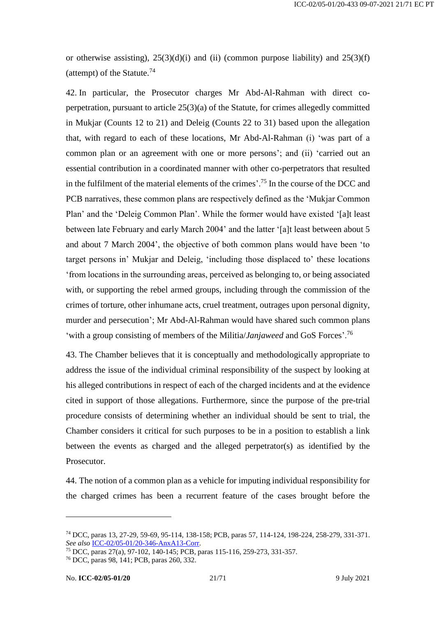or otherwise assisting),  $25(3)(d)(i)$  and (ii) (common purpose liability) and  $25(3)(f)$ (attempt) of the Statute. 74

42. In particular, the Prosecutor charges Mr Abd-Al-Rahman with direct coperpetration, pursuant to article 25(3)(a) of the Statute, for crimes allegedly committed in Mukjar (Counts 12 to 21) and Deleig (Counts 22 to 31) based upon the allegation that, with regard to each of these locations, Mr Abd-Al-Rahman (i) 'was part of a common plan or an agreement with one or more persons'; and (ii) 'carried out an essential contribution in a coordinated manner with other co-perpetrators that resulted in the fulfilment of the material elements of the crimes'.<sup>75</sup> In the course of the DCC and PCB narratives, these common plans are respectively defined as the 'Mukjar Common Plan' and the 'Deleig Common Plan'. While the former would have existed '[a]t least between late February and early March 2004' and the latter '[a]t least between about 5 and about 7 March 2004', the objective of both common plans would have been 'to target persons in' Mukjar and Deleig, 'including those displaced to' these locations 'from locations in the surrounding areas, perceived as belonging to, or being associated with, or supporting the rebel armed groups, including through the commission of the crimes of torture, other inhumane acts, cruel treatment, outrages upon personal dignity, murder and persecution'; Mr Abd-Al-Rahman would have shared such common plans 'with a group consisting of members of the Militia/*Janjaweed* and GoS Forces'.<sup>76</sup>

43. The Chamber believes that it is conceptually and methodologically appropriate to address the issue of the individual criminal responsibility of the suspect by looking at his alleged contributions in respect of each of the charged incidents and at the evidence cited in support of those allegations. Furthermore, since the purpose of the pre-trial procedure consists of determining whether an individual should be sent to trial, the Chamber considers it critical for such purposes to be in a position to establish a link between the events as charged and the alleged perpetrator(s) as identified by the Prosecutor.

44. The notion of a common plan as a vehicle for imputing individual responsibility for the charged crimes has been a recurrent feature of the cases brought before the

<sup>74</sup> DCC, paras 13, 27-29, 59-69, 95-114, 138-158; PCB, paras 57, 114-124, 198-224, 258-279, 331-371. *See also* [ICC-02/05-01/20-346-AnxA13-Corr.](https://www.icc-cpi.int/RelatedRecords/CR2021_04670.PDF)

<sup>75</sup> DCC, paras 27(a), 97-102, 140-145; PCB, paras 115-116, 259-273, 331-357.

<sup>76</sup> DCC, paras 98, 141; PCB, paras 260, 332.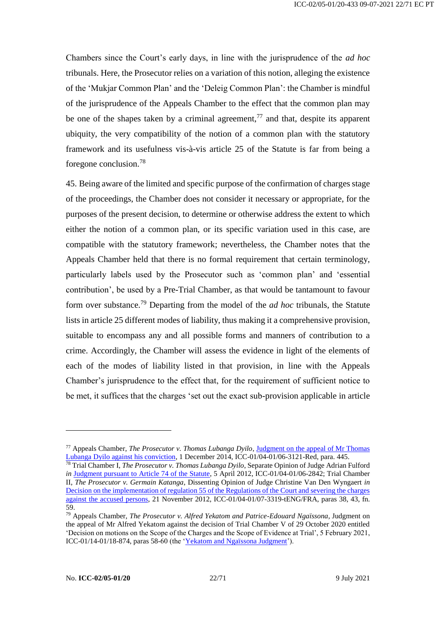Chambers since the Court's early days, in line with the jurisprudence of the *ad hoc*  tribunals. Here, the Prosecutor relies on a variation of this notion, alleging the existence of the 'Mukjar Common Plan' and the 'Deleig Common Plan': the Chamber is mindful of the jurisprudence of the Appeals Chamber to the effect that the common plan may be one of the shapes taken by a criminal agreement,  $\frac{1}{7}$  and that, despite its apparent ubiquity, the very compatibility of the notion of a common plan with the statutory framework and its usefulness vis-à-vis article 25 of the Statute is far from being a foregone conclusion.<sup>78</sup>

45. Being aware of the limited and specific purpose of the confirmation of charges stage of the proceedings, the Chamber does not consider it necessary or appropriate, for the purposes of the present decision, to determine or otherwise address the extent to which either the notion of a common plan, or its specific variation used in this case, are compatible with the statutory framework; nevertheless, the Chamber notes that the Appeals Chamber held that there is no formal requirement that certain terminology, particularly labels used by the Prosecutor such as 'common plan' and 'essential contribution', be used by a Pre-Trial Chamber, as that would be tantamount to favour form over substance.<sup>79</sup> Departing from the model of the *ad hoc* tribunals, the Statute lists in article 25 different modes of liability, thus making it a comprehensive provision, suitable to encompass any and all possible forms and manners of contribution to a crime. Accordingly, the Chamber will assess the evidence in light of the elements of each of the modes of liability listed in that provision, in line with the Appeals Chamber's jurisprudence to the effect that, for the requirement of sufficient notice to be met, it suffices that the charges 'set out the exact sub-provision applicable in article

<sup>77</sup> Appeals Chamber, *The Prosecutor v. Thomas Lubanga Dyilo*, [Judgment on the appeal of Mr Thomas](https://www.icc-cpi.int/CourtRecords/CR2014_09844.PDF)  [Lubanga Dyilo against his conviction,](https://www.icc-cpi.int/CourtRecords/CR2014_09844.PDF) 1 December 2014, ICC-01/04-01/06-3121-Red, para. 445.

<sup>78</sup> Trial Chamber I, *The Prosecutor v. Thomas Lubanga Dyilo*, Separate Opinion of Judge Adrian Fulford *in* [Judgment pursuant to Article 74 of the Statute,](https://www.icc-cpi.int/CourtRecords/CR2012_03942.PDF) 5 April 2012, ICC-01/04-01/06-2842; Trial Chamber II, *The Prosecutor v. Germain Katanga*, Dissenting Opinion of Judge Christine Van Den Wyngaert *in* [Decision on the implementation of regulation 55 of the Regulations of the Court and severing the charges](https://www.icc-cpi.int/CourtRecords/CR2012_10236.PDF)  [against the accused persons,](https://www.icc-cpi.int/CourtRecords/CR2012_10236.PDF) 21 November 2012, ICC-01/04-01/07-3319-tENG/FRA, paras 38, 43, fn. 59.

<sup>79</sup> Appeals Chamber, *The Prosecutor v. Alfred Yekatom and Patrice-Edouard Ngaïssona*, Judgment on the appeal of Mr Alfred Yekatom against the decision of Trial Chamber V of 29 October 2020 entitled 'Decision on motions on the Scope of the Charges and the Scope of Evidence at Trial', 5 February 2021, ICC-01/14-01/18-874, paras 58-60 (the ['Yekatom and Ngaïssona Judgment'](https://www.icc-cpi.int/CourtRecords/CR2021_01142.PDF)).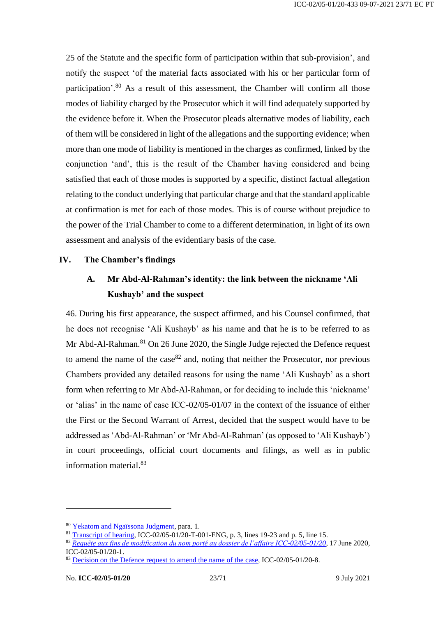25 of the Statute and the specific form of participation within that sub-provision', and notify the suspect 'of the material facts associated with his or her particular form of participation'.<sup>80</sup> As a result of this assessment, the Chamber will confirm all those modes of liability charged by the Prosecutor which it will find adequately supported by the evidence before it. When the Prosecutor pleads alternative modes of liability, each of them will be considered in light of the allegations and the supporting evidence; when more than one mode of liability is mentioned in the charges as confirmed, linked by the conjunction 'and', this is the result of the Chamber having considered and being satisfied that each of those modes is supported by a specific, distinct factual allegation relating to the conduct underlying that particular charge and that the standard applicable at confirmation is met for each of those modes. This is of course without prejudice to the power of the Trial Chamber to come to a different determination, in light of its own assessment and analysis of the evidentiary basis of the case.

#### <span id="page-22-1"></span><span id="page-22-0"></span>**IV. The Chamber's findings**

# **A. Mr Abd-Al-Rahman's identity: the link between the nickname 'Ali Kushayb' and the suspect**

46. During his first appearance, the suspect affirmed, and his Counsel confirmed, that he does not recognise 'Ali Kushayb' as his name and that he is to be referred to as Mr Abd-Al-Rahman.<sup>81</sup> On 26 June 2020, the Single Judge rejected the Defence request to amend the name of the case  $82$  and, noting that neither the Prosecutor, nor previous Chambers provided any detailed reasons for using the name 'Ali Kushayb' as a short form when referring to Mr Abd-Al-Rahman, or for deciding to include this 'nickname' or 'alias' in the name of case ICC-02/05-01/07 in the context of the issuance of either the First or the Second Warrant of Arrest, decided that the suspect would have to be addressed as 'Abd-Al-Rahman' or 'Mr Abd-Al-Rahman' (as opposed to 'Ali Kushayb') in court proceedings, official court documents and filings, as well as in public information material.<sup>83</sup>

<sup>80</sup> [Yekatom and Ngaïssona Judgment,](https://www.icc-cpi.int/CourtRecords/CR2021_01142.PDF) para. 1.

 $\frac{1}{81}$  [Transcript of hearing,](https://www.icc-cpi.int/Transcripts/CR2020_02436.PDF) ICC-02/05-01/20-T-001-ENG, p. 3, lines 19-23 and p. 5, line 15.

<sup>82</sup> *[Requête aux fins de modification du nom porté au dossier de l'affaire ICC-02/05-01/20](https://www.icc-cpi.int/CourtRecords/CR2020_02471.PDF)*, 17 June 2020, ICC-02/05-01/20-1.

<sup>&</sup>lt;sup>83</sup> [Decision on the Defence request to amend the name](https://www.icc-cpi.int/CourtRecords/CR2020_02826.PDF) of the case, ICC-02/05-01/20-8.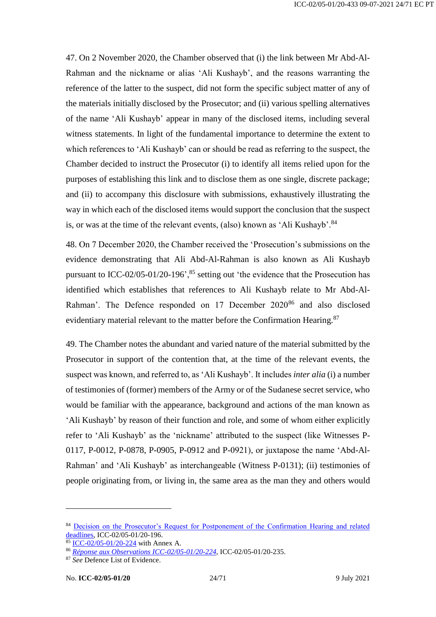47. On 2 November 2020, the Chamber observed that (i) the link between Mr Abd-Al-Rahman and the nickname or alias 'Ali Kushayb', and the reasons warranting the reference of the latter to the suspect, did not form the specific subject matter of any of the materials initially disclosed by the Prosecutor; and (ii) various spelling alternatives of the name 'Ali Kushayb' appear in many of the disclosed items, including several witness statements. In light of the fundamental importance to determine the extent to which references to 'Ali Kushayb' can or should be read as referring to the suspect, the Chamber decided to instruct the Prosecutor (i) to identify all items relied upon for the purposes of establishing this link and to disclose them as one single, discrete package; and (ii) to accompany this disclosure with submissions, exhaustively illustrating the way in which each of the disclosed items would support the conclusion that the suspect is, or was at the time of the relevant events, (also) known as 'Ali Kushayb'.<sup>84</sup>

48. On 7 December 2020, the Chamber received the 'Prosecution's submissions on the evidence demonstrating that Ali Abd-Al-Rahman is also known as Ali Kushayb pursuant to ICC-02/05-01/20-196<sup>', 85</sup> setting out 'the evidence that the Prosecution has identified which establishes that references to Ali Kushayb relate to Mr Abd-Al-Rahman'. The Defence responded on 17 December 2020<sup>86</sup> and also disclosed evidentiary material relevant to the matter before the Confirmation Hearing.<sup>87</sup>

49. The Chamber notes the abundant and varied nature of the material submitted by the Prosecutor in support of the contention that, at the time of the relevant events, the suspect was known, and referred to, as 'Ali Kushayb'. It includes *inter alia* (i) a number of testimonies of (former) members of the Army or of the Sudanese secret service, who would be familiar with the appearance, background and actions of the man known as 'Ali Kushayb' by reason of their function and role, and some of whom either explicitly refer to 'Ali Kushayb' as the 'nickname' attributed to the suspect (like Witnesses P-0117, P-0012, P-0878, P-0905, P-0912 and P-0921), or juxtapose the name 'Abd-Al-Rahman' and 'Ali Kushayb' as interchangeable (Witness P-0131); (ii) testimonies of people originating from, or living in, the same area as the man they and others would

<sup>84</sup> [Decision on the Prosecutor's Request for Postponement of the Confirmation Hearing and related](https://www.icc-cpi.int/CourtRecords/CR2020_05941.PDF)  [deadlines,](https://www.icc-cpi.int/CourtRecords/CR2020_05941.PDF) ICC-02/05-01/20-196.

 $85$  [ICC-02/05-01/20-224](https://www.icc-cpi.int/CourtRecords/CR2020_06860.PDF) with Annex A.

<sup>86</sup> *[Réponse aux Observations ICC-02/05-01/20-224](https://www.icc-cpi.int/CourtRecords/CR2020_07411.PDF)*, ICC-02/05-01/20-235.

<sup>87</sup> *See* Defence List of Evidence.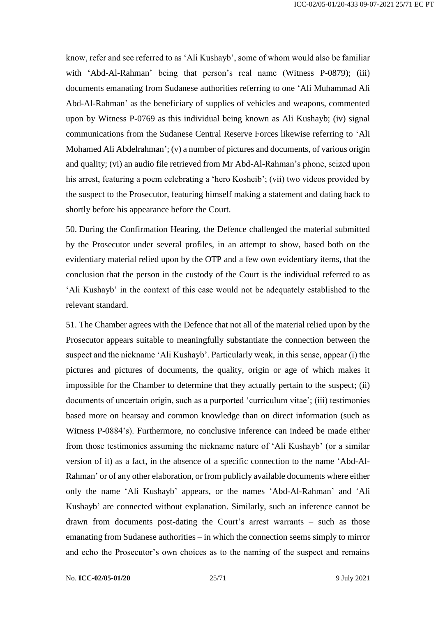know, refer and see referred to as 'Ali Kushayb', some of whom would also be familiar with 'Abd-Al-Rahman' being that person's real name (Witness P-0879); (iii) documents emanating from Sudanese authorities referring to one 'Ali Muhammad Ali Abd-Al-Rahman' as the beneficiary of supplies of vehicles and weapons, commented upon by Witness P-0769 as this individual being known as Ali Kushayb; (iv) signal communications from the Sudanese Central Reserve Forces likewise referring to 'Ali Mohamed Ali Abdelrahman'; (v) a number of pictures and documents, of various origin and quality; (vi) an audio file retrieved from Mr Abd-Al-Rahman's phone, seized upon his arrest, featuring a poem celebrating a 'hero Kosheib'; (vii) two videos provided by the suspect to the Prosecutor, featuring himself making a statement and dating back to shortly before his appearance before the Court.

50. During the Confirmation Hearing, the Defence challenged the material submitted by the Prosecutor under several profiles, in an attempt to show, based both on the evidentiary material relied upon by the OTP and a few own evidentiary items, that the conclusion that the person in the custody of the Court is the individual referred to as 'Ali Kushayb' in the context of this case would not be adequately established to the relevant standard.

51. The Chamber agrees with the Defence that not all of the material relied upon by the Prosecutor appears suitable to meaningfully substantiate the connection between the suspect and the nickname 'Ali Kushayb'. Particularly weak, in this sense, appear (i) the pictures and pictures of documents, the quality, origin or age of which makes it impossible for the Chamber to determine that they actually pertain to the suspect; (ii) documents of uncertain origin, such as a purported 'curriculum vitae'; (iii) testimonies based more on hearsay and common knowledge than on direct information (such as Witness P-0884's). Furthermore, no conclusive inference can indeed be made either from those testimonies assuming the nickname nature of 'Ali Kushayb' (or a similar version of it) as a fact, in the absence of a specific connection to the name 'Abd-Al-Rahman' or of any other elaboration, or from publicly available documents where either only the name 'Ali Kushayb' appears, or the names 'Abd-Al-Rahman' and 'Ali Kushayb' are connected without explanation. Similarly, such an inference cannot be drawn from documents post-dating the Court's arrest warrants – such as those emanating from Sudanese authorities – in which the connection seems simply to mirror and echo the Prosecutor's own choices as to the naming of the suspect and remains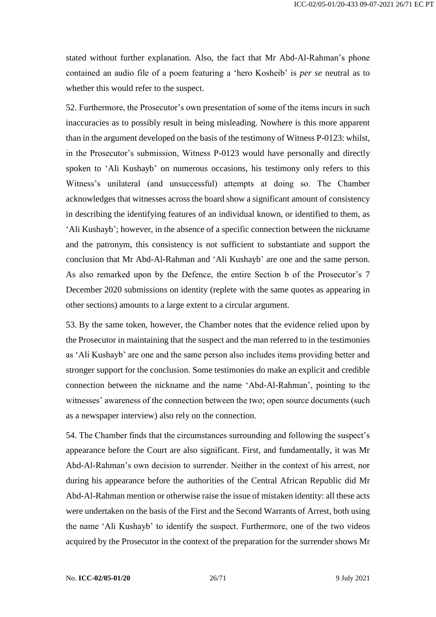stated without further explanation. Also, the fact that Mr Abd-Al-Rahman's phone contained an audio file of a poem featuring a 'hero Kosheib' is *per se* neutral as to whether this would refer to the suspect.

52. Furthermore, the Prosecutor's own presentation of some of the items incurs in such inaccuracies as to possibly result in being misleading. Nowhere is this more apparent than in the argument developed on the basis of the testimony of Witness P-0123: whilst, in the Prosecutor's submission, Witness P-0123 would have personally and directly spoken to 'Ali Kushayb' on numerous occasions, his testimony only refers to this Witness's unilateral (and unsuccessful) attempts at doing so. The Chamber acknowledges that witnesses across the board show a significant amount of consistency in describing the identifying features of an individual known, or identified to them, as 'Ali Kushayb'; however, in the absence of a specific connection between the nickname and the patronym, this consistency is not sufficient to substantiate and support the conclusion that Mr Abd-Al-Rahman and 'Ali Kushayb' are one and the same person. As also remarked upon by the Defence, the entire Section b of the Prosecutor's 7 December 2020 submissions on identity (replete with the same quotes as appearing in other sections) amounts to a large extent to a circular argument.

53. By the same token, however, the Chamber notes that the evidence relied upon by the Prosecutor in maintaining that the suspect and the man referred to in the testimonies as 'Ali Kushayb' are one and the same person also includes items providing better and stronger support for the conclusion. Some testimonies do make an explicit and credible connection between the nickname and the name 'Abd-Al-Rahman', pointing to the witnesses' awareness of the connection between the two; open source documents (such as a newspaper interview) also rely on the connection.

54. The Chamber finds that the circumstances surrounding and following the suspect's appearance before the Court are also significant. First, and fundamentally, it was Mr Abd-Al-Rahman's own decision to surrender. Neither in the context of his arrest, nor during his appearance before the authorities of the Central African Republic did Mr Abd-Al-Rahman mention or otherwise raise the issue of mistaken identity: all these acts were undertaken on the basis of the First and the Second Warrants of Arrest, both using the name 'Ali Kushayb' to identify the suspect. Furthermore, one of the two videos acquired by the Prosecutor in the context of the preparation for the surrender shows Mr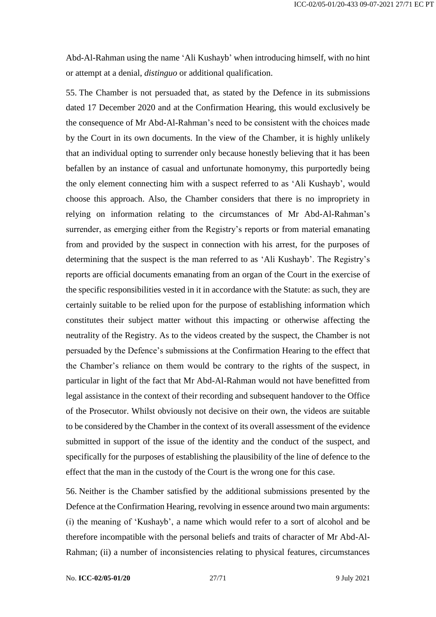Abd-Al-Rahman using the name 'Ali Kushayb' when introducing himself, with no hint or attempt at a denial, *distinguo* or additional qualification.

55. The Chamber is not persuaded that, as stated by the Defence in its submissions dated 17 December 2020 and at the Confirmation Hearing, this would exclusively be the consequence of Mr Abd-Al-Rahman's need to be consistent with the choices made by the Court in its own documents. In the view of the Chamber, it is highly unlikely that an individual opting to surrender only because honestly believing that it has been befallen by an instance of casual and unfortunate homonymy, this purportedly being the only element connecting him with a suspect referred to as 'Ali Kushayb', would choose this approach. Also, the Chamber considers that there is no impropriety in relying on information relating to the circumstances of Mr Abd-Al-Rahman's surrender, as emerging either from the Registry's reports or from material emanating from and provided by the suspect in connection with his arrest, for the purposes of determining that the suspect is the man referred to as 'Ali Kushayb'. The Registry's reports are official documents emanating from an organ of the Court in the exercise of the specific responsibilities vested in it in accordance with the Statute: as such, they are certainly suitable to be relied upon for the purpose of establishing information which constitutes their subject matter without this impacting or otherwise affecting the neutrality of the Registry. As to the videos created by the suspect, the Chamber is not persuaded by the Defence's submissions at the Confirmation Hearing to the effect that the Chamber's reliance on them would be contrary to the rights of the suspect, in particular in light of the fact that Mr Abd-Al-Rahman would not have benefitted from legal assistance in the context of their recording and subsequent handover to the Office of the Prosecutor. Whilst obviously not decisive on their own, the videos are suitable to be considered by the Chamber in the context of its overall assessment of the evidence submitted in support of the issue of the identity and the conduct of the suspect, and specifically for the purposes of establishing the plausibility of the line of defence to the effect that the man in the custody of the Court is the wrong one for this case.

56. Neither is the Chamber satisfied by the additional submissions presented by the Defence at the Confirmation Hearing, revolving in essence around two main arguments: (i) the meaning of 'Kushayb', a name which would refer to a sort of alcohol and be therefore incompatible with the personal beliefs and traits of character of Mr Abd-Al-Rahman; (ii) a number of inconsistencies relating to physical features, circumstances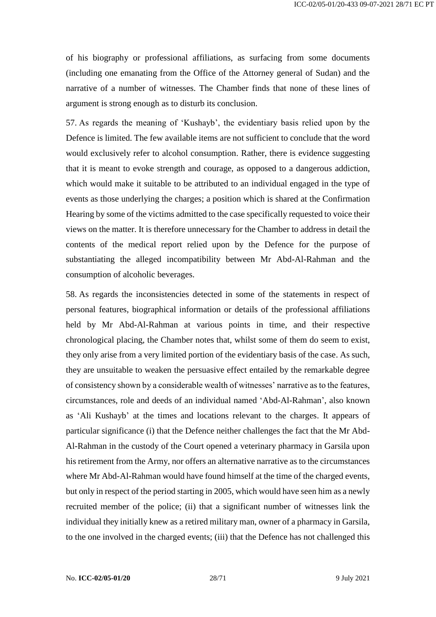of his biography or professional affiliations, as surfacing from some documents (including one emanating from the Office of the Attorney general of Sudan) and the narrative of a number of witnesses. The Chamber finds that none of these lines of argument is strong enough as to disturb its conclusion.

57. As regards the meaning of 'Kushayb', the evidentiary basis relied upon by the Defence is limited. The few available items are not sufficient to conclude that the word would exclusively refer to alcohol consumption. Rather, there is evidence suggesting that it is meant to evoke strength and courage, as opposed to a dangerous addiction, which would make it suitable to be attributed to an individual engaged in the type of events as those underlying the charges; a position which is shared at the Confirmation Hearing by some of the victims admitted to the case specifically requested to voice their views on the matter. It is therefore unnecessary for the Chamber to address in detail the contents of the medical report relied upon by the Defence for the purpose of substantiating the alleged incompatibility between Mr Abd-Al-Rahman and the consumption of alcoholic beverages.

58. As regards the inconsistencies detected in some of the statements in respect of personal features, biographical information or details of the professional affiliations held by Mr Abd-Al-Rahman at various points in time, and their respective chronological placing, the Chamber notes that, whilst some of them do seem to exist, they only arise from a very limited portion of the evidentiary basis of the case. As such, they are unsuitable to weaken the persuasive effect entailed by the remarkable degree of consistency shown by a considerable wealth of witnesses' narrative as to the features, circumstances, role and deeds of an individual named 'Abd-Al-Rahman', also known as 'Ali Kushayb' at the times and locations relevant to the charges. It appears of particular significance (i) that the Defence neither challenges the fact that the Mr Abd-Al-Rahman in the custody of the Court opened a veterinary pharmacy in Garsila upon his retirement from the Army, nor offers an alternative narrative as to the circumstances where Mr Abd-Al-Rahman would have found himself at the time of the charged events, but only in respect of the period starting in 2005, which would have seen him as a newly recruited member of the police; (ii) that a significant number of witnesses link the individual they initially knew as a retired military man, owner of a pharmacy in Garsila, to the one involved in the charged events; (iii) that the Defence has not challenged this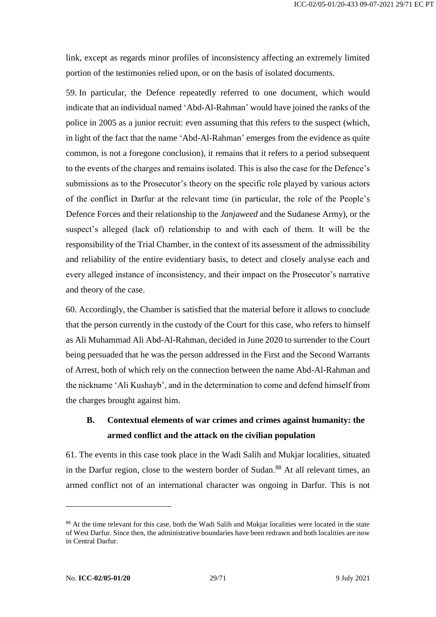link, except as regards minor profiles of inconsistency affecting an extremely limited portion of the testimonies relied upon, or on the basis of isolated documents.

59. In particular, the Defence repeatedly referred to one document, which would indicate that an individual named 'Abd-Al-Rahman' would have joined the ranks of the police in 2005 as a junior recruit: even assuming that this refers to the suspect (which, in light of the fact that the name 'Abd-Al-Rahman' emerges from the evidence as quite common, is not a foregone conclusion), it remains that it refers to a period subsequent to the events of the charges and remains isolated. This is also the case for the Defence's submissions as to the Prosecutor's theory on the specific role played by various actors of the conflict in Darfur at the relevant time (in particular, the role of the People's Defence Forces and their relationship to the *Janjaweed* and the Sudanese Army), or the suspect's alleged (lack of) relationship to and with each of them. It will be the responsibility of the Trial Chamber, in the context of its assessment of the admissibility and reliability of the entire evidentiary basis, to detect and closely analyse each and every alleged instance of inconsistency, and their impact on the Prosecutor's narrative and theory of the case.

60. Accordingly, the Chamber is satisfied that the material before it allows to conclude that the person currently in the custody of the Court for this case, who refers to himself as Ali Muhammad Ali Abd-Al-Rahman, decided in June 2020 to surrender to the Court being persuaded that he was the person addressed in the First and the Second Warrants of Arrest, both of which rely on the connection between the name Abd-Al-Rahman and the nickname 'Ali Kushayb', and in the determination to come and defend himself from the charges brought against him.

# <span id="page-28-0"></span>**B. Contextual elements of war crimes and crimes against humanity: the armed conflict and the attack on the civilian population**

61. The events in this case took place in the Wadi Salih and Mukjar localities, situated in the Darfur region, close to the western border of Sudan. <sup>88</sup> At all relevant times, an armed conflict not of an international character was ongoing in Darfur. This is not

<sup>&</sup>lt;sup>88</sup> At the time relevant for this case, both the Wadi Salih and Mukjar localities were located in the state of West Darfur. Since then, the administrative boundaries have been redrawn and both localities are now in Central Darfur.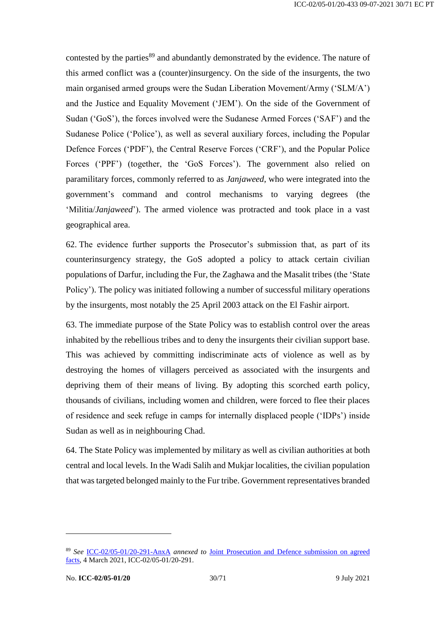contested by the parties<sup>89</sup> and abundantly demonstrated by the evidence. The nature of this armed conflict was a (counter)insurgency. On the side of the insurgents, the two main organised armed groups were the Sudan Liberation Movement/Army ('SLM/A') and the Justice and Equality Movement ('JEM'). On the side of the Government of Sudan ('GoS'), the forces involved were the Sudanese Armed Forces ('SAF') and the Sudanese Police ('Police'), as well as several auxiliary forces, including the Popular Defence Forces ('PDF'), the Central Reserve Forces ('CRF'), and the Popular Police Forces ('PPF') (together, the 'GoS Forces'). The government also relied on paramilitary forces, commonly referred to as *Janjaweed*, who were integrated into the government's command and control mechanisms to varying degrees (the 'Militia/*Janjaweed*'). The armed violence was protracted and took place in a vast geographical area.

62. The evidence further supports the Prosecutor's submission that, as part of its counterinsurgency strategy, the GoS adopted a policy to attack certain civilian populations of Darfur, including the Fur, the Zaghawa and the Masalit tribes (the 'State Policy'). The policy was initiated following a number of successful military operations by the insurgents, most notably the 25 April 2003 attack on the El Fashir airport.

63. The immediate purpose of the State Policy was to establish control over the areas inhabited by the rebellious tribes and to deny the insurgents their civilian support base. This was achieved by committing indiscriminate acts of violence as well as by destroying the homes of villagers perceived as associated with the insurgents and depriving them of their means of living. By adopting this scorched earth policy, thousands of civilians, including women and children, were forced to flee their places of residence and seek refuge in camps for internally displaced people ('IDPs') inside Sudan as well as in neighbouring Chad.

64. The State Policy was implemented by military as well as civilian authorities at both central and local levels. In the Wadi Salih and Mukjar localities, the civilian population that was targeted belonged mainly to the Fur tribe. Government representatives branded

<sup>89</sup> *See* [ICC-02/05-01/20-291-AnxA](https://www.icc-cpi.int/RelatedRecords/CR2021_01810.PDF) *annexed to* [Joint Prosecution and Defence submission on agreed](https://www.icc-cpi.int/CourtRecords/CR2021_01809.PDF)  [facts,](https://www.icc-cpi.int/CourtRecords/CR2021_01809.PDF) 4 March 2021, ICC-02/05-01/20-291.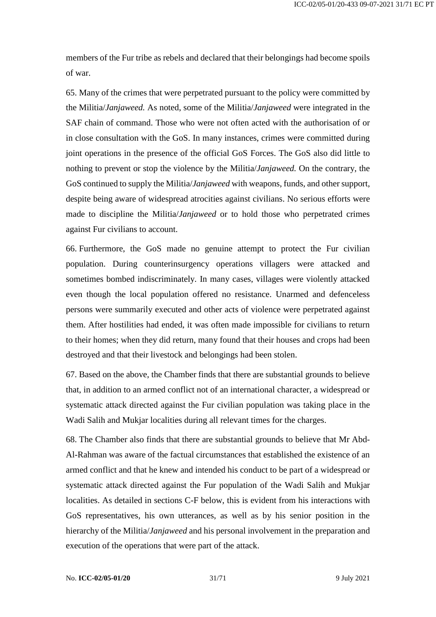members of the Fur tribe as rebels and declared that their belongings had become spoils of war.

65. Many of the crimes that were perpetrated pursuant to the policy were committed by the Militia/*Janjaweed.* As noted, some of the Militia/*Janjaweed* were integrated in the SAF chain of command. Those who were not often acted with the authorisation of or in close consultation with the GoS. In many instances, crimes were committed during joint operations in the presence of the official GoS Forces. The GoS also did little to nothing to prevent or stop the violence by the Militia/*Janjaweed.* On the contrary, the GoS continued to supply the Militia/*Janjaweed* with weapons, funds, and other support, despite being aware of widespread atrocities against civilians. No serious efforts were made to discipline the Militia/*Janjaweed* or to hold those who perpetrated crimes against Fur civilians to account.

66. Furthermore, the GoS made no genuine attempt to protect the Fur civilian population. During counterinsurgency operations villagers were attacked and sometimes bombed indiscriminately. In many cases, villages were violently attacked even though the local population offered no resistance. Unarmed and defenceless persons were summarily executed and other acts of violence were perpetrated against them. After hostilities had ended, it was often made impossible for civilians to return to their homes; when they did return, many found that their houses and crops had been destroyed and that their livestock and belongings had been stolen.

67. Based on the above, the Chamber finds that there are substantial grounds to believe that, in addition to an armed conflict not of an international character, a widespread or systematic attack directed against the Fur civilian population was taking place in the Wadi Salih and Mukjar localities during all relevant times for the charges.

68. The Chamber also finds that there are substantial grounds to believe that Mr Abd-Al-Rahman was aware of the factual circumstances that established the existence of an armed conflict and that he knew and intended his conduct to be part of a widespread or systematic attack directed against the Fur population of the Wadi Salih and Mukjar localities. As detailed in sections C-F below, this is evident from his interactions with GoS representatives, his own utterances, as well as by his senior position in the hierarchy of the Militia/*Janjaweed* and his personal involvement in the preparation and execution of the operations that were part of the attack.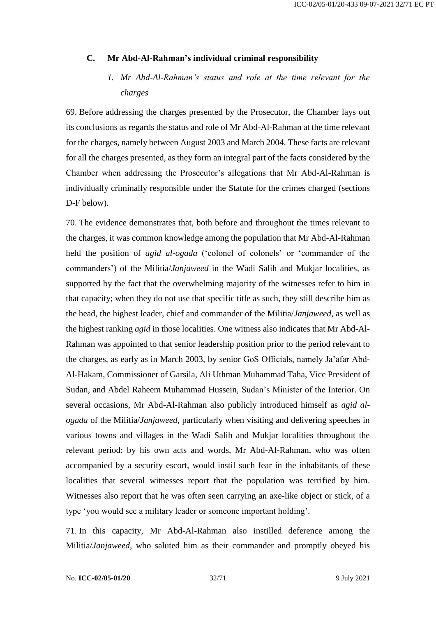#### <span id="page-31-1"></span><span id="page-31-0"></span>**C. Mr Abd-Al-Rahman's individual criminal responsibility**

# *1. Mr Abd-Al-Rahman's status and role at the time relevant for the charges*

69. Before addressing the charges presented by the Prosecutor, the Chamber lays out its conclusions as regards the status and role of Mr Abd-Al-Rahman at the time relevant for the charges, namely between August 2003 and March 2004. These facts are relevant for all the charges presented, as they form an integral part of the facts considered by the Chamber when addressing the Prosecutor's allegations that Mr Abd-Al-Rahman is individually criminally responsible under the Statute for the crimes charged (sections D-F below).

70. The evidence demonstrates that, both before and throughout the times relevant to the charges, it was common knowledge among the population that Mr Abd-Al-Rahman held the position of *agid al-ogada* ('colonel of colonels' or 'commander of the commanders') of the Militia/*Janjaweed* in the Wadi Salih and Mukjar localities, as supported by the fact that the overwhelming majority of the witnesses refer to him in that capacity; when they do not use that specific title as such, they still describe him as the head, the highest leader, chief and commander of the Militia/*Janjaweed*, as well as the highest ranking *agid* in those localities. One witness also indicates that Mr Abd-Al-Rahman was appointed to that senior leadership position prior to the period relevant to the charges, as early as in March 2003, by senior GoS Officials, namely Ja'afar Abd-Al-Hakam, Commissioner of Garsila, Ali Uthman Muhammad Taha, Vice President of Sudan, and Abdel Raheem Muhammad Hussein, Sudan's Minister of the Interior. On several occasions, Mr Abd-Al-Rahman also publicly introduced himself as *agid alogada* of the Militia/*Janjaweed*, particularly when visiting and delivering speeches in various towns and villages in the Wadi Salih and Mukjar localities throughout the relevant period: by his own acts and words, Mr Abd-Al-Rahman, who was often accompanied by a security escort, would instil such fear in the inhabitants of these localities that several witnesses report that the population was terrified by him. Witnesses also report that he was often seen carrying an axe-like object or stick, of a type 'you would see a military leader or someone important holding'.

71. In this capacity, Mr Abd-Al-Rahman also instilled deference among the Militia/*Janjaweed*, who saluted him as their commander and promptly obeyed his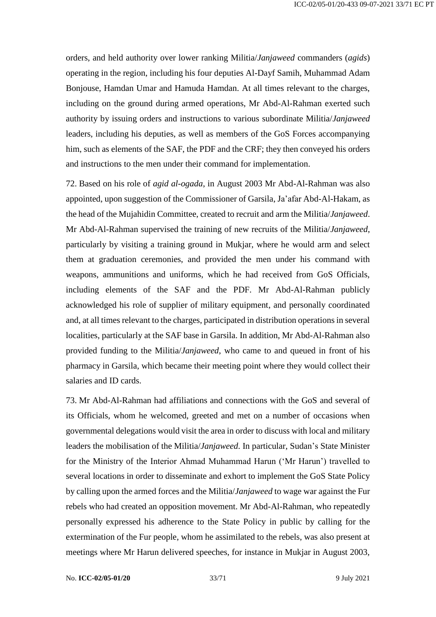orders, and held authority over lower ranking Militia/*Janjaweed* commanders (*agids*) operating in the region, including his four deputies Al-Dayf Samih, Muhammad Adam Bonjouse, Hamdan Umar and Hamuda Hamdan. At all times relevant to the charges, including on the ground during armed operations, Mr Abd-Al-Rahman exerted such authority by issuing orders and instructions to various subordinate Militia/*Janjaweed* leaders, including his deputies, as well as members of the GoS Forces accompanying him, such as elements of the SAF, the PDF and the CRF; they then conveyed his orders and instructions to the men under their command for implementation.

72. Based on his role of *agid al-ogada*, in August 2003 Mr Abd-Al-Rahman was also appointed, upon suggestion of the Commissioner of Garsila, Ja'afar Abd-Al-Hakam, as the head of the Mujahidin Committee, created to recruit and arm the Militia/*Janjaweed*. Mr Abd-Al-Rahman supervised the training of new recruits of the Militia/*Janjaweed*, particularly by visiting a training ground in Mukjar, where he would arm and select them at graduation ceremonies, and provided the men under his command with weapons, ammunitions and uniforms, which he had received from GoS Officials, including elements of the SAF and the PDF. Mr Abd-Al-Rahman publicly acknowledged his role of supplier of military equipment, and personally coordinated and, at all times relevant to the charges, participated in distribution operations in several localities, particularly at the SAF base in Garsila. In addition, Mr Abd-Al-Rahman also provided funding to the Militia/*Janjaweed*, who came to and queued in front of his pharmacy in Garsila, which became their meeting point where they would collect their salaries and ID cards.

73. Mr Abd-Al-Rahman had affiliations and connections with the GoS and several of its Officials, whom he welcomed, greeted and met on a number of occasions when governmental delegations would visit the area in order to discuss with local and military leaders the mobilisation of the Militia/*Janjaweed*. In particular, Sudan's State Minister for the Ministry of the Interior Ahmad Muhammad Harun ('Mr Harun') travelled to several locations in order to disseminate and exhort to implement the GoS State Policy by calling upon the armed forces and the Militia/*Janjaweed* to wage war against the Fur rebels who had created an opposition movement. Mr Abd-Al-Rahman, who repeatedly personally expressed his adherence to the State Policy in public by calling for the extermination of the Fur people, whom he assimilated to the rebels, was also present at meetings where Mr Harun delivered speeches, for instance in Mukjar in August 2003,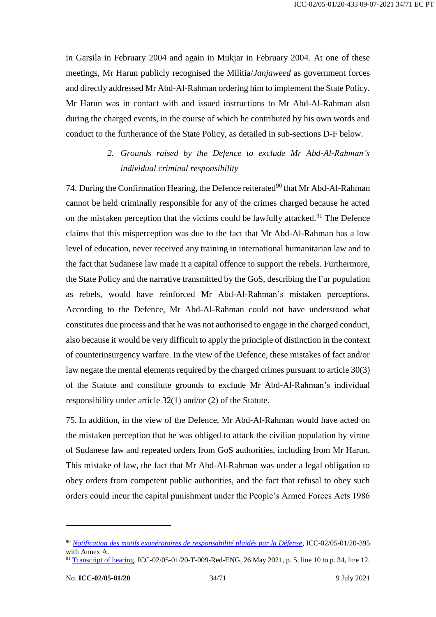in Garsila in February 2004 and again in Mukjar in February 2004. At one of these meetings, Mr Harun publicly recognised the Militia/*Janjaweed* as government forces and directly addressed Mr Abd-Al-Rahman ordering him to implement the State Policy. Mr Harun was in contact with and issued instructions to Mr Abd-Al-Rahman also during the charged events, in the course of which he contributed by his own words and conduct to the furtherance of the State Policy, as detailed in sub-sections D-F below.

> *2. Grounds raised by the Defence to exclude Mr Abd-Al-Rahman's individual criminal responsibility*

<span id="page-33-0"></span>74. During the Confirmation Hearing, the Defence reiterated<sup>90</sup> that Mr Abd-Al-Rahman cannot be held criminally responsible for any of the crimes charged because he acted on the mistaken perception that the victims could be lawfully attacked.<sup>91</sup> The Defence claims that this misperception was due to the fact that Mr Abd-Al-Rahman has a low level of education, never received any training in international humanitarian law and to the fact that Sudanese law made it a capital offence to support the rebels. Furthermore, the State Policy and the narrative transmitted by the GoS, describing the Fur population as rebels, would have reinforced Mr Abd-Al-Rahman's mistaken perceptions. According to the Defence, Mr Abd-Al-Rahman could not have understood what constitutes due process and that he was not authorised to engage in the charged conduct, also because it would be very difficult to apply the principle of distinction in the context of counterinsurgency warfare. In the view of the Defence, these mistakes of fact and/or law negate the mental elements required by the charged crimes pursuant to article 30(3) of the Statute and constitute grounds to exclude Mr Abd-Al-Rahman's individual responsibility under article 32(1) and/or (2) of the Statute.

75. In addition, in the view of the Defence, Mr Abd-Al-Rahman would have acted on the mistaken perception that he was obliged to attack the civilian population by virtue of Sudanese law and repeated orders from GoS authorities, including from Mr Harun. This mistake of law, the fact that Mr Abd-Al-Rahman was under a legal obligation to obey orders from competent public authorities, and the fact that refusal to obey such orders could incur the capital punishment under the People's Armed Forces Acts 1986

<sup>90</sup> *[Notification des motifs exonératoires de responsabilité plaidés par la Défense](https://www.icc-cpi.int/CourtRecords/CR2021_04591.PDF)*, ICC-02/05-01/20-395 with Annex A.

<sup>91</sup> [Transcript of hearing,](https://www.icc-cpi.int/Transcripts/CR2021_05669.PDF) ICC-02/05-01/20-T-009-Red-ENG, 26 May 2021, p. 5, line 10 to p. 34, line 12.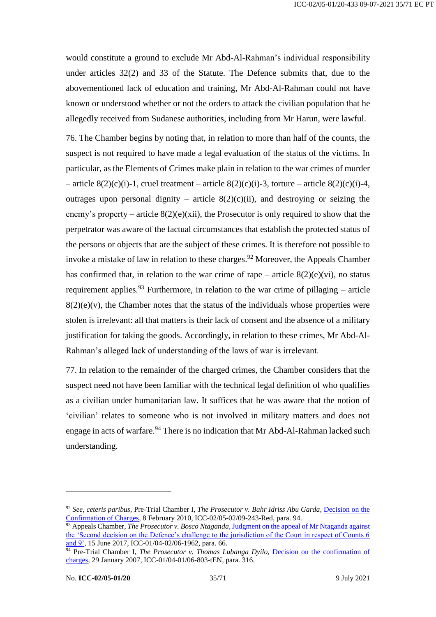would constitute a ground to exclude Mr Abd-Al-Rahman's individual responsibility under articles 32(2) and 33 of the Statute. The Defence submits that, due to the abovementioned lack of education and training, Mr Abd-Al-Rahman could not have known or understood whether or not the orders to attack the civilian population that he allegedly received from Sudanese authorities, including from Mr Harun, were lawful.

76. The Chamber begins by noting that, in relation to more than half of the counts, the suspect is not required to have made a legal evaluation of the status of the victims. In particular, as the Elements of Crimes make plain in relation to the war crimes of murder – article  $8(2)(c)(i)$ -1, cruel treatment – article  $8(2)(c)(i)$ -3, torture – article  $8(2)(c)(i)$ -4, outrages upon personal dignity – article  $8(2)(c)(ii)$ , and destroying or seizing the enemy's property – article  $8(2)(e)(xii)$ , the Prosecutor is only required to show that the perpetrator was aware of the factual circumstances that establish the protected status of the persons or objects that are the subject of these crimes. It is therefore not possible to invoke a mistake of law in relation to these charges.<sup>92</sup> Moreover, the Appeals Chamber has confirmed that, in relation to the war crime of rape – article  $8(2)(e)(vi)$ , no status requirement applies.<sup>93</sup> Furthermore, in relation to the war crime of pillaging – article  $8(2)(e)(v)$ , the Chamber notes that the status of the individuals whose properties were stolen is irrelevant: all that matters is their lack of consent and the absence of a military justification for taking the goods. Accordingly, in relation to these crimes, Mr Abd-Al-Rahman's alleged lack of understanding of the laws of war is irrelevant.

77. In relation to the remainder of the charged crimes, the Chamber considers that the suspect need not have been familiar with the technical legal definition of who qualifies as a civilian under humanitarian law. It suffices that he was aware that the notion of 'civilian' relates to someone who is not involved in military matters and does not engage in acts of warfare.  $94$  There is no indication that Mr Abd-Al-Rahman lacked such understanding.

<sup>92</sup> *See, ceteris paribus*, Pre-Trial Chamber I, *The Prosecutor v. Bahr Idriss Abu Garda*, [Decision on the](https://www.icc-cpi.int/CourtRecords/CR2010_00753.PDF)  [Confirmation of Charges,](https://www.icc-cpi.int/CourtRecords/CR2010_00753.PDF) 8 February 2010, ICC-02/05-02/09-243-Red, para. 94.

<sup>93</sup> Appeals Chamber, *The Prosecutor v. Bosco Ntaganda,* [Judgment on the appeal of Mr Ntaganda against](https://www.icc-cpi.int/CourtRecords/CR2017_03920.PDF)  [the 'Second decision on the Defence's challenge to the jurisdiction of the Court in respect of Counts 6](https://www.icc-cpi.int/CourtRecords/CR2017_03920.PDF)  [and 9',](https://www.icc-cpi.int/CourtRecords/CR2017_03920.PDF) 15 June 2017, ICC-01/04-02/06-1962*,* para. 66.

<sup>&</sup>lt;sup>94</sup> Pre-Trial Chamber I, *The Prosecutor v. Thomas Lubanga Dyilo*, *Decision on the confirmation of* [charges,](https://www.icc-cpi.int/CourtRecords/CR2007_02360.PDF) 29 January 2007, ICC-01/04-01/06-803-tEN, para. 316.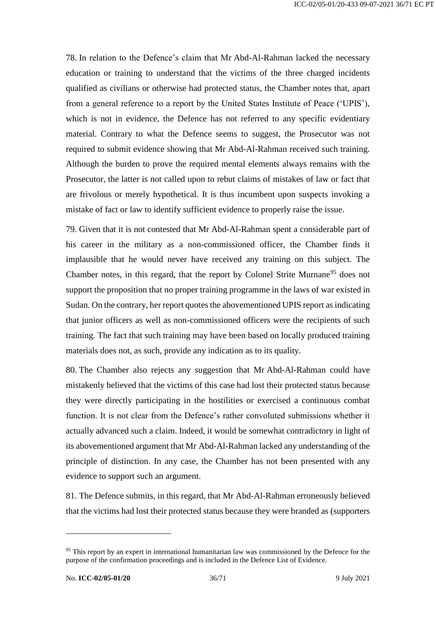78. In relation to the Defence's claim that Mr Abd-Al-Rahman lacked the necessary education or training to understand that the victims of the three charged incidents qualified as civilians or otherwise had protected status, the Chamber notes that, apart from a general reference to a report by the United States Institute of Peace ('UPIS'), which is not in evidence, the Defence has not referred to any specific evidentiary material. Contrary to what the Defence seems to suggest, the Prosecutor was not required to submit evidence showing that Mr Abd-Al-Rahman received such training. Although the burden to prove the required mental elements always remains with the Prosecutor, the latter is not called upon to rebut claims of mistakes of law or fact that are frivolous or merely hypothetical. It is thus incumbent upon suspects invoking a mistake of fact or law to identify sufficient evidence to properly raise the issue.

79. Given that it is not contested that Mr Abd-Al-Rahman spent a considerable part of his career in the military as a non-commissioned officer, the Chamber finds it implausible that he would never have received any training on this subject. The Chamber notes, in this regard, that the report by Colonel Strite Murnane<sup>95</sup> does not support the proposition that no proper training programme in the laws of war existed in Sudan. On the contrary, her report quotes the abovementioned UPIS report as indicating that junior officers as well as non-commissioned officers were the recipients of such training. The fact that such training may have been based on locally produced training materials does not, as such, provide any indication as to its quality.

80. The Chamber also rejects any suggestion that Mr Abd-Al-Rahman could have mistakenly believed that the victims of this case had lost their protected status because they were directly participating in the hostilities or exercised a continuous combat function. It is not clear from the Defence's rather convoluted submissions whether it actually advanced such a claim. Indeed, it would be somewhat contradictory in light of its abovementioned argument that Mr Abd-Al-Rahman lacked any understanding of the principle of distinction. In any case, the Chamber has not been presented with any evidence to support such an argument.

81. The Defence submits, in this regard, that Mr Abd-Al-Rahman erroneously believed that the victims had lost their protected status because they were branded as (supporters

<sup>&</sup>lt;sup>95</sup> This report by an expert in international humanitarian law was commissioned by the Defence for the purpose of the confirmation proceedings and is included in the Defence List of Evidence.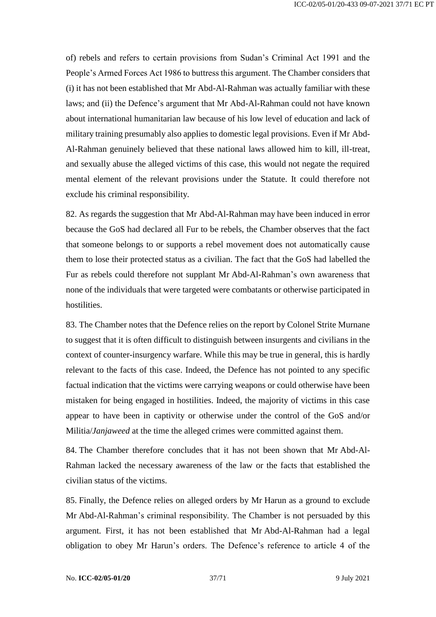of) rebels and refers to certain provisions from Sudan's Criminal Act 1991 and the People's Armed Forces Act 1986 to buttress this argument. The Chamber considers that (i) it has not been established that Mr Abd-Al-Rahman was actually familiar with these laws; and (ii) the Defence's argument that Mr Abd-Al-Rahman could not have known about international humanitarian law because of his low level of education and lack of military training presumably also applies to domestic legal provisions. Even if Mr Abd-Al-Rahman genuinely believed that these national laws allowed him to kill, ill-treat, and sexually abuse the alleged victims of this case, this would not negate the required mental element of the relevant provisions under the Statute. It could therefore not exclude his criminal responsibility.

82. As regards the suggestion that Mr Abd-Al-Rahman may have been induced in error because the GoS had declared all Fur to be rebels, the Chamber observes that the fact that someone belongs to or supports a rebel movement does not automatically cause them to lose their protected status as a civilian. The fact that the GoS had labelled the Fur as rebels could therefore not supplant Mr Abd-Al-Rahman's own awareness that none of the individuals that were targeted were combatants or otherwise participated in hostilities.

83. The Chamber notes that the Defence relies on the report by Colonel Strite Murnane to suggest that it is often difficult to distinguish between insurgents and civilians in the context of counter-insurgency warfare. While this may be true in general, this is hardly relevant to the facts of this case. Indeed, the Defence has not pointed to any specific factual indication that the victims were carrying weapons or could otherwise have been mistaken for being engaged in hostilities. Indeed, the majority of victims in this case appear to have been in captivity or otherwise under the control of the GoS and/or Militia/*Janjaweed* at the time the alleged crimes were committed against them.

84. The Chamber therefore concludes that it has not been shown that Mr Abd-Al-Rahman lacked the necessary awareness of the law or the facts that established the civilian status of the victims.

85. Finally, the Defence relies on alleged orders by Mr Harun as a ground to exclude Mr Abd-Al-Rahman's criminal responsibility. The Chamber is not persuaded by this argument. First, it has not been established that Mr Abd-Al-Rahman had a legal obligation to obey Mr Harun's orders. The Defence's reference to article 4 of the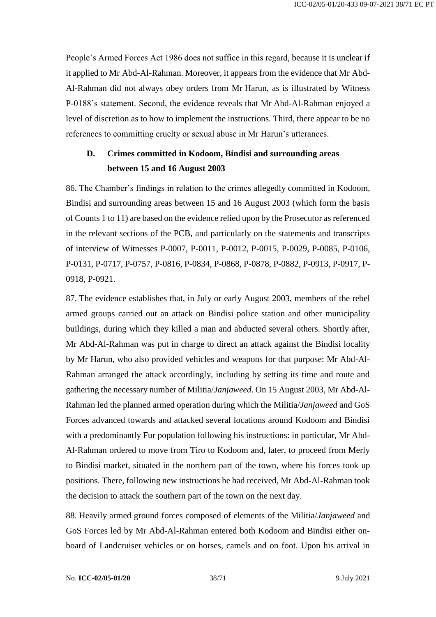People's Armed Forces Act 1986 does not suffice in this regard, because it is unclear if it applied to Mr Abd-Al-Rahman. Moreover, it appears from the evidence that Mr Abd-Al-Rahman did not always obey orders from Mr Harun, as is illustrated by Witness P-0188's statement. Second, the evidence reveals that Mr Abd-Al-Rahman enjoyed a level of discretion as to how to implement the instructions. Third, there appear to be no references to committing cruelty or sexual abuse in Mr Harun's utterances.

# <span id="page-37-0"></span>**D. Crimes committed in Kodoom, Bindisi and surrounding areas between 15 and 16 August 2003**

86. The Chamber's findings in relation to the crimes allegedly committed in Kodoom, Bindisi and surrounding areas between 15 and 16 August 2003 (which form the basis of Counts 1 to 11) are based on the evidence relied upon by the Prosecutor as referenced in the relevant sections of the PCB, and particularly on the statements and transcripts of interview of Witnesses P-0007, P-0011, P-0012, P-0015, P-0029, P-0085, P-0106, P-0131, P-0717, P-0757, P-0816, P-0834, P-0868, P-0878, P-0882, P-0913, P-0917, P-0918, P-0921.

87. The evidence establishes that, in July or early August 2003, members of the rebel armed groups carried out an attack on Bindisi police station and other municipality buildings, during which they killed a man and abducted several others. Shortly after, Mr Abd-Al-Rahman was put in charge to direct an attack against the Bindisi locality by Mr Harun, who also provided vehicles and weapons for that purpose: Mr Abd-Al-Rahman arranged the attack accordingly, including by setting its time and route and gathering the necessary number of Militia/*Janjaweed*. On 15 August 2003, Mr Abd-Al-Rahman led the planned armed operation during which the Militia/*Janjaweed* and GoS Forces advanced towards and attacked several locations around Kodoom and Bindisi with a predominantly Fur population following his instructions: in particular, Mr Abd-Al-Rahman ordered to move from Tiro to Kodoom and, later, to proceed from Merly to Bindisi market, situated in the northern part of the town, where his forces took up positions. There, following new instructions he had received, Mr Abd-Al-Rahman took the decision to attack the southern part of the town on the next day.

88. Heavily armed ground forces composed of elements of the Militia/*Janjaweed* and GoS Forces led by Mr Abd-Al-Rahman entered both Kodoom and Bindisi either onboard of Landcruiser vehicles or on horses, camels and on foot. Upon his arrival in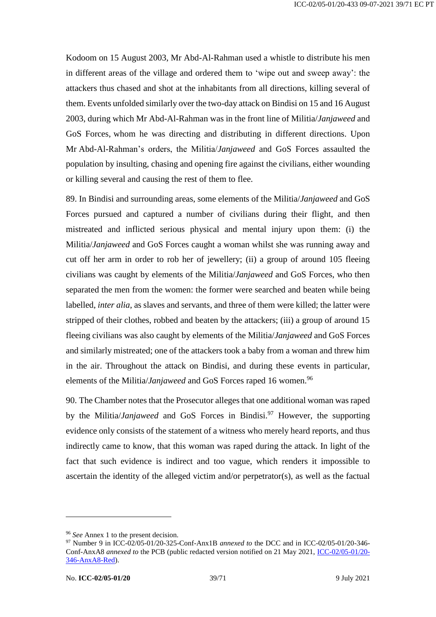Kodoom on 15 August 2003, Mr Abd-Al-Rahman used a whistle to distribute his men in different areas of the village and ordered them to 'wipe out and sweep away': the attackers thus chased and shot at the inhabitants from all directions, killing several of them. Events unfolded similarly over the two-day attack on Bindisi on 15 and 16 August 2003, during which Mr Abd-Al-Rahman was in the front line of Militia/*Janjaweed* and GoS Forces, whom he was directing and distributing in different directions. Upon Mr Abd-Al-Rahman's orders, the Militia/*Janjaweed* and GoS Forces assaulted the population by insulting, chasing and opening fire against the civilians, either wounding or killing several and causing the rest of them to flee.

89. In Bindisi and surrounding areas, some elements of the Militia/*Janjaweed* and GoS Forces pursued and captured a number of civilians during their flight, and then mistreated and inflicted serious physical and mental injury upon them: (i) the Militia/*Janjaweed* and GoS Forces caught a woman whilst she was running away and cut off her arm in order to rob her of jewellery; (ii) a group of around 105 fleeing civilians was caught by elements of the Militia/*Janjaweed* and GoS Forces, who then separated the men from the women: the former were searched and beaten while being labelled, *inter alia*, as slaves and servants, and three of them were killed; the latter were stripped of their clothes, robbed and beaten by the attackers; (iii) a group of around 15 fleeing civilians was also caught by elements of the Militia/*Janjaweed* and GoS Forces and similarly mistreated; one of the attackers took a baby from a woman and threw him in the air. Throughout the attack on Bindisi, and during these events in particular, elements of the Militia/*Janjaweed* and GoS Forces raped 16 women.<sup>96</sup>

90. The Chamber notes that the Prosecutor alleges that one additional woman was raped by the Militia/*Janjaweed* and GoS Forces in Bindisi.<sup>97</sup> However, the supporting evidence only consists of the statement of a witness who merely heard reports, and thus indirectly came to know, that this woman was raped during the attack. In light of the fact that such evidence is indirect and too vague, which renders it impossible to ascertain the identity of the alleged victim and/or perpetrator(s), as well as the factual

<sup>&</sup>lt;sup>96</sup> See Annex 1 to the present decision.

<sup>97</sup> Number 9 in ICC-02/05-01/20-325-Conf-Anx1B *annexed to* the DCC and in ICC-02/05-01/20-346- Conf-AnxA8 *annexed to* the PCB (public redacted version notified on 21 May 2021, [ICC-02/05-01/20-](https://www.icc-cpi.int/RelatedRecords/CR2021_04742.PDF) [346-AnxA8-Red\)](https://www.icc-cpi.int/RelatedRecords/CR2021_04742.PDF).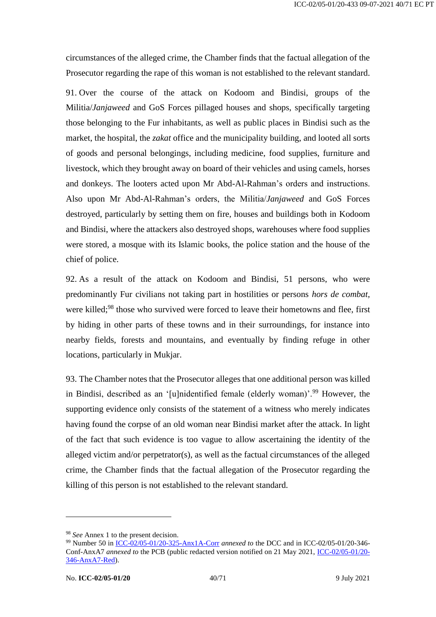circumstances of the alleged crime, the Chamber finds that the factual allegation of the Prosecutor regarding the rape of this woman is not established to the relevant standard.

91. Over the course of the attack on Kodoom and Bindisi, groups of the Militia/*Janjaweed* and GoS Forces pillaged houses and shops, specifically targeting those belonging to the Fur inhabitants, as well as public places in Bindisi such as the market, the hospital, the *zakat* office and the municipality building, and looted all sorts of goods and personal belongings, including medicine, food supplies, furniture and livestock, which they brought away on board of their vehicles and using camels, horses and donkeys. The looters acted upon Mr Abd-Al-Rahman's orders and instructions. Also upon Mr Abd-Al-Rahman's orders, the Militia/*Janjaweed* and GoS Forces destroyed, particularly by setting them on fire, houses and buildings both in Kodoom and Bindisi, where the attackers also destroyed shops, warehouses where food supplies were stored, a mosque with its Islamic books, the police station and the house of the chief of police.

92. As a result of the attack on Kodoom and Bindisi, 51 persons, who were predominantly Fur civilians not taking part in hostilities or persons *hors de combat*, were killed:<sup>98</sup> those who survived were forced to leave their hometowns and flee, first by hiding in other parts of these towns and in their surroundings, for instance into nearby fields, forests and mountains, and eventually by finding refuge in other locations, particularly in Mukjar.

93. The Chamber notes that the Prosecutor alleges that one additional person was killed in Bindisi, described as an '[u]nidentified female (elderly woman)'.<sup>99</sup> However, the supporting evidence only consists of the statement of a witness who merely indicates having found the corpse of an old woman near Bindisi market after the attack. In light of the fact that such evidence is too vague to allow ascertaining the identity of the alleged victim and/or perpetrator(s), as well as the factual circumstances of the alleged crime, the Chamber finds that the factual allegation of the Prosecutor regarding the killing of this person is not established to the relevant standard.

<sup>&</sup>lt;sup>98</sup> *See* Annex 1 to the present decision.

<sup>99</sup> Number 50 in [ICC-02/05-01/20-325-Anx1A-Corr](https://www.icc-cpi.int/RelatedRecords/CR2021_03370.PDF) *annexed to* the DCC and in ICC-02/05-01/20-346- Conf-AnxA7 *annexed to* the PCB (public redacted version notified on 21 May 2021, [ICC-02/05-01/20-](https://www.icc-cpi.int/RelatedRecords/CR2021_04745.PDF) [346-AnxA7-Red\)](https://www.icc-cpi.int/RelatedRecords/CR2021_04745.PDF).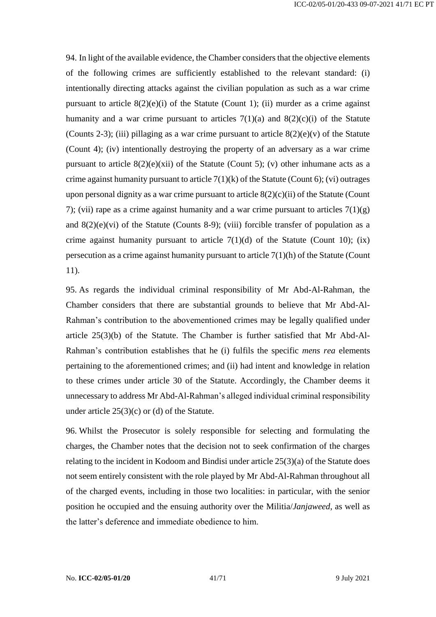94. In light of the available evidence, the Chamber considers that the objective elements of the following crimes are sufficiently established to the relevant standard: (i) intentionally directing attacks against the civilian population as such as a war crime pursuant to article  $8(2)(e)(i)$  of the Statute (Count 1); (ii) murder as a crime against humanity and a war crime pursuant to articles  $7(1)(a)$  and  $8(2)(c)(i)$  of the Statute (Counts 2-3); (iii) pillaging as a war crime pursuant to article  $8(2)(e)(v)$  of the Statute (Count 4); (iv) intentionally destroying the property of an adversary as a war crime pursuant to article  $8(2)(e)(xii)$  of the Statute (Count 5); (v) other inhumane acts as a crime against humanity pursuant to article  $7(1)(k)$  of the Statute (Count 6); (vi) outrages upon personal dignity as a war crime pursuant to article  $8(2)(c)(ii)$  of the Statute (Count 7); (vii) rape as a crime against humanity and a war crime pursuant to articles  $7(1)(g)$ and  $8(2)(e)(vi)$  of the Statute (Counts 8-9); (viii) forcible transfer of population as a crime against humanity pursuant to article  $7(1)(d)$  of the Statute (Count 10); (ix) persecution as a crime against humanity pursuant to article 7(1)(h) of the Statute (Count 11).

95. As regards the individual criminal responsibility of Mr Abd-Al-Rahman, the Chamber considers that there are substantial grounds to believe that Mr Abd-Al-Rahman's contribution to the abovementioned crimes may be legally qualified under article 25(3)(b) of the Statute. The Chamber is further satisfied that Mr Abd-Al-Rahman's contribution establishes that he (i) fulfils the specific *mens rea* elements pertaining to the aforementioned crimes; and (ii) had intent and knowledge in relation to these crimes under article 30 of the Statute. Accordingly, the Chamber deems it unnecessary to address Mr Abd-Al-Rahman's alleged individual criminal responsibility under article 25(3)(c) or (d) of the Statute.

96. Whilst the Prosecutor is solely responsible for selecting and formulating the charges, the Chamber notes that the decision not to seek confirmation of the charges relating to the incident in Kodoom and Bindisi under article 25(3)(a) of the Statute does not seem entirely consistent with the role played by Mr Abd-Al-Rahman throughout all of the charged events, including in those two localities: in particular, with the senior position he occupied and the ensuing authority over the Militia/*Janjaweed*, as well as the latter's deference and immediate obedience to him.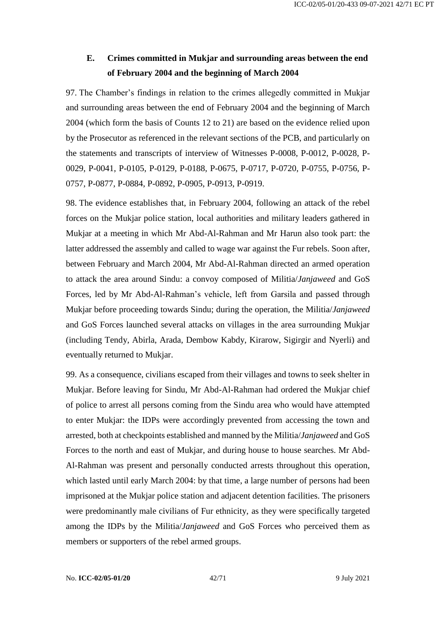# <span id="page-41-0"></span>**E. Crimes committed in Mukjar and surrounding areas between the end of February 2004 and the beginning of March 2004**

97. The Chamber's findings in relation to the crimes allegedly committed in Mukjar and surrounding areas between the end of February 2004 and the beginning of March 2004 (which form the basis of Counts 12 to 21) are based on the evidence relied upon by the Prosecutor as referenced in the relevant sections of the PCB, and particularly on the statements and transcripts of interview of Witnesses P-0008, P-0012, P-0028, P-0029, P-0041, P-0105, P-0129, P-0188, P-0675, P-0717, P-0720, P-0755, P-0756, P-0757, P-0877, P-0884, P-0892, P-0905, P-0913, P-0919.

98. The evidence establishes that, in February 2004, following an attack of the rebel forces on the Mukjar police station, local authorities and military leaders gathered in Mukjar at a meeting in which Mr Abd-Al-Rahman and Mr Harun also took part: the latter addressed the assembly and called to wage war against the Fur rebels. Soon after, between February and March 2004, Mr Abd-Al-Rahman directed an armed operation to attack the area around Sindu: a convoy composed of Militia/*Janjaweed* and GoS Forces, led by Mr Abd-Al-Rahman's vehicle, left from Garsila and passed through Mukjar before proceeding towards Sindu; during the operation, the Militia/*Janjaweed* and GoS Forces launched several attacks on villages in the area surrounding Mukjar (including Tendy, Abirla, Arada, Dembow Kabdy, Kirarow, Sigirgir and Nyerli) and eventually returned to Mukjar.

99. As a consequence, civilians escaped from their villages and towns to seek shelter in Mukjar. Before leaving for Sindu, Mr Abd-Al-Rahman had ordered the Mukjar chief of police to arrest all persons coming from the Sindu area who would have attempted to enter Mukjar: the IDPs were accordingly prevented from accessing the town and arrested, both at checkpoints established and manned by the Militia/*Janjaweed* and GoS Forces to the north and east of Mukjar, and during house to house searches. Mr Abd-Al-Rahman was present and personally conducted arrests throughout this operation, which lasted until early March 2004: by that time, a large number of persons had been imprisoned at the Mukjar police station and adjacent detention facilities. The prisoners were predominantly male civilians of Fur ethnicity, as they were specifically targeted among the IDPs by the Militia/*Janjaweed* and GoS Forces who perceived them as members or supporters of the rebel armed groups.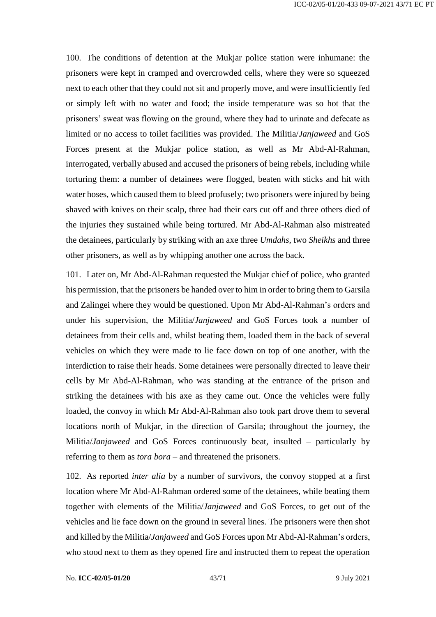100. The conditions of detention at the Mukjar police station were inhumane: the prisoners were kept in cramped and overcrowded cells, where they were so squeezed next to each other that they could not sit and properly move, and were insufficiently fed or simply left with no water and food; the inside temperature was so hot that the prisoners' sweat was flowing on the ground, where they had to urinate and defecate as limited or no access to toilet facilities was provided. The Militia/*Janjaweed* and GoS Forces present at the Mukjar police station, as well as Mr Abd-Al-Rahman, interrogated, verbally abused and accused the prisoners of being rebels, including while torturing them: a number of detainees were flogged, beaten with sticks and hit with water hoses, which caused them to bleed profusely; two prisoners were injured by being shaved with knives on their scalp, three had their ears cut off and three others died of the injuries they sustained while being tortured. Mr Abd-Al-Rahman also mistreated the detainees, particularly by striking with an axe three *Umdahs*, two *Sheikhs* and three other prisoners, as well as by whipping another one across the back.

101. Later on, Mr Abd-Al-Rahman requested the Mukjar chief of police, who granted his permission, that the prisoners be handed over to him in order to bring them to Garsila and Zalingei where they would be questioned. Upon Mr Abd-Al-Rahman's orders and under his supervision, the Militia/*Janjaweed* and GoS Forces took a number of detainees from their cells and, whilst beating them, loaded them in the back of several vehicles on which they were made to lie face down on top of one another, with the interdiction to raise their heads. Some detainees were personally directed to leave their cells by Mr Abd-Al-Rahman, who was standing at the entrance of the prison and striking the detainees with his axe as they came out. Once the vehicles were fully loaded, the convoy in which Mr Abd-Al-Rahman also took part drove them to several locations north of Mukjar, in the direction of Garsila; throughout the journey, the Militia/*Janjaweed* and GoS Forces continuously beat, insulted – particularly by referring to them as *tora bora* – and threatened the prisoners.

102. As reported *inter alia* by a number of survivors, the convoy stopped at a first location where Mr Abd-Al-Rahman ordered some of the detainees, while beating them together with elements of the Militia/*Janjaweed* and GoS Forces, to get out of the vehicles and lie face down on the ground in several lines. The prisoners were then shot and killed by the Militia/*Janjaweed* and GoS Forces upon Mr Abd-Al-Rahman's orders, who stood next to them as they opened fire and instructed them to repeat the operation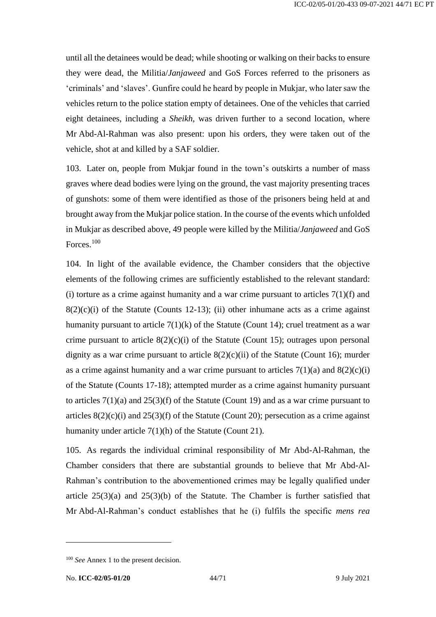until all the detainees would be dead; while shooting or walking on their backs to ensure they were dead, the Militia/*Janjaweed* and GoS Forces referred to the prisoners as 'criminals' and 'slaves'. Gunfire could he heard by people in Mukjar, who later saw the vehicles return to the police station empty of detainees. One of the vehicles that carried eight detainees, including a *Sheikh*, was driven further to a second location, where Mr Abd-Al-Rahman was also present: upon his orders, they were taken out of the vehicle, shot at and killed by a SAF soldier.

103. Later on, people from Mukjar found in the town's outskirts a number of mass graves where dead bodies were lying on the ground, the vast majority presenting traces of gunshots: some of them were identified as those of the prisoners being held at and brought away from the Mukjar police station. In the course of the events which unfolded in Mukjar as described above, 49 people were killed by the Militia/*Janjaweed* and GoS Forces.<sup>100</sup>

104. In light of the available evidence, the Chamber considers that the objective elements of the following crimes are sufficiently established to the relevant standard: (i) torture as a crime against humanity and a war crime pursuant to articles  $7(1)(f)$  and  $8(2)(c)(i)$  of the Statute (Counts 12-13); (ii) other inhumane acts as a crime against humanity pursuant to article  $7(1)(k)$  of the Statute (Count 14); cruel treatment as a war crime pursuant to article  $8(2)(c)(i)$  of the Statute (Count 15); outrages upon personal dignity as a war crime pursuant to article  $8(2)(c)(ii)$  of the Statute (Count 16); murder as a crime against humanity and a war crime pursuant to articles  $7(1)(a)$  and  $8(2)(c)(i)$ of the Statute (Counts 17-18); attempted murder as a crime against humanity pursuant to articles 7(1)(a) and 25(3)(f) of the Statute (Count 19) and as a war crime pursuant to articles  $8(2)(c)(i)$  and  $25(3)(f)$  of the Statute (Count 20); persecution as a crime against humanity under article 7(1)(h) of the Statute (Count 21).

105. As regards the individual criminal responsibility of Mr Abd-Al-Rahman, the Chamber considers that there are substantial grounds to believe that Mr Abd-Al-Rahman's contribution to the abovementioned crimes may be legally qualified under article  $25(3)(a)$  and  $25(3)(b)$  of the Statute. The Chamber is further satisfied that Mr Abd-Al-Rahman's conduct establishes that he (i) fulfils the specific *mens rea*

<sup>&</sup>lt;sup>100</sup> *See* Annex 1 to the present decision.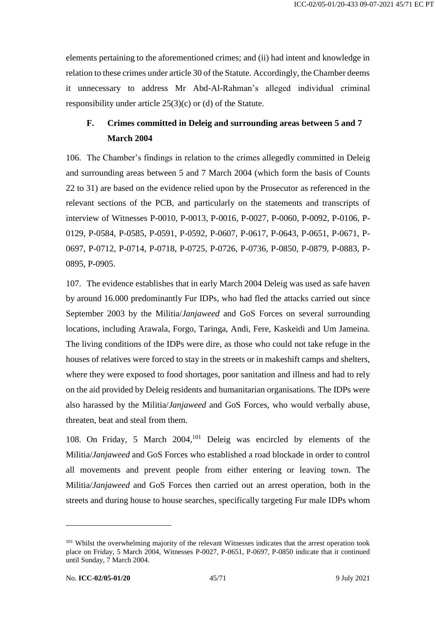elements pertaining to the aforementioned crimes; and (ii) had intent and knowledge in relation to these crimes under article 30 of the Statute. Accordingly, the Chamber deems it unnecessary to address Mr Abd-Al-Rahman's alleged individual criminal responsibility under article 25(3)(c) or (d) of the Statute.

# <span id="page-44-0"></span>**F. Crimes committed in Deleig and surrounding areas between 5 and 7 March 2004**

106. The Chamber's findings in relation to the crimes allegedly committed in Deleig and surrounding areas between 5 and 7 March 2004 (which form the basis of Counts 22 to 31) are based on the evidence relied upon by the Prosecutor as referenced in the relevant sections of the PCB, and particularly on the statements and transcripts of interview of Witnesses P-0010, P-0013, P-0016, P-0027, P-0060, P-0092, P-0106, P-0129, P-0584, P-0585, P-0591, P-0592, P-0607, P-0617, P-0643, P-0651, P-0671, P-0697, P-0712, P-0714, P-0718, P-0725, P-0726, P-0736, P-0850, P-0879, P-0883, P-0895, P-0905.

107. The evidence establishes that in early March 2004 Deleig was used as safe haven by around 16.000 predominantly Fur IDPs, who had fled the attacks carried out since September 2003 by the Militia/*Janjaweed* and GoS Forces on several surrounding locations, including Arawala, Forgo, Taringa, Andi, Fere, Kaskeidi and Um Jameina. The living conditions of the IDPs were dire, as those who could not take refuge in the houses of relatives were forced to stay in the streets or in makeshift camps and shelters, where they were exposed to food shortages, poor sanitation and illness and had to rely on the aid provided by Deleig residents and humanitarian organisations. The IDPs were also harassed by the Militia/*Janjaweed* and GoS Forces, who would verbally abuse, threaten, beat and steal from them.

108. On Friday, 5 March 2004,<sup>101</sup> Deleig was encircled by elements of the Militia/*Janjaweed* and GoS Forces who established a road blockade in order to control all movements and prevent people from either entering or leaving town. The Militia/*Janjaweed* and GoS Forces then carried out an arrest operation, both in the streets and during house to house searches, specifically targeting Fur male IDPs whom

<sup>&</sup>lt;sup>101</sup> Whilst the overwhelming majority of the relevant Witnesses indicates that the arrest operation took place on Friday, 5 March 2004, Witnesses P-0027, P-0651, P-0697, P-0850 indicate that it continued until Sunday, 7 March 2004.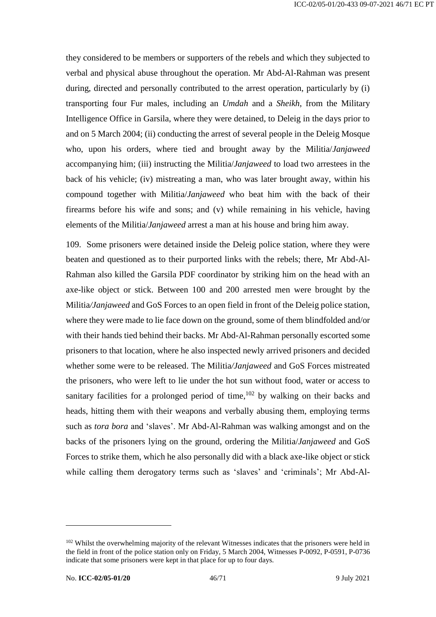they considered to be members or supporters of the rebels and which they subjected to verbal and physical abuse throughout the operation. Mr Abd-Al-Rahman was present during, directed and personally contributed to the arrest operation, particularly by (i) transporting four Fur males, including an *Umdah* and a *Sheikh*, from the Military Intelligence Office in Garsila, where they were detained, to Deleig in the days prior to and on 5 March 2004; (ii) conducting the arrest of several people in the Deleig Mosque who, upon his orders, where tied and brought away by the Militia/*Janjaweed* accompanying him; (iii) instructing the Militia/*Janjaweed* to load two arrestees in the back of his vehicle; (iv) mistreating a man, who was later brought away, within his compound together with Militia/*Janjaweed* who beat him with the back of their firearms before his wife and sons; and (v) while remaining in his vehicle, having elements of the Militia/*Janjaweed* arrest a man at his house and bring him away.

109. Some prisoners were detained inside the Deleig police station, where they were beaten and questioned as to their purported links with the rebels; there, Mr Abd-Al-Rahman also killed the Garsila PDF coordinator by striking him on the head with an axe-like object or stick. Between 100 and 200 arrested men were brought by the Militia*/Janjaweed* and GoS Forces to an open field in front of the Deleig police station, where they were made to lie face down on the ground, some of them blindfolded and/or with their hands tied behind their backs. Mr Abd-Al-Rahman personally escorted some prisoners to that location, where he also inspected newly arrived prisoners and decided whether some were to be released. The Militia*/Janjaweed* and GoS Forces mistreated the prisoners, who were left to lie under the hot sun without food, water or access to sanitary facilities for a prolonged period of time,  $102$  by walking on their backs and heads, hitting them with their weapons and verbally abusing them, employing terms such as *tora bora* and 'slaves'. Mr Abd-Al-Rahman was walking amongst and on the backs of the prisoners lying on the ground, ordering the Militia/*Janjaweed* and GoS Forces to strike them, which he also personally did with a black axe-like object or stick while calling them derogatory terms such as 'slaves' and 'criminals'; Mr Abd-Al-

<sup>&</sup>lt;sup>102</sup> Whilst the overwhelming majority of the relevant Witnesses indicates that the prisoners were held in the field in front of the police station only on Friday, 5 March 2004, Witnesses P-0092, P-0591, P-0736 indicate that some prisoners were kept in that place for up to four days.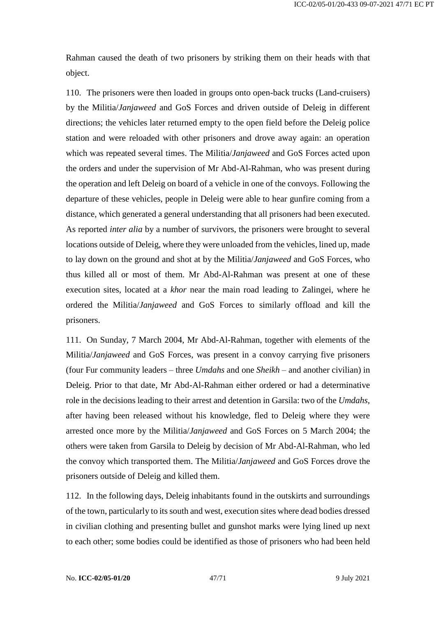Rahman caused the death of two prisoners by striking them on their heads with that object.

110. The prisoners were then loaded in groups onto open-back trucks (Land-cruisers) by the Militia/*Janjaweed* and GoS Forces and driven outside of Deleig in different directions; the vehicles later returned empty to the open field before the Deleig police station and were reloaded with other prisoners and drove away again: an operation which was repeated several times. The Militia/*Janjaweed* and GoS Forces acted upon the orders and under the supervision of Mr Abd-Al-Rahman, who was present during the operation and left Deleig on board of a vehicle in one of the convoys. Following the departure of these vehicles, people in Deleig were able to hear gunfire coming from a distance, which generated a general understanding that all prisoners had been executed. As reported *inter alia* by a number of survivors, the prisoners were brought to several locations outside of Deleig, where they were unloaded from the vehicles, lined up, made to lay down on the ground and shot at by the Militia/*Janjaweed* and GoS Forces, who thus killed all or most of them. Mr Abd-Al-Rahman was present at one of these execution sites, located at a *khor* near the main road leading to Zalingei, where he ordered the Militia/*Janjaweed* and GoS Forces to similarly offload and kill the prisoners.

111. On Sunday, 7 March 2004, Mr Abd-Al-Rahman, together with elements of the Militia/*Janjaweed* and GoS Forces, was present in a convoy carrying five prisoners (four Fur community leaders – three *Umdahs* and one *Sheikh* – and another civilian) in Deleig. Prior to that date, Mr Abd-Al-Rahman either ordered or had a determinative role in the decisions leading to their arrest and detention in Garsila: two of the *Umdahs*, after having been released without his knowledge, fled to Deleig where they were arrested once more by the Militia/*Janjaweed* and GoS Forces on 5 March 2004; the others were taken from Garsila to Deleig by decision of Mr Abd-Al-Rahman, who led the convoy which transported them. The Militia/*Janjaweed* and GoS Forces drove the prisoners outside of Deleig and killed them.

112. In the following days, Deleig inhabitants found in the outskirts and surroundings of the town, particularly to its south and west, execution sites where dead bodies dressed in civilian clothing and presenting bullet and gunshot marks were lying lined up next to each other; some bodies could be identified as those of prisoners who had been held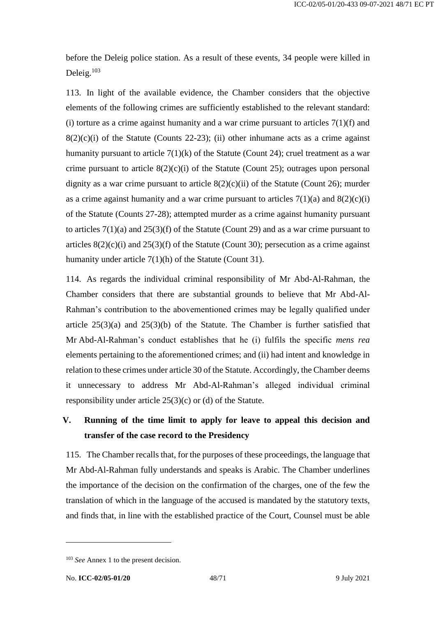before the Deleig police station. As a result of these events, 34 people were killed in Deleig.<sup>103</sup>

113. In light of the available evidence, the Chamber considers that the objective elements of the following crimes are sufficiently established to the relevant standard: (i) torture as a crime against humanity and a war crime pursuant to articles  $7(1)(f)$  and  $8(2)(c)(i)$  of the Statute (Counts 22-23); (ii) other inhumane acts as a crime against humanity pursuant to article  $7(1)(k)$  of the Statute (Count 24); cruel treatment as a war crime pursuant to article  $8(2)(c)(i)$  of the Statute (Count 25); outrages upon personal dignity as a war crime pursuant to article  $8(2)(c)(ii)$  of the Statute (Count 26); murder as a crime against humanity and a war crime pursuant to articles  $7(1)(a)$  and  $8(2)(c)(i)$ of the Statute (Counts 27-28); attempted murder as a crime against humanity pursuant to articles 7(1)(a) and 25(3)(f) of the Statute (Count 29) and as a war crime pursuant to articles  $8(2)(c)(i)$  and  $25(3)(f)$  of the Statute (Count 30); persecution as a crime against humanity under article 7(1)(h) of the Statute (Count 31).

114. As regards the individual criminal responsibility of Mr Abd-Al-Rahman, the Chamber considers that there are substantial grounds to believe that Mr Abd-Al-Rahman's contribution to the abovementioned crimes may be legally qualified under article  $25(3)(a)$  and  $25(3)(b)$  of the Statute. The Chamber is further satisfied that Mr Abd-Al-Rahman's conduct establishes that he (i) fulfils the specific *mens rea* elements pertaining to the aforementioned crimes; and (ii) had intent and knowledge in relation to these crimes under article 30 of the Statute. Accordingly, the Chamber deems it unnecessary to address Mr Abd-Al-Rahman's alleged individual criminal responsibility under article 25(3)(c) or (d) of the Statute.

# <span id="page-47-0"></span>**V. Running of the time limit to apply for leave to appeal this decision and transfer of the case record to the Presidency**

115. The Chamber recalls that, for the purposes of these proceedings, the language that Mr Abd-Al-Rahman fully understands and speaks is Arabic. The Chamber underlines the importance of the decision on the confirmation of the charges, one of the few the translation of which in the language of the accused is mandated by the statutory texts, and finds that, in line with the established practice of the Court, Counsel must be able

<sup>&</sup>lt;sup>103</sup> *See* Annex 1 to the present decision.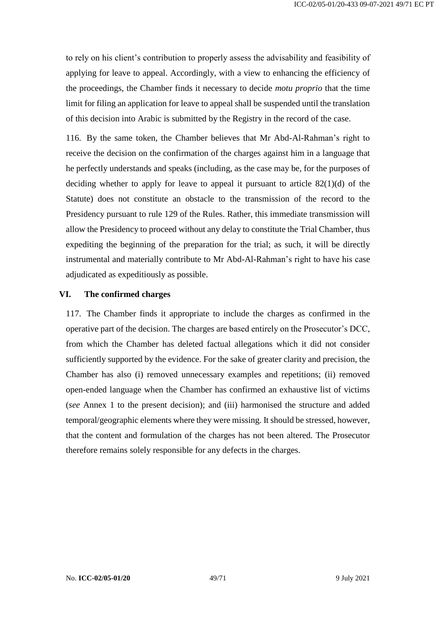to rely on his client's contribution to properly assess the advisability and feasibility of applying for leave to appeal. Accordingly, with a view to enhancing the efficiency of the proceedings, the Chamber finds it necessary to decide *motu proprio* that the time limit for filing an application for leave to appeal shall be suspended until the translation of this decision into Arabic is submitted by the Registry in the record of the case.

116. By the same token, the Chamber believes that Mr Abd-Al-Rahman's right to receive the decision on the confirmation of the charges against him in a language that he perfectly understands and speaks (including, as the case may be, for the purposes of deciding whether to apply for leave to appeal it pursuant to article 82(1)(d) of the Statute) does not constitute an obstacle to the transmission of the record to the Presidency pursuant to rule 129 of the Rules. Rather, this immediate transmission will allow the Presidency to proceed without any delay to constitute the Trial Chamber, thus expediting the beginning of the preparation for the trial; as such, it will be directly instrumental and materially contribute to Mr Abd-Al-Rahman's right to have his case adjudicated as expeditiously as possible.

#### <span id="page-48-0"></span>**VI. The confirmed charges**

117. The Chamber finds it appropriate to include the charges as confirmed in the operative part of the decision. The charges are based entirely on the Prosecutor's DCC, from which the Chamber has deleted factual allegations which it did not consider sufficiently supported by the evidence. For the sake of greater clarity and precision, the Chamber has also (i) removed unnecessary examples and repetitions; (ii) removed open-ended language when the Chamber has confirmed an exhaustive list of victims (*see* Annex 1 to the present decision); and (iii) harmonised the structure and added temporal/geographic elements where they were missing. It should be stressed, however, that the content and formulation of the charges has not been altered. The Prosecutor therefore remains solely responsible for any defects in the charges.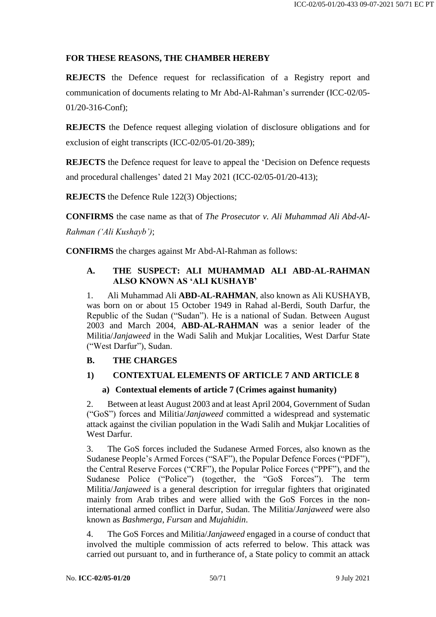### **FOR THESE REASONS, THE CHAMBER HEREBY**

**REJECTS** the Defence request for reclassification of a Registry report and communication of documents relating to Mr Abd-Al-Rahman's surrender (ICC-02/05- 01/20-316-Conf);

**REJECTS** the Defence request alleging violation of disclosure obligations and for exclusion of eight transcripts (ICC-02/05-01/20-389);

**REJECTS** the Defence request for leave to appeal the 'Decision on Defence requests and procedural challenges' dated 21 May 2021 (ICC-02/05-01/20-413);

**REJECTS** the Defence Rule 122(3) Objections;

**CONFIRMS** the case name as that of *The Prosecutor v. Ali Muhammad Ali Abd-Al-Rahman ('Ali Kushayb')*;

**CONFIRMS** the charges against Mr Abd-Al-Rahman as follows:

### **A. THE SUSPECT: ALI MUHAMMAD ALI ABD-AL-RAHMAN ALSO KNOWN AS 'ALI KUSHAYB'**

1. Ali Muhammad Ali **ABD-AL-RAHMAN**, also known as Ali KUSHAYB, was born on or about 15 October 1949 in Rahad al-Berdi, South Darfur, the Republic of the Sudan ("Sudan"). He is a national of Sudan. Between August 2003 and March 2004, **ABD-AL-RAHMAN** was a senior leader of the Militia/*Janjaweed* in the Wadi Salih and Mukjar Localities, West Darfur State ("West Darfur"), Sudan.

# **B. THE CHARGES**

# **1) CONTEXTUAL ELEMENTS OF ARTICLE 7 AND ARTICLE 8**

#### **a) Contextual elements of article 7 (Crimes against humanity)**

2. Between at least August 2003 and at least April 2004, Government of Sudan ("GoS") forces and Militia/*Janjaweed* committed a widespread and systematic attack against the civilian population in the Wadi Salih and Mukjar Localities of West Darfur.

3. The GoS forces included the Sudanese Armed Forces, also known as the Sudanese People's Armed Forces ("SAF"), the Popular Defence Forces ("PDF"), the Central Reserve Forces ("CRF"), the Popular Police Forces ("PPF"), and the Sudanese Police ("Police") (together, the "GoS Forces"). The term Militia/*Janjaweed* is a general description for irregular fighters that originated mainly from Arab tribes and were allied with the GoS Forces in the noninternational armed conflict in Darfur, Sudan. The Militia/*Janjaweed* were also known as *Bashmerga*, *Fursan* and *Mujahidin*.

4. The GoS Forces and Militia/*Janjaweed* engaged in a course of conduct that involved the multiple commission of acts referred to below. This attack was carried out pursuant to, and in furtherance of, a State policy to commit an attack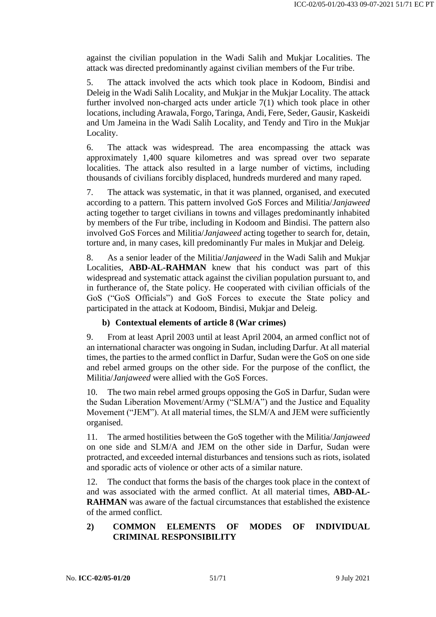against the civilian population in the Wadi Salih and Mukjar Localities. The attack was directed predominantly against civilian members of the Fur tribe.

5. The attack involved the acts which took place in Kodoom, Bindisi and Deleig in the Wadi Salih Locality, and Mukjar in the Mukjar Locality. The attack further involved non-charged acts under article 7(1) which took place in other locations, including Arawala, Forgo, Taringa, Andi, Fere, Seder, Gausir, Kaskeidi and Um Jameina in the Wadi Salih Locality, and Tendy and Tiro in the Mukjar Locality.

6. The attack was widespread. The area encompassing the attack was approximately 1,400 square kilometres and was spread over two separate localities. The attack also resulted in a large number of victims, including thousands of civilians forcibly displaced, hundreds murdered and many raped.

7. The attack was systematic, in that it was planned, organised, and executed according to a pattern. This pattern involved GoS Forces and Militia/*Janjaweed* acting together to target civilians in towns and villages predominantly inhabited by members of the Fur tribe, including in Kodoom and Bindisi. The pattern also involved GoS Forces and Militia/*Janjaweed* acting together to search for, detain, torture and, in many cases, kill predominantly Fur males in Mukjar and Deleig.

8. As a senior leader of the Militia/*Janjaweed* in the Wadi Salih and Mukjar Localities, **ABD-AL-RAHMAN** knew that his conduct was part of this widespread and systematic attack against the civilian population pursuant to, and in furtherance of, the State policy. He cooperated with civilian officials of the GoS ("GoS Officials") and GoS Forces to execute the State policy and participated in the attack at Kodoom, Bindisi, Mukjar and Deleig.

#### **b) Contextual elements of article 8 (War crimes)**

9. From at least April 2003 until at least April 2004, an armed conflict not of an international character was ongoing in Sudan, including Darfur. At all material times, the parties to the armed conflict in Darfur, Sudan were the GoS on one side and rebel armed groups on the other side. For the purpose of the conflict, the Militia/*Janjaweed* were allied with the GoS Forces.

10. The two main rebel armed groups opposing the GoS in Darfur, Sudan were the Sudan Liberation Movement/Army ("SLM/A") and the Justice and Equality Movement ("JEM"). At all material times, the SLM/A and JEM were sufficiently organised.

11. The armed hostilities between the GoS together with the Militia/*Janjaweed* on one side and SLM/A and JEM on the other side in Darfur, Sudan were protracted, and exceeded internal disturbances and tensions such as riots, isolated and sporadic acts of violence or other acts of a similar nature.

12. The conduct that forms the basis of the charges took place in the context of and was associated with the armed conflict. At all material times, **ABD-AL-RAHMAN** was aware of the factual circumstances that established the existence of the armed conflict.

#### **2) COMMON ELEMENTS OF MODES OF INDIVIDUAL CRIMINAL RESPONSIBILITY**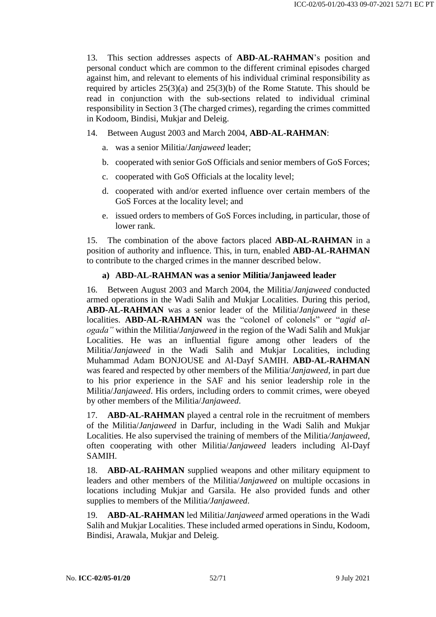13. This section addresses aspects of **ABD-AL-RAHMAN**'s position and personal conduct which are common to the different criminal episodes charged against him, and relevant to elements of his individual criminal responsibility as required by articles 25(3)(a) and 25(3)(b) of the Rome Statute. This should be read in conjunction with the sub-sections related to individual criminal responsibility in Section 3 (The charged crimes), regarding the crimes committed in Kodoom, Bindisi, Mukjar and Deleig.

14. Between August 2003 and March 2004, **ABD-AL-RAHMAN**:

- a. was a senior Militia/*Janjaweed* leader;
- b. cooperated with senior GoS Officials and senior members of GoS Forces;
- c. cooperated with GoS Officials at the locality level;
- d. cooperated with and/or exerted influence over certain members of the GoS Forces at the locality level; and
- e. issued orders to members of GoS Forces including, in particular, those of lower rank.

15. The combination of the above factors placed **ABD-AL-RAHMAN** in a position of authority and influence. This, in turn, enabled **ABD-AL-RAHMAN** to contribute to the charged crimes in the manner described below.

# **a) ABD-AL-RAHMAN was a senior Militia/Janjaweed leader**

16. Between August 2003 and March 2004, the Militia/*Janjaweed* conducted armed operations in the Wadi Salih and Mukjar Localities. During this period, **ABD-AL-RAHMAN** was a senior leader of the Militia/*Janjaweed* in these localities. **ABD-AL-RAHMAN** was the "colonel of colonels" or "*agid alogada"* within the Militia/*Janjaweed* in the region of the Wadi Salih and Mukjar Localities. He was an influential figure among other leaders of the Militia/*Janjaweed* in the Wadi Salih and Mukjar Localities, including Muhammad Adam BONJOUSE and Al-Dayf SAMIH. **ABD-AL-RAHMAN**  was feared and respected by other members of the Militia/*Janjaweed*, in part due to his prior experience in the SAF and his senior leadership role in the Militia/*Janjaweed*. His orders, including orders to commit crimes, were obeyed by other members of the Militia/*Janjaweed*.

17. **ABD-AL-RAHMAN** played a central role in the recruitment of members of the Militia/*Janjaweed* in Darfur, including in the Wadi Salih and Mukjar Localities. He also supervised the training of members of the Militia*/Janjaweed*, often cooperating with other Militia/*Janjaweed* leaders including Al-Dayf SAMIH.

18. **ABD-AL-RAHMAN** supplied weapons and other military equipment to leaders and other members of the Militia/*Janjaweed* on multiple occasions in locations including Mukjar and Garsila. He also provided funds and other supplies to members of the Militia*/Janjaweed*.

19. **ABD-AL-RAHMAN** led Militia/*Janjaweed* armed operations in the Wadi Salih and Mukjar Localities. These included armed operations in Sindu, Kodoom, Bindisi, Arawala, Mukjar and Deleig.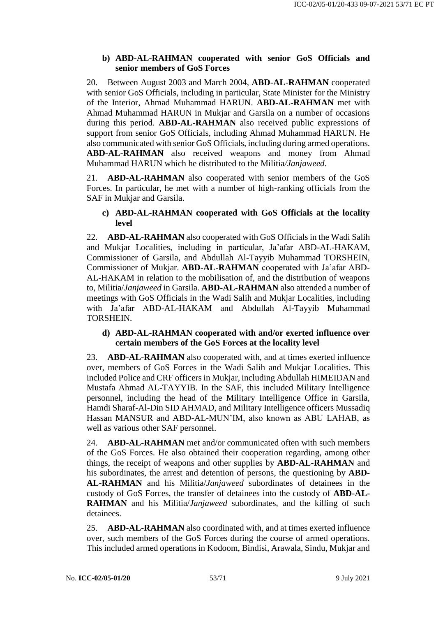### **b) ABD-AL-RAHMAN cooperated with senior GoS Officials and senior members of GoS Forces**

20. Between August 2003 and March 2004, **ABD-AL-RAHMAN** cooperated with senior GoS Officials, including in particular, State Minister for the Ministry of the Interior, Ahmad Muhammad HARUN. **ABD-AL-RAHMAN** met with Ahmad Muhammad HARUN in Mukjar and Garsila on a number of occasions during this period. **ABD-AL-RAHMAN** also received public expressions of support from senior GoS Officials, including Ahmad Muhammad HARUN. He also communicated with senior GoS Officials, including during armed operations. **ABD-AL-RAHMAN** also received weapons and money from Ahmad Muhammad HARUN which he distributed to the Militia*/Janjaweed*.

21. **ABD-AL-RAHMAN** also cooperated with senior members of the GoS Forces. In particular, he met with a number of high-ranking officials from the SAF in Mukjar and Garsila.

### **c) ABD-AL-RAHMAN cooperated with GoS Officials at the locality level**

22. **ABD-AL-RAHMAN** also cooperated with GoS Officials in the Wadi Salih and Mukjar Localities, including in particular, Ja'afar ABD-AL-HAKAM, Commissioner of Garsila, and Abdullah Al-Tayyib Muhammad TORSHEIN, Commissioner of Mukjar. **ABD-AL-RAHMAN** cooperated with Ja'afar ABD-AL-HAKAM in relation to the mobilisation of, and the distribution of weapons to, Militia/*Janjaweed* in Garsila. **ABD-AL-RAHMAN** also attended a number of meetings with GoS Officials in the Wadi Salih and Mukjar Localities, including with Ja'afar ABD-AL-HAKAM and Abdullah Al-Tayyib Muhammad TORSHEIN.

#### **d) ABD-AL-RAHMAN cooperated with and/or exerted influence over certain members of the GoS Forces at the locality level**

23. **ABD-AL-RAHMAN** also cooperated with, and at times exerted influence over, members of GoS Forces in the Wadi Salih and Mukjar Localities. This included Police and CRF officers in Mukjar, including Abdullah HIMEIDAN and Mustafa Ahmad AL-TAYYIB. In the SAF, this included Military Intelligence personnel, including the head of the Military Intelligence Office in Garsila, Hamdi Sharaf-Al-Din SID AHMAD, and Military Intelligence officers Mussadiq Hassan MANSUR and ABD-AL-MUN'IM, also known as ABU LAHAB, as well as various other SAF personnel.

24. **ABD-AL-RAHMAN** met and/or communicated often with such members of the GoS Forces. He also obtained their cooperation regarding, among other things, the receipt of weapons and other supplies by **ABD-AL-RAHMAN** and his subordinates, the arrest and detention of persons, the questioning by **ABD-AL-RAHMAN** and his Militia/*Janjaweed* subordinates of detainees in the custody of GoS Forces, the transfer of detainees into the custody of **ABD-AL-RAHMAN** and his Militia/*Janjaweed* subordinates, and the killing of such detainees.

25. **ABD-AL-RAHMAN** also coordinated with, and at times exerted influence over, such members of the GoS Forces during the course of armed operations. This included armed operations in Kodoom, Bindisi, Arawala, Sindu, Mukjar and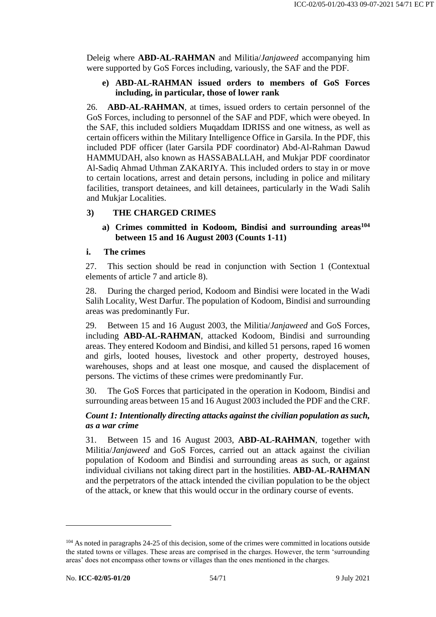Deleig where **ABD-AL-RAHMAN** and Militia/*Janjaweed* accompanying him were supported by GoS Forces including, variously, the SAF and the PDF.

#### **e) ABD-AL-RAHMAN issued orders to members of GoS Forces including, in particular, those of lower rank**

26. **ABD-AL-RAHMAN**, at times, issued orders to certain personnel of the GoS Forces, including to personnel of the SAF and PDF, which were obeyed. In the SAF, this included soldiers Muqaddam IDRISS and one witness, as well as certain officers within the Military Intelligence Office in Garsila. In the PDF, this included PDF officer (later Garsila PDF coordinator) Abd-Al-Rahman Dawud HAMMUDAH, also known as HASSABALLAH, and Mukjar PDF coordinator Al-Sadiq Ahmad Uthman ZAKARIYA. This included orders to stay in or move to certain locations, arrest and detain persons, including in police and military facilities, transport detainees, and kill detainees, particularly in the Wadi Salih and Mukjar Localities.

# **3) THE CHARGED CRIMES**

### **a) Crimes committed in Kodoom, Bindisi and surrounding areas<sup>104</sup> between 15 and 16 August 2003 (Counts 1-11)**

#### **i. The crimes**

27. This section should be read in conjunction with Section 1 (Contextual elements of article 7 and article 8).

28. During the charged period, Kodoom and Bindisi were located in the Wadi Salih Locality, West Darfur. The population of Kodoom, Bindisi and surrounding areas was predominantly Fur.

29. Between 15 and 16 August 2003, the Militia/*Janjaweed* and GoS Forces, including **ABD-AL-RAHMAN**, attacked Kodoom, Bindisi and surrounding areas. They entered Kodoom and Bindisi, and killed 51 persons, raped 16 women and girls, looted houses, livestock and other property, destroyed houses, warehouses, shops and at least one mosque, and caused the displacement of persons. The victims of these crimes were predominantly Fur.

30. The GoS Forces that participated in the operation in Kodoom, Bindisi and surrounding areas between 15 and 16 August 2003 included the PDF and the CRF.

# *Count 1: Intentionally directing attacks against the civilian population as such, as a war crime*

31. Between 15 and 16 August 2003, **ABD-AL-RAHMAN**, together with Militia/*Janjaweed* and GoS Forces, carried out an attack against the civilian population of Kodoom and Bindisi and surrounding areas as such, or against individual civilians not taking direct part in the hostilities. **ABD-AL-RAHMAN** and the perpetrators of the attack intended the civilian population to be the object of the attack, or knew that this would occur in the ordinary course of events.

<sup>&</sup>lt;sup>104</sup> As noted in paragraphs 24-25 of this decision, some of the crimes were committed in locations outside the stated towns or villages. These areas are comprised in the charges. However, the term 'surrounding areas' does not encompass other towns or villages than the ones mentioned in the charges.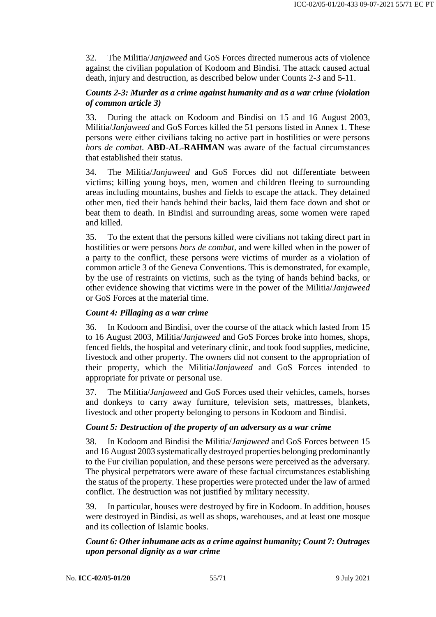32. The Militia/*Janjaweed* and GoS Forces directed numerous acts of violence against the civilian population of Kodoom and Bindisi. The attack caused actual death, injury and destruction, as described below under Counts 2-3 and 5-11.

## *Counts 2-3: Murder as a crime against humanity and as a war crime (violation of common article 3)*

33. During the attack on Kodoom and Bindisi on 15 and 16 August 2003, Militia/*Janjaweed* and GoS Forces killed the 51 persons listed in Annex 1. These persons were either civilians taking no active part in hostilities or were persons *hors de combat*. **ABD-AL-RAHMAN** was aware of the factual circumstances that established their status.

34. The Militia/*Janjaweed* and GoS Forces did not differentiate between victims; killing young boys, men, women and children fleeing to surrounding areas including mountains, bushes and fields to escape the attack. They detained other men, tied their hands behind their backs, laid them face down and shot or beat them to death. In Bindisi and surrounding areas, some women were raped and killed.

35. To the extent that the persons killed were civilians not taking direct part in hostilities or were persons *hors de combat*, and were killed when in the power of a party to the conflict, these persons were victims of murder as a violation of common article 3 of the Geneva Conventions. This is demonstrated, for example, by the use of restraints on victims, such as the tying of hands behind backs, or other evidence showing that victims were in the power of the Militia/*Janjaweed* or GoS Forces at the material time.

# *Count 4: Pillaging as a war crime*

36. In Kodoom and Bindisi, over the course of the attack which lasted from 15 to 16 August 2003, Militia/*Janjaweed* and GoS Forces broke into homes, shops, fenced fields, the hospital and veterinary clinic, and took food supplies, medicine, livestock and other property. The owners did not consent to the appropriation of their property, which the Militia/*Janjaweed* and GoS Forces intended to appropriate for private or personal use.

37. The Militia/*Janjaweed* and GoS Forces used their vehicles, camels, horses and donkeys to carry away furniture, television sets, mattresses, blankets, livestock and other property belonging to persons in Kodoom and Bindisi.

# *Count 5: Destruction of the property of an adversary as a war crime*

38. In Kodoom and Bindisi the Militia/*Janjaweed* and GoS Forces between 15 and 16 August 2003 systematically destroyed properties belonging predominantly to the Fur civilian population, and these persons were perceived as the adversary. The physical perpetrators were aware of these factual circumstances establishing the status of the property. These properties were protected under the law of armed conflict. The destruction was not justified by military necessity.

39. In particular, houses were destroyed by fire in Kodoom. In addition, houses were destroyed in Bindisi, as well as shops, warehouses, and at least one mosque and its collection of Islamic books.

#### *Count 6: Other inhumane acts as a crime against humanity; Count 7: Outrages upon personal dignity as a war crime*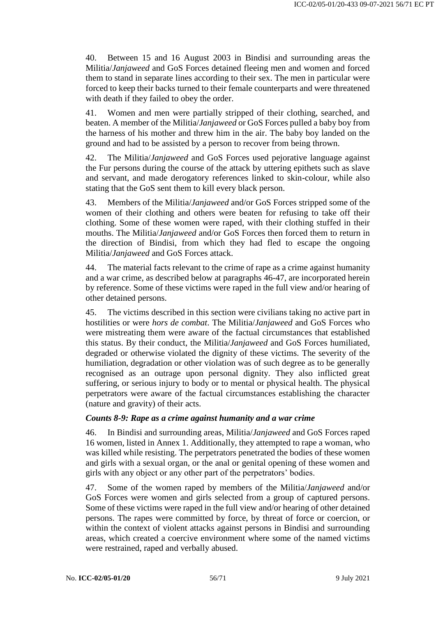40. Between 15 and 16 August 2003 in Bindisi and surrounding areas the Militia/*Janjaweed* and GoS Forces detained fleeing men and women and forced them to stand in separate lines according to their sex. The men in particular were forced to keep their backs turned to their female counterparts and were threatened with death if they failed to obey the order.

41. Women and men were partially stripped of their clothing, searched, and beaten. A member of the Militia/*Janjaweed* or GoS Forces pulled a baby boy from the harness of his mother and threw him in the air. The baby boy landed on the ground and had to be assisted by a person to recover from being thrown.

42. The Militia/*Janjaweed* and GoS Forces used pejorative language against the Fur persons during the course of the attack by uttering epithets such as slave and servant, and made derogatory references linked to skin-colour, while also stating that the GoS sent them to kill every black person.

43. Members of the Militia/*Janjaweed* and/or GoS Forces stripped some of the women of their clothing and others were beaten for refusing to take off their clothing. Some of these women were raped, with their clothing stuffed in their mouths. The Militia/*Janjaweed* and/or GoS Forces then forced them to return in the direction of Bindisi, from which they had fled to escape the ongoing Militia/*Janjaweed* and GoS Forces attack.

44. The material facts relevant to the crime of rape as a crime against humanity and a war crime, as described below at paragraphs 46-47, are incorporated herein by reference. Some of these victims were raped in the full view and/or hearing of other detained persons.

45. The victims described in this section were civilians taking no active part in hostilities or were *hors de combat*. The Militia/*Janjaweed* and GoS Forces who were mistreating them were aware of the factual circumstances that established this status. By their conduct, the Militia/*Janjaweed* and GoS Forces humiliated, degraded or otherwise violated the dignity of these victims. The severity of the humiliation, degradation or other violation was of such degree as to be generally recognised as an outrage upon personal dignity. They also inflicted great suffering, or serious injury to body or to mental or physical health. The physical perpetrators were aware of the factual circumstances establishing the character (nature and gravity) of their acts.

#### *Counts 8-9: Rape as a crime against humanity and a war crime*

46. In Bindisi and surrounding areas, Militia/*Janjaweed* and GoS Forces raped 16 women, listed in Annex 1. Additionally, they attempted to rape a woman, who was killed while resisting. The perpetrators penetrated the bodies of these women and girls with a sexual organ, or the anal or genital opening of these women and girls with any object or any other part of the perpetrators' bodies.

47. Some of the women raped by members of the Militia/*Janjaweed* and/or GoS Forces were women and girls selected from a group of captured persons. Some of these victims were raped in the full view and/or hearing of other detained persons. The rapes were committed by force, by threat of force or coercion, or within the context of violent attacks against persons in Bindisi and surrounding areas, which created a coercive environment where some of the named victims were restrained, raped and verbally abused.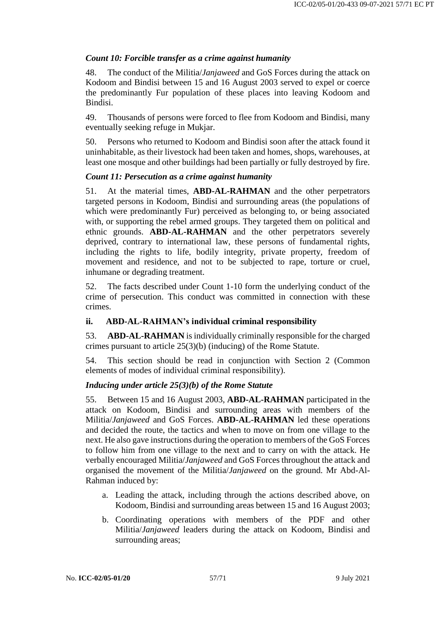# *Count 10: Forcible transfer as a crime against humanity*

48. The conduct of the Militia/*Janjaweed* and GoS Forces during the attack on Kodoom and Bindisi between 15 and 16 August 2003 served to expel or coerce the predominantly Fur population of these places into leaving Kodoom and Bindisi.

49. Thousands of persons were forced to flee from Kodoom and Bindisi, many eventually seeking refuge in Mukjar.

50. Persons who returned to Kodoom and Bindisi soon after the attack found it uninhabitable, as their livestock had been taken and homes, shops, warehouses, at least one mosque and other buildings had been partially or fully destroyed by fire.

# *Count 11: Persecution as a crime against humanity*

51. At the material times, **ABD-AL-RAHMAN** and the other perpetrators targeted persons in Kodoom, Bindisi and surrounding areas (the populations of which were predominantly Fur) perceived as belonging to, or being associated with, or supporting the rebel armed groups. They targeted them on political and ethnic grounds. **ABD-AL-RAHMAN** and the other perpetrators severely deprived, contrary to international law, these persons of fundamental rights, including the rights to life, bodily integrity, private property, freedom of movement and residence, and not to be subjected to rape, torture or cruel, inhumane or degrading treatment.

52. The facts described under Count 1-10 form the underlying conduct of the crime of persecution. This conduct was committed in connection with these crimes.

# **ii. ABD-AL-RAHMAN's individual criminal responsibility**

53. **ABD-AL-RAHMAN** is individually criminally responsible for the charged crimes pursuant to article 25(3)(b) (inducing) of the Rome Statute.

54. This section should be read in conjunction with Section 2 (Common elements of modes of individual criminal responsibility).

# *Inducing under article 25(3)(b) of the Rome Statute*

55. Between 15 and 16 August 2003, **ABD-AL-RAHMAN** participated in the attack on Kodoom, Bindisi and surrounding areas with members of the Militia/*Janjaweed* and GoS Forces. **ABD-AL-RAHMAN** led these operations and decided the route, the tactics and when to move on from one village to the next. He also gave instructions during the operation to members of the GoS Forces to follow him from one village to the next and to carry on with the attack. He verbally encouraged Militia/*Janjaweed* and GoS Forces throughout the attack and organised the movement of the Militia/*Janjaweed* on the ground. Mr Abd-Al-Rahman induced by:

- a. Leading the attack, including through the actions described above, on Kodoom, Bindisi and surrounding areas between 15 and 16 August 2003;
- b. Coordinating operations with members of the PDF and other Militia/*Janjaweed* leaders during the attack on Kodoom, Bindisi and surrounding areas;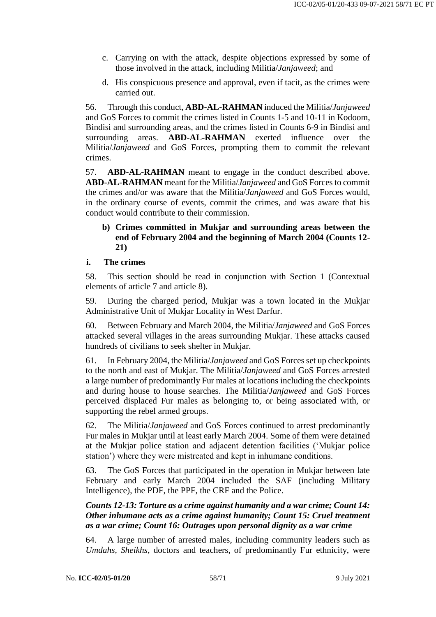- c. Carrying on with the attack, despite objections expressed by some of those involved in the attack, including Militia/*Janjaweed*; and
- d. His conspicuous presence and approval, even if tacit, as the crimes were carried out.

56. Through this conduct, **ABD-AL-RAHMAN** induced the Militia/*Janjaweed* and GoS Forces to commit the crimes listed in Counts 1-5 and 10-11 in Kodoom, Bindisi and surrounding areas, and the crimes listed in Counts 6-9 in Bindisi and surrounding areas. **ABD-AL-RAHMAN** exerted influence over the Militia/*Janjaweed* and GoS Forces, prompting them to commit the relevant crimes.

57. **ABD-AL-RAHMAN** meant to engage in the conduct described above. **ABD-AL-RAHMAN** meant for the Militia/*Janjaweed* and GoS Forces to commit the crimes and/or was aware that the Militia/*Janjaweed* and GoS Forces would, in the ordinary course of events, commit the crimes, and was aware that his conduct would contribute to their commission.

# **b) Crimes committed in Mukjar and surrounding areas between the end of February 2004 and the beginning of March 2004 (Counts 12- 21)**

#### **i. The crimes**

58. This section should be read in conjunction with Section 1 (Contextual elements of article 7 and article 8).

59. During the charged period, Mukjar was a town located in the Mukjar Administrative Unit of Mukjar Locality in West Darfur.

60. Between February and March 2004, the Militia/*Janjaweed* and GoS Forces attacked several villages in the areas surrounding Mukjar. These attacks caused hundreds of civilians to seek shelter in Mukjar.

61. In February 2004, the Militia/*Janjaweed* and GoS Forces set up checkpoints to the north and east of Mukjar. The Militia/*Janjaweed* and GoS Forces arrested a large number of predominantly Fur males at locations including the checkpoints and during house to house searches. The Militia/*Janjaweed* and GoS Forces perceived displaced Fur males as belonging to, or being associated with, or supporting the rebel armed groups.

62. The Militia/*Janjaweed* and GoS Forces continued to arrest predominantly Fur males in Mukjar until at least early March 2004. Some of them were detained at the Mukjar police station and adjacent detention facilities ('Mukjar police station') where they were mistreated and kept in inhumane conditions.

63. The GoS Forces that participated in the operation in Mukjar between late February and early March 2004 included the SAF (including Military Intelligence), the PDF, the PPF, the CRF and the Police.

### *Counts 12-13: Torture as a crime against humanity and a war crime; Count 14: Other inhumane acts as a crime against humanity; Count 15: Cruel treatment as a war crime; Count 16: Outrages upon personal dignity as a war crime*

64. A large number of arrested males, including community leaders such as *Umdahs, Sheikhs*, doctors and teachers, of predominantly Fur ethnicity, were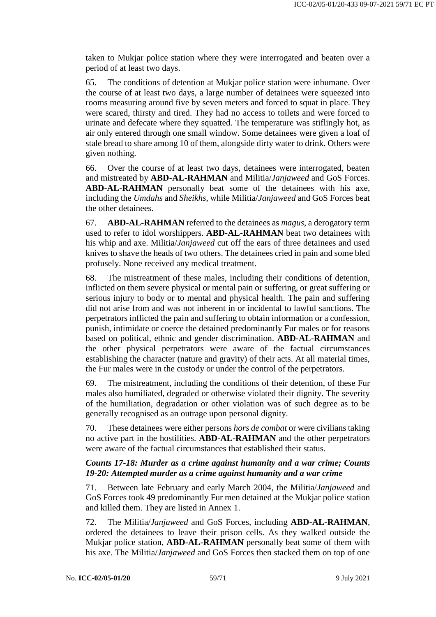taken to Mukjar police station where they were interrogated and beaten over a period of at least two days.

65. The conditions of detention at Mukjar police station were inhumane. Over the course of at least two days, a large number of detainees were squeezed into rooms measuring around five by seven meters and forced to squat in place. They were scared, thirsty and tired. They had no access to toilets and were forced to urinate and defecate where they squatted. The temperature was stiflingly hot, as air only entered through one small window. Some detainees were given a loaf of stale bread to share among 10 of them, alongside dirty water to drink. Others were given nothing.

66. Over the course of at least two days, detainees were interrogated, beaten and mistreated by **ABD-AL-RAHMAN** and Militia/*Janjaweed* and GoS Forces. **ABD-AL-RAHMAN** personally beat some of the detainees with his axe, including the *Umdahs* and *Sheikhs*, while Militia/*Janjaweed* and GoS Forces beat the other detainees.

67. **ABD-AL-RAHMAN** referred to the detainees as *magus*, a derogatory term used to refer to idol worshippers. **ABD-AL-RAHMAN** beat two detainees with his whip and axe. Militia/*Janjaweed* cut off the ears of three detainees and used knives to shave the heads of two others. The detainees cried in pain and some bled profusely. None received any medical treatment.

68. The mistreatment of these males, including their conditions of detention, inflicted on them severe physical or mental pain or suffering, or great suffering or serious injury to body or to mental and physical health. The pain and suffering did not arise from and was not inherent in or incidental to lawful sanctions. The perpetrators inflicted the pain and suffering to obtain information or a confession, punish, intimidate or coerce the detained predominantly Fur males or for reasons based on political, ethnic and gender discrimination. **ABD-AL-RAHMAN** and the other physical perpetrators were aware of the factual circumstances establishing the character (nature and gravity) of their acts. At all material times, the Fur males were in the custody or under the control of the perpetrators.

69. The mistreatment, including the conditions of their detention, of these Fur males also humiliated, degraded or otherwise violated their dignity. The severity of the humiliation, degradation or other violation was of such degree as to be generally recognised as an outrage upon personal dignity.

70. These detainees were either persons *hors de combat* or were civilians taking no active part in the hostilities. **ABD-AL-RAHMAN** and the other perpetrators were aware of the factual circumstances that established their status.

#### *Counts 17-18: Murder as a crime against humanity and a war crime; Counts 19-20: Attempted murder as a crime against humanity and a war crime*

71. Between late February and early March 2004, the Militia/*Janjaweed* and GoS Forces took 49 predominantly Fur men detained at the Mukjar police station and killed them. They are listed in Annex 1.

72. The Militia/*Janjaweed* and GoS Forces, including **ABD-AL-RAHMAN**, ordered the detainees to leave their prison cells. As they walked outside the Mukjar police station, **ABD-AL-RAHMAN** personally beat some of them with his axe. The Militia/*Janjaweed* and GoS Forces then stacked them on top of one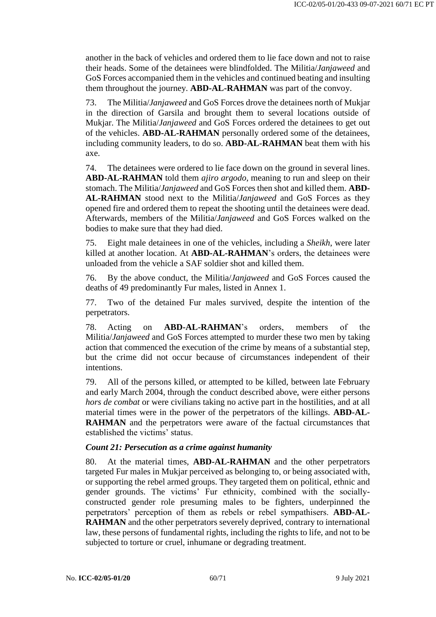another in the back of vehicles and ordered them to lie face down and not to raise their heads. Some of the detainees were blindfolded. The Militia/*Janjaweed* and GoS Forces accompanied them in the vehicles and continued beating and insulting them throughout the journey. **ABD-AL-RAHMAN** was part of the convoy.

73. The Militia/*Janjaweed* and GoS Forces drove the detainees north of Mukjar in the direction of Garsila and brought them to several locations outside of Mukjar. The Militia/*Janjaweed* and GoS Forces ordered the detainees to get out of the vehicles. **ABD-AL-RAHMAN** personally ordered some of the detainees, including community leaders, to do so. **ABD-AL-RAHMAN** beat them with his axe.

74. The detainees were ordered to lie face down on the ground in several lines. **ABD-AL-RAHMAN** told them *ajiro argodo*, meaning to run and sleep on their stomach. The Militia/*Janjaweed* and GoS Forces then shot and killed them. **ABD-AL-RAHMAN** stood next to the Militia/*Janjaweed* and GoS Forces as they opened fire and ordered them to repeat the shooting until the detainees were dead. Afterwards, members of the Militia/*Janjaweed* and GoS Forces walked on the bodies to make sure that they had died.

75. Eight male detainees in one of the vehicles, including a *Sheikh*, were later killed at another location. At **ABD-AL-RAHMAN**'s orders, the detainees were unloaded from the vehicle a SAF soldier shot and killed them.

76. By the above conduct, the Militia/*Janjaweed* and GoS Forces caused the deaths of 49 predominantly Fur males, listed in Annex 1.

77. Two of the detained Fur males survived, despite the intention of the perpetrators.

78. Acting on **ABD-AL-RAHMAN**'s orders, members of the Militia/*Janjaweed* and GoS Forces attempted to murder these two men by taking action that commenced the execution of the crime by means of a substantial step, but the crime did not occur because of circumstances independent of their intentions.

79. All of the persons killed, or attempted to be killed, between late February and early March 2004, through the conduct described above, were either persons *hors de combat* or were civilians taking no active part in the hostilities, and at all material times were in the power of the perpetrators of the killings. **ABD-AL-RAHMAN** and the perpetrators were aware of the factual circumstances that established the victims' status.

#### *Count 21: Persecution as a crime against humanity*

80. At the material times, **ABD-AL-RAHMAN** and the other perpetrators targeted Fur males in Mukjar perceived as belonging to, or being associated with, or supporting the rebel armed groups. They targeted them on political, ethnic and gender grounds. The victims' Fur ethnicity, combined with the sociallyconstructed gender role presuming males to be fighters, underpinned the perpetrators' perception of them as rebels or rebel sympathisers. **ABD-AL-RAHMAN** and the other perpetrators severely deprived, contrary to international law, these persons of fundamental rights, including the rights to life, and not to be subjected to torture or cruel, inhumane or degrading treatment.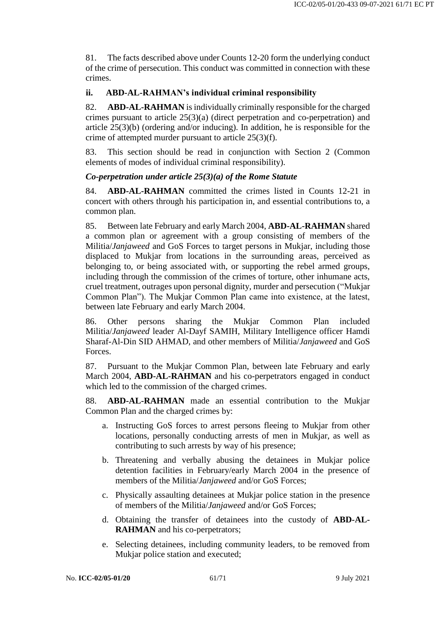81. The facts described above under Counts 12-20 form the underlying conduct of the crime of persecution. This conduct was committed in connection with these crimes.

# **ii. ABD-AL-RAHMAN's individual criminal responsibility**

82. **ABD-AL-RAHMAN** is individually criminally responsible for the charged crimes pursuant to article 25(3)(a) (direct perpetration and co-perpetration) and article 25(3)(b) (ordering and/or inducing). In addition, he is responsible for the crime of attempted murder pursuant to article 25(3)(f).

83. This section should be read in conjunction with Section 2 (Common elements of modes of individual criminal responsibility).

# *Co-perpetration under article 25(3)(a) of the Rome Statute*

84. **ABD-AL-RAHMAN** committed the crimes listed in Counts 12-21 in concert with others through his participation in, and essential contributions to, a common plan.

85. Between late February and early March 2004, **ABD-AL-RAHMAN** shared a common plan or agreement with a group consisting of members of the Militia/*Janjaweed* and GoS Forces to target persons in Mukjar, including those displaced to Mukjar from locations in the surrounding areas, perceived as belonging to, or being associated with, or supporting the rebel armed groups, including through the commission of the crimes of torture, other inhumane acts, cruel treatment, outrages upon personal dignity, murder and persecution ("Mukjar Common Plan"). The Mukjar Common Plan came into existence, at the latest, between late February and early March 2004.

86. Other persons sharing the Mukjar Common Plan included Militia/*Janjaweed* leader Al-Dayf SAMIH, Military Intelligence officer Hamdi Sharaf-Al-Din SID AHMAD, and other members of Militia/*Janjaweed* and GoS **Forces** 

87. Pursuant to the Mukjar Common Plan, between late February and early March 2004, **ABD-AL-RAHMAN** and his co-perpetrators engaged in conduct which led to the commission of the charged crimes.

88. **ABD-AL-RAHMAN** made an essential contribution to the Mukjar Common Plan and the charged crimes by:

- a. Instructing GoS forces to arrest persons fleeing to Mukjar from other locations, personally conducting arrests of men in Mukjar, as well as contributing to such arrests by way of his presence;
- b. Threatening and verbally abusing the detainees in Mukjar police detention facilities in February/early March 2004 in the presence of members of the Militia/*Janjaweed* and/or GoS Forces;
- c. Physically assaulting detainees at Mukjar police station in the presence of members of the Militia/*Janjaweed* and/or GoS Forces;
- d. Obtaining the transfer of detainees into the custody of **ABD-AL-RAHMAN** and his co-perpetrators;
- e. Selecting detainees, including community leaders, to be removed from Mukjar police station and executed;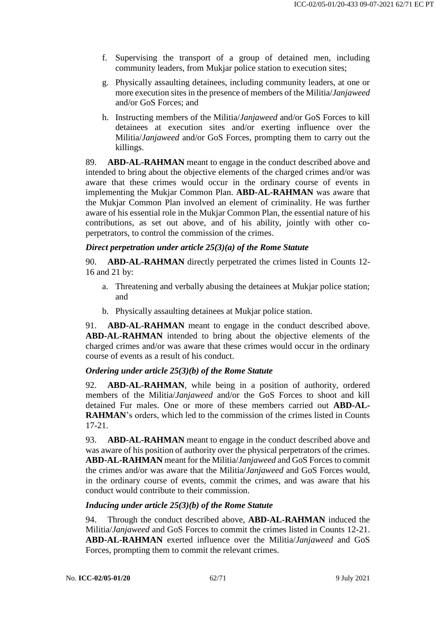- f. Supervising the transport of a group of detained men, including community leaders, from Mukjar police station to execution sites;
- g. Physically assaulting detainees, including community leaders, at one or more execution sites in the presence of members of the Militia/*Janjaweed* and/or GoS Forces; and
- h. Instructing members of the Militia/*Janjaweed* and/or GoS Forces to kill detainees at execution sites and/or exerting influence over the Militia/*Janjaweed* and/or GoS Forces, prompting them to carry out the killings.

89. **ABD-AL-RAHMAN** meant to engage in the conduct described above and intended to bring about the objective elements of the charged crimes and/or was aware that these crimes would occur in the ordinary course of events in implementing the Mukjar Common Plan. **ABD-AL-RAHMAN** was aware that the Mukjar Common Plan involved an element of criminality. He was further aware of his essential role in the Mukjar Common Plan, the essential nature of his contributions, as set out above, and of his ability, jointly with other coperpetrators, to control the commission of the crimes.

#### *Direct perpetration under article 25(3)(a) of the Rome Statute*

90. **ABD-AL-RAHMAN** directly perpetrated the crimes listed in Counts 12- 16 and 21 by:

- a. Threatening and verbally abusing the detainees at Mukjar police station; and
- b. Physically assaulting detainees at Mukjar police station.

91. **ABD-AL-RAHMAN** meant to engage in the conduct described above. **ABD-AL-RAHMAN** intended to bring about the objective elements of the charged crimes and/or was aware that these crimes would occur in the ordinary course of events as a result of his conduct.

#### *Ordering under article 25(3)(b) of the Rome Statute*

92. **ABD-AL-RAHMAN**, while being in a position of authority, ordered members of the Militia/*Janjaweed* and/or the GoS Forces to shoot and kill detained Fur males. One or more of these members carried out **ABD-AL-RAHMAN**'s orders, which led to the commission of the crimes listed in Counts 17-21.

93. **ABD-AL-RAHMAN** meant to engage in the conduct described above and was aware of his position of authority over the physical perpetrators of the crimes. **ABD-AL-RAHMAN** meant for the Militia/*Janjaweed* and GoS Forces to commit the crimes and/or was aware that the Militia/*Janjaweed* and GoS Forces would, in the ordinary course of events, commit the crimes, and was aware that his conduct would contribute to their commission.

#### *Inducing under article 25(3)(b) of the Rome Statute*

94. Through the conduct described above, **ABD-AL-RAHMAN** induced the Militia/*Janjaweed* and GoS Forces to commit the crimes listed in Counts 12-21. **ABD-AL-RAHMAN** exerted influence over the Militia/*Janjaweed* and GoS Forces, prompting them to commit the relevant crimes.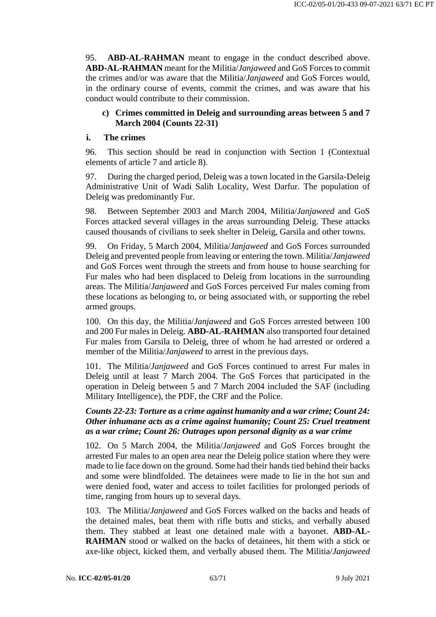95. **ABD-AL-RAHMAN** meant to engage in the conduct described above. **ABD-AL-RAHMAN** meant for the Militia/*Janjaweed* and GoS Forces to commit the crimes and/or was aware that the Militia/*Janjaweed* and GoS Forces would, in the ordinary course of events, commit the crimes, and was aware that his conduct would contribute to their commission.

#### **c) Crimes committed in Deleig and surrounding areas between 5 and 7 March 2004 (Counts 22-31)**

#### **i. The crimes**

96. This section should be read in conjunction with Section 1 (Contextual elements of article 7 and article 8).

97. During the charged period, Deleig was a town located in the Garsila-Deleig Administrative Unit of Wadi Salih Locality, West Darfur. The population of Deleig was predominantly Fur.

98. Between September 2003 and March 2004, Militia/*Janjaweed* and GoS Forces attacked several villages in the areas surrounding Deleig. These attacks caused thousands of civilians to seek shelter in Deleig, Garsila and other towns.

99. On Friday, 5 March 2004, Militia/*Janjaweed* and GoS Forces surrounded Deleig and prevented people from leaving or entering the town. Militia/*Janjaweed* and GoS Forces went through the streets and from house to house searching for Fur males who had been displaced to Deleig from locations in the surrounding areas. The Militia/*Janjaweed* and GoS Forces perceived Fur males coming from these locations as belonging to, or being associated with, or supporting the rebel armed groups.

100. On this day, the Militia/*Janjaweed* and GoS Forces arrested between 100 and 200 Fur males in Deleig. **ABD-AL-RAHMAN** also transported four detained Fur males from Garsila to Deleig, three of whom he had arrested or ordered a member of the Militia/*Janjaweed* to arrest in the previous days.

101. The Militia/*Janjaweed* and GoS Forces continued to arrest Fur males in Deleig until at least 7 March 2004. The GoS Forces that participated in the operation in Deleig between 5 and 7 March 2004 included the SAF (including Military Intelligence), the PDF, the CRF and the Police.

### *Counts 22-23: Torture as a crime against humanity and a war crime; Count 24: Other inhumane acts as a crime against humanity; Count 25: Cruel treatment as a war crime; Count 26: Outrages upon personal dignity as a war crime*

102. On 5 March 2004, the Militia/*Janjaweed* and GoS Forces brought the arrested Fur males to an open area near the Deleig police station where they were made to lie face down on the ground. Some had their hands tied behind their backs and some were blindfolded. The detainees were made to lie in the hot sun and were denied food, water and access to toilet facilities for prolonged periods of time, ranging from hours up to several days.

103. The Militia/*Janjaweed* and GoS Forces walked on the backs and heads of the detained males, beat them with rifle butts and sticks, and verbally abused them. They stabbed at least one detained male with a bayonet. **ABD-AL-RAHMAN** stood or walked on the backs of detainees, hit them with a stick or axe-like object, kicked them, and verbally abused them. The Militia/*Janjaweed*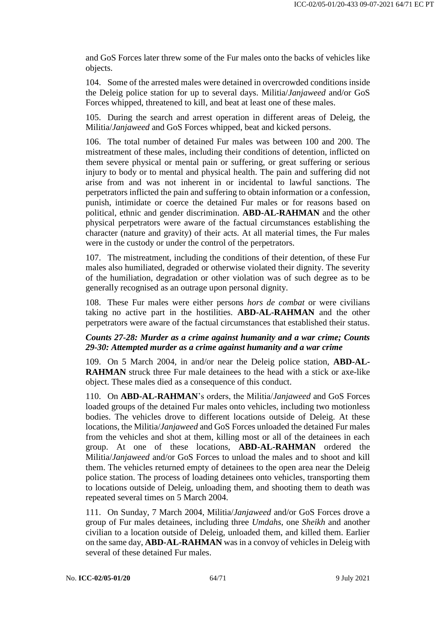and GoS Forces later threw some of the Fur males onto the backs of vehicles like objects.

104. Some of the arrested males were detained in overcrowded conditions inside the Deleig police station for up to several days. Militia/*Janjaweed* and/or GoS Forces whipped, threatened to kill, and beat at least one of these males.

105. During the search and arrest operation in different areas of Deleig, the Militia/*Janjaweed* and GoS Forces whipped, beat and kicked persons.

106. The total number of detained Fur males was between 100 and 200. The mistreatment of these males, including their conditions of detention, inflicted on them severe physical or mental pain or suffering, or great suffering or serious injury to body or to mental and physical health. The pain and suffering did not arise from and was not inherent in or incidental to lawful sanctions. The perpetrators inflicted the pain and suffering to obtain information or a confession, punish, intimidate or coerce the detained Fur males or for reasons based on political, ethnic and gender discrimination. **ABD-AL-RAHMAN** and the other physical perpetrators were aware of the factual circumstances establishing the character (nature and gravity) of their acts. At all material times, the Fur males were in the custody or under the control of the perpetrators.

107. The mistreatment, including the conditions of their detention, of these Fur males also humiliated, degraded or otherwise violated their dignity. The severity of the humiliation, degradation or other violation was of such degree as to be generally recognised as an outrage upon personal dignity.

108. These Fur males were either persons *hors de combat* or were civilians taking no active part in the hostilities. **ABD-AL-RAHMAN** and the other perpetrators were aware of the factual circumstances that established their status.

#### *Counts 27-28: Murder as a crime against humanity and a war crime; Counts 29-30: Attempted murder as a crime against humanity and a war crime*

109. On 5 March 2004, in and/or near the Deleig police station, **ABD-AL-RAHMAN** struck three Fur male detainees to the head with a stick or axe-like object. These males died as a consequence of this conduct.

110. On **ABD-AL-RAHMAN**'s orders, the Militia/*Janjaweed* and GoS Forces loaded groups of the detained Fur males onto vehicles, including two motionless bodies. The vehicles drove to different locations outside of Deleig. At these locations, the Militia/*Janjaweed* and GoS Forces unloaded the detained Fur males from the vehicles and shot at them, killing most or all of the detainees in each group. At one of these locations, **ABD-AL-RAHMAN** ordered the Militia/*Janjaweed* and/or GoS Forces to unload the males and to shoot and kill them. The vehicles returned empty of detainees to the open area near the Deleig police station. The process of loading detainees onto vehicles, transporting them to locations outside of Deleig, unloading them, and shooting them to death was repeated several times on 5 March 2004.

111. On Sunday, 7 March 2004, Militia/*Janjaweed* and/or GoS Forces drove a group of Fur males detainees, including three *Umdahs*, one *Sheikh* and another civilian to a location outside of Deleig, unloaded them, and killed them. Earlier on the same day, **ABD-AL-RAHMAN** was in a convoy of vehicles in Deleig with several of these detained Fur males.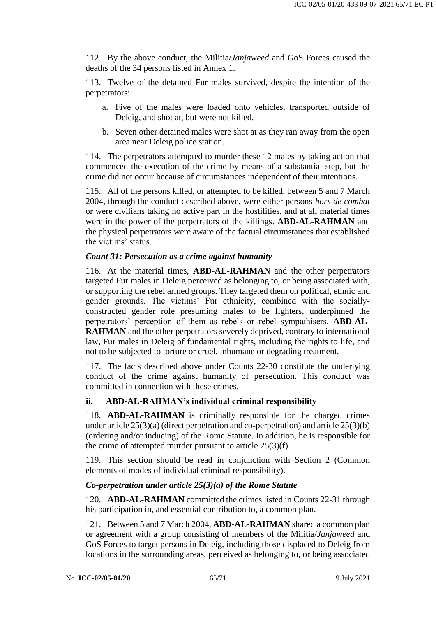112. By the above conduct, the Militia/*Janjaweed* and GoS Forces caused the deaths of the 34 persons listed in Annex 1.

113. Twelve of the detained Fur males survived, despite the intention of the perpetrators:

- a. Five of the males were loaded onto vehicles, transported outside of Deleig, and shot at, but were not killed.
- b. Seven other detained males were shot at as they ran away from the open area near Deleig police station.

114. The perpetrators attempted to murder these 12 males by taking action that commenced the execution of the crime by means of a substantial step, but the crime did not occur because of circumstances independent of their intentions.

115. All of the persons killed, or attempted to be killed, between 5 and 7 March 2004, through the conduct described above, were either persons *hors de combat* or were civilians taking no active part in the hostilities, and at all material times were in the power of the perpetrators of the killings. **ABD-AL-RAHMAN** and the physical perpetrators were aware of the factual circumstances that established the victims' status.

#### *Count 31: Persecution as a crime against humanity*

116. At the material times, **ABD-AL-RAHMAN** and the other perpetrators targeted Fur males in Deleig perceived as belonging to, or being associated with, or supporting the rebel armed groups. They targeted them on political, ethnic and gender grounds. The victims' Fur ethnicity, combined with the sociallyconstructed gender role presuming males to be fighters, underpinned the perpetrators' perception of them as rebels or rebel sympathisers. **ABD-AL-RAHMAN** and the other perpetrators severely deprived, contrary to international law, Fur males in Deleig of fundamental rights, including the rights to life, and not to be subjected to torture or cruel, inhumane or degrading treatment.

117. The facts described above under Counts 22-30 constitute the underlying conduct of the crime against humanity of persecution. This conduct was committed in connection with these crimes.

## **ii. ABD-AL-RAHMAN's individual criminal responsibility**

118. **ABD-AL-RAHMAN** is criminally responsible for the charged crimes under article 25(3)(a) (direct perpetration and co-perpetration) and article 25(3)(b) (ordering and/or inducing) of the Rome Statute. In addition, he is responsible for the crime of attempted murder pursuant to article 25(3)(f).

119. This section should be read in conjunction with Section 2 (Common elements of modes of individual criminal responsibility).

#### *Co-perpetration under article 25(3)(a) of the Rome Statute*

120. **ABD-AL-RAHMAN** committed the crimes listed in Counts 22-31 through his participation in, and essential contribution to, a common plan.

121. Between 5 and 7 March 2004, **ABD-AL-RAHMAN** shared a common plan or agreement with a group consisting of members of the Militia/*Janjaweed* and GoS Forces to target persons in Deleig, including those displaced to Deleig from locations in the surrounding areas, perceived as belonging to, or being associated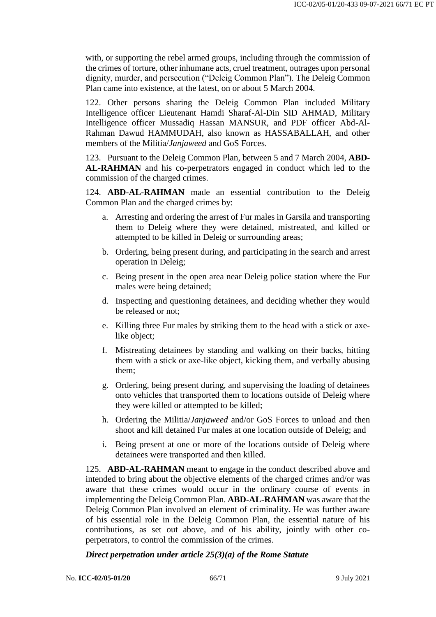with, or supporting the rebel armed groups, including through the commission of the crimes of torture, other inhumane acts, cruel treatment, outrages upon personal dignity, murder, and persecution ("Deleig Common Plan"). The Deleig Common Plan came into existence, at the latest, on or about 5 March 2004.

122. Other persons sharing the Deleig Common Plan included Military Intelligence officer Lieutenant Hamdi Sharaf-Al-Din SID AHMAD, Military Intelligence officer Mussadiq Hassan MANSUR, and PDF officer Abd-Al-Rahman Dawud HAMMUDAH, also known as HASSABALLAH, and other members of the Militia/*Janjaweed* and GoS Forces.

123. Pursuant to the Deleig Common Plan, between 5 and 7 March 2004, **ABD-AL-RAHMAN** and his co-perpetrators engaged in conduct which led to the commission of the charged crimes.

124. **ABD-AL-RAHMAN** made an essential contribution to the Deleig Common Plan and the charged crimes by:

- a. Arresting and ordering the arrest of Fur males in Garsila and transporting them to Deleig where they were detained, mistreated, and killed or attempted to be killed in Deleig or surrounding areas;
- b. Ordering, being present during, and participating in the search and arrest operation in Deleig;
- c. Being present in the open area near Deleig police station where the Fur males were being detained;
- d. Inspecting and questioning detainees, and deciding whether they would be released or not;
- e. Killing three Fur males by striking them to the head with a stick or axelike object:
- f. Mistreating detainees by standing and walking on their backs, hitting them with a stick or axe-like object, kicking them, and verbally abusing them;
- g. Ordering, being present during, and supervising the loading of detainees onto vehicles that transported them to locations outside of Deleig where they were killed or attempted to be killed;
- h. Ordering the Militia/*Janjaweed* and/or GoS Forces to unload and then shoot and kill detained Fur males at one location outside of Deleig; and
- i. Being present at one or more of the locations outside of Deleig where detainees were transported and then killed.

125. **ABD-AL-RAHMAN** meant to engage in the conduct described above and intended to bring about the objective elements of the charged crimes and/or was aware that these crimes would occur in the ordinary course of events in implementing the Deleig Common Plan. **ABD-AL-RAHMAN** was aware that the Deleig Common Plan involved an element of criminality. He was further aware of his essential role in the Deleig Common Plan, the essential nature of his contributions, as set out above, and of his ability, jointly with other coperpetrators, to control the commission of the crimes.

#### *Direct perpetration under article 25(3)(a) of the Rome Statute*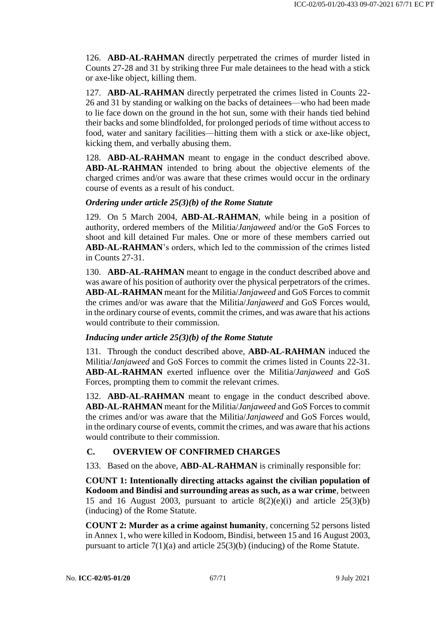126. **ABD-AL-RAHMAN** directly perpetrated the crimes of murder listed in Counts 27-28 and 31 by striking three Fur male detainees to the head with a stick or axe-like object, killing them.

127. **ABD-AL-RAHMAN** directly perpetrated the crimes listed in Counts 22- 26 and 31 by standing or walking on the backs of detainees—who had been made to lie face down on the ground in the hot sun, some with their hands tied behind their backs and some blindfolded, for prolonged periods of time without access to food, water and sanitary facilities—hitting them with a stick or axe-like object, kicking them, and verbally abusing them.

128. **ABD-AL-RAHMAN** meant to engage in the conduct described above. **ABD-AL-RAHMAN** intended to bring about the objective elements of the charged crimes and/or was aware that these crimes would occur in the ordinary course of events as a result of his conduct.

#### *Ordering under article 25(3)(b) of the Rome Statute*

129. On 5 March 2004, **ABD-AL-RAHMAN**, while being in a position of authority, ordered members of the Militia/*Janjaweed* and/or the GoS Forces to shoot and kill detained Fur males. One or more of these members carried out **ABD-AL-RAHMAN**'s orders, which led to the commission of the crimes listed in Counts 27-31.

130. **ABD-AL-RAHMAN** meant to engage in the conduct described above and was aware of his position of authority over the physical perpetrators of the crimes. **ABD-AL-RAHMAN** meant for the Militia/*Janjaweed* and GoS Forces to commit the crimes and/or was aware that the Militia/*Janjaweed* and GoS Forces would, in the ordinary course of events, commit the crimes, and was aware that his actions would contribute to their commission.

#### *Inducing under article 25(3)(b) of the Rome Statute*

131. Through the conduct described above, **ABD-AL-RAHMAN** induced the Militia/*Janjaweed* and GoS Forces to commit the crimes listed in Counts 22-31. **ABD-AL-RAHMAN** exerted influence over the Militia/*Janjaweed* and GoS Forces, prompting them to commit the relevant crimes.

132. **ABD-AL-RAHMAN** meant to engage in the conduct described above. **ABD-AL-RAHMAN** meant for the Militia/*Janjaweed* and GoS Forces to commit the crimes and/or was aware that the Militia/*Janjaweed* and GoS Forces would, in the ordinary course of events, commit the crimes, and was aware that his actions would contribute to their commission.

# **C. OVERVIEW OF CONFIRMED CHARGES**

133. Based on the above, **ABD-AL-RAHMAN** is criminally responsible for:

**COUNT 1: Intentionally directing attacks against the civilian population of Kodoom and Bindisi and surrounding areas as such, as a war crime**, between 15 and 16 August 2003, pursuant to article  $8(2)(e)(i)$  and article  $25(3)(b)$ (inducing) of the Rome Statute.

**COUNT 2: Murder as a crime against humanity**, concerning 52 persons listed in Annex 1, who were killed in Kodoom, Bindisi, between 15 and 16 August 2003, pursuant to article 7(1)(a) and article 25(3)(b) (inducing) of the Rome Statute.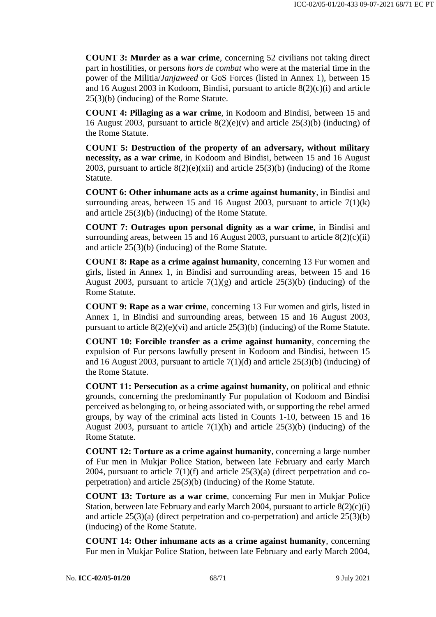**COUNT 3: Murder as a war crime**, concerning 52 civilians not taking direct part in hostilities, or persons *hors de combat* who were at the material time in the power of the Militia/*Janjaweed* or GoS Forces (listed in Annex 1), between 15 and 16 August 2003 in Kodoom, Bindisi, pursuant to article 8(2)(c)(i) and article 25(3)(b) (inducing) of the Rome Statute.

**COUNT 4: Pillaging as a war crime**, in Kodoom and Bindisi, between 15 and 16 August 2003, pursuant to article 8(2)(e)(v) and article 25(3)(b) (inducing) of the Rome Statute.

**COUNT 5: Destruction of the property of an adversary, without military necessity, as a war crime**, in Kodoom and Bindisi, between 15 and 16 August 2003, pursuant to article  $8(2)(e)(xii)$  and article  $25(3)(b)$  (inducing) of the Rome Statute.

**COUNT 6: Other inhumane acts as a crime against humanity**, in Bindisi and surrounding areas, between 15 and 16 August 2003, pursuant to article  $7(1)(k)$ and article 25(3)(b) (inducing) of the Rome Statute.

**COUNT 7: Outrages upon personal dignity as a war crime**, in Bindisi and surrounding areas, between 15 and 16 August 2003, pursuant to article  $8(2)(c)(ii)$ and article 25(3)(b) (inducing) of the Rome Statute.

**COUNT 8: Rape as a crime against humanity**, concerning 13 Fur women and girls, listed in Annex 1, in Bindisi and surrounding areas, between 15 and 16 August 2003, pursuant to article  $7(1)(g)$  and article 25(3)(b) (inducing) of the Rome Statute.

**COUNT 9: Rape as a war crime**, concerning 13 Fur women and girls, listed in Annex 1, in Bindisi and surrounding areas, between 15 and 16 August 2003, pursuant to article  $8(2)(e)(vi)$  and article  $25(3)(b)$  (inducing) of the Rome Statute.

**COUNT 10: Forcible transfer as a crime against humanity**, concerning the expulsion of Fur persons lawfully present in Kodoom and Bindisi, between 15 and 16 August 2003, pursuant to article  $7(1)(d)$  and article  $25(3)(b)$  (inducing) of the Rome Statute.

**COUNT 11: Persecution as a crime against humanity**, on political and ethnic grounds, concerning the predominantly Fur population of Kodoom and Bindisi perceived as belonging to, or being associated with, or supporting the rebel armed groups, by way of the criminal acts listed in Counts 1-10, between 15 and 16 August 2003, pursuant to article  $7(1)(h)$  and article 25(3)(b) (inducing) of the Rome Statute.

**COUNT 12: Torture as a crime against humanity**, concerning a large number of Fur men in Mukjar Police Station, between late February and early March 2004, pursuant to article  $7(1)(f)$  and article  $25(3)(a)$  (direct perpetration and coperpetration) and article 25(3)(b) (inducing) of the Rome Statute.

**COUNT 13: Torture as a war crime**, concerning Fur men in Mukjar Police Station, between late February and early March 2004, pursuant to article  $8(2)(c)(i)$ and article 25(3)(a) (direct perpetration and co-perpetration) and article 25(3)(b) (inducing) of the Rome Statute.

**COUNT 14: Other inhumane acts as a crime against humanity**, concerning Fur men in Mukjar Police Station, between late February and early March 2004,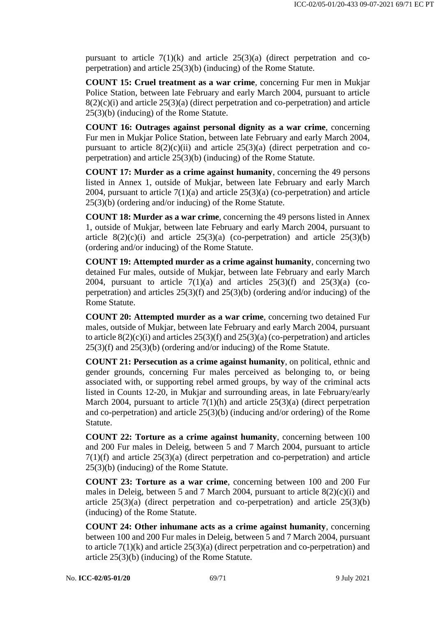pursuant to article  $7(1)(k)$  and article  $25(3)(a)$  (direct perpetration and coperpetration) and article 25(3)(b) (inducing) of the Rome Statute.

**COUNT 15: Cruel treatment as a war crime**, concerning Fur men in Mukjar Police Station, between late February and early March 2004, pursuant to article  $8(2)(c)(i)$  and article  $25(3)(a)$  (direct perpetration and co-perpetration) and article 25(3)(b) (inducing) of the Rome Statute.

**COUNT 16: Outrages against personal dignity as a war crime**, concerning Fur men in Mukjar Police Station, between late February and early March 2004, pursuant to article  $8(2)(c)(ii)$  and article  $25(3)(a)$  (direct perpetration and coperpetration) and article 25(3)(b) (inducing) of the Rome Statute.

**COUNT 17: Murder as a crime against humanity**, concerning the 49 persons listed in Annex 1, outside of Mukjar, between late February and early March 2004, pursuant to article  $7(1)(a)$  and article  $25(3)(a)$  (co-perpetration) and article 25(3)(b) (ordering and/or inducing) of the Rome Statute.

**COUNT 18: Murder as a war crime**, concerning the 49 persons listed in Annex 1, outside of Mukjar, between late February and early March 2004, pursuant to article  $8(2)(c)(i)$  and article  $25(3)(a)$  (co-perpetration) and article  $25(3)(b)$ (ordering and/or inducing) of the Rome Statute.

**COUNT 19: Attempted murder as a crime against humanity**, concerning two detained Fur males, outside of Mukjar, between late February and early March 2004, pursuant to article  $7(1)(a)$  and articles  $25(3)(f)$  and  $25(3)(a)$  (coperpetration) and articles 25(3)(f) and 25(3)(b) (ordering and/or inducing) of the Rome Statute.

**COUNT 20: Attempted murder as a war crime**, concerning two detained Fur males, outside of Mukjar, between late February and early March 2004, pursuant to article  $8(2)(c)(i)$  and articles  $25(3)(f)$  and  $25(3)(a)$  (co-perpetration) and articles 25(3)(f) and 25(3)(b) (ordering and/or inducing) of the Rome Statute.

**COUNT 21: Persecution as a crime against humanity**, on political, ethnic and gender grounds, concerning Fur males perceived as belonging to, or being associated with, or supporting rebel armed groups, by way of the criminal acts listed in Counts 12-20, in Mukjar and surrounding areas, in late February/early March 2004, pursuant to article  $7(1)(h)$  and article  $25(3)(a)$  (direct perpetration and co-perpetration) and article 25(3)(b) (inducing and/or ordering) of the Rome Statute.

**COUNT 22: Torture as a crime against humanity**, concerning between 100 and 200 Fur males in Deleig, between 5 and 7 March 2004, pursuant to article  $7(1)(f)$  and article  $25(3)(a)$  (direct perpetration and co-perpetration) and article 25(3)(b) (inducing) of the Rome Statute.

**COUNT 23: Torture as a war crime**, concerning between 100 and 200 Fur males in Deleig, between 5 and 7 March 2004, pursuant to article 8(2)(c)(i) and article  $25(3)(a)$  (direct perpetration and co-perpetration) and article  $25(3)(b)$ (inducing) of the Rome Statute.

**COUNT 24: Other inhumane acts as a crime against humanity**, concerning between 100 and 200 Fur males in Deleig, between 5 and 7 March 2004, pursuant to article 7(1)(k) and article 25(3)(a) (direct perpetration and co-perpetration) and article 25(3)(b) (inducing) of the Rome Statute.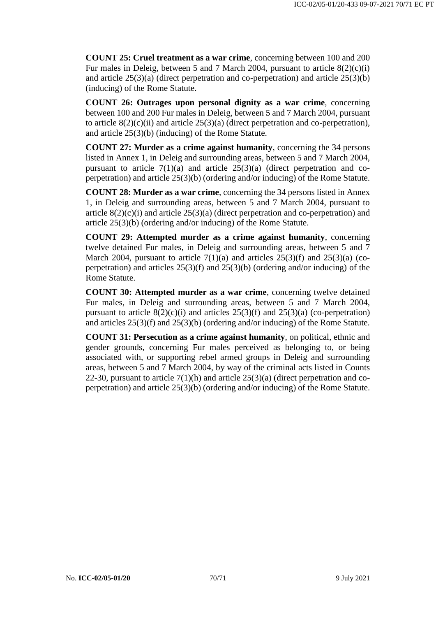**COUNT 25: Cruel treatment as a war crime**, concerning between 100 and 200 Fur males in Deleig, between 5 and 7 March 2004, pursuant to article  $8(2)(c)(i)$ and article 25(3)(a) (direct perpetration and co-perpetration) and article 25(3)(b) (inducing) of the Rome Statute.

**COUNT 26: Outrages upon personal dignity as a war crime**, concerning between 100 and 200 Fur males in Deleig, between 5 and 7 March 2004, pursuant to article  $8(2)(c)(ii)$  and article  $25(3)(a)$  (direct perpetration and co-perpetration), and article 25(3)(b) (inducing) of the Rome Statute.

**COUNT 27: Murder as a crime against humanity**, concerning the 34 persons listed in Annex 1, in Deleig and surrounding areas, between 5 and 7 March 2004, pursuant to article  $7(1)(a)$  and article  $25(3)(a)$  (direct perpetration and coperpetration) and article 25(3)(b) (ordering and/or inducing) of the Rome Statute.

**COUNT 28: Murder as a war crime**, concerning the 34 persons listed in Annex 1, in Deleig and surrounding areas, between 5 and 7 March 2004, pursuant to article  $8(2)(c)(i)$  and article  $25(3)(a)$  (direct perpetration and co-perpetration) and article 25(3)(b) (ordering and/or inducing) of the Rome Statute.

**COUNT 29: Attempted murder as a crime against humanity**, concerning twelve detained Fur males, in Deleig and surrounding areas, between 5 and 7 March 2004, pursuant to article  $7(1)(a)$  and articles  $25(3)(f)$  and  $25(3)(a)$  (coperpetration) and articles 25(3)(f) and 25(3)(b) (ordering and/or inducing) of the Rome Statute.

**COUNT 30: Attempted murder as a war crime**, concerning twelve detained Fur males, in Deleig and surrounding areas, between 5 and 7 March 2004, pursuant to article  $8(2)(c)(i)$  and articles  $25(3)(f)$  and  $25(3)(a)$  (co-perpetration) and articles 25(3)(f) and 25(3)(b) (ordering and/or inducing) of the Rome Statute.

**COUNT 31: Persecution as a crime against humanity**, on political, ethnic and gender grounds, concerning Fur males perceived as belonging to, or being associated with, or supporting rebel armed groups in Deleig and surrounding areas, between 5 and 7 March 2004, by way of the criminal acts listed in Counts 22-30, pursuant to article  $7(1)(h)$  and article  $25(3)(a)$  (direct perpetration and coperpetration) and article 25(3)(b) (ordering and/or inducing) of the Rome Statute.